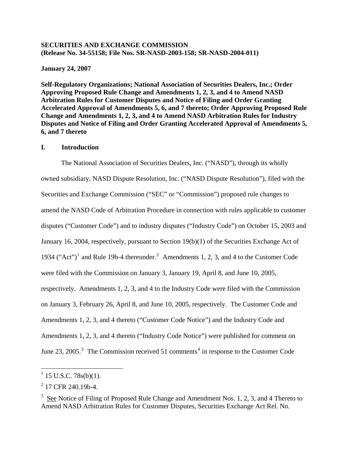## **SECURITIES AND EXCHANGE COMMISSION (Release No. 34-55158; File Nos. SR-NASD-2003-158; SR-NASD-2004-011)**

### **January 24, 2007**

<span id="page-0-3"></span>**Self-Regulatory Organizations; National Association of Securities Dealers, Inc.; Order Approving Proposed Rule Change and Amendments 1, 2, 3, and 4 to Amend NASD Arbitration Rules for Customer Disputes and Notice of Filing and Order Granting Accelerated Approval of Amendments 5, 6, and 7 thereto; Order Approving Proposed Rule Change and Amendments 1, 2, 3, and 4 to Amend NASD Arbitration Rules for Industry Disputes and Notice of Filing and Order Granting Accelerated Approval of Amendments 5, 6, and 7 thereto** 

### **I. Introduction**

The National Association of Securities Dealers, Inc. ("NASD"), through its wholly owned subsidiary, NASD Dispute Resolution, Inc. ("NASD Dispute Resolution"), filed with the Securities and Exchange Commission ("SEC" or "Commission") proposed rule changes to amend the NASD Code of Arbitration Procedure in connection with rules applicable to customer disputes ("Customer Code") and to industry disputes ("Industry Code") on October 15, 2003 and January 16, 2004, respectively, pursuant to Section 19(b)(1) of the Securities Exchange Act of [1](#page-0-0)934 ("Act")<sup>1</sup> and Rule 19b-4 thereunder.<sup>[2](#page-0-1)</sup> Amendments 1, 2, 3, and 4 to the Customer Code were filed with the Commission on January 3, January 19, April 8, and June 10, 2005, respectively. Amendments 1, 2, 3, and 4 to the Industry Code were filed with the Commission on January 3, February 26, April 8, and June 10, 2005, respectively. The Customer Code and Amendments 1, 2, 3, and 4 thereto ("Customer Code Notice") and the Industry Code and Amendments 1, 2, 3, and 4 thereto ("Industry Code Notice") were published for comment on June 2[3](#page-0-2), 2005.<sup>3</sup> The Commission received 51 comments<sup>[4](#page-0-3)</sup> in response to the Customer Code

<span id="page-0-0"></span> $1$  15 U.S.C. 78s(b)(1).

<span id="page-0-1"></span> $2$  17 CFR 240.19b-4.

<span id="page-0-2"></span> $3\text{ See}$  Notice of Filing of Proposed Rule Change and Amendment Nos. 1, 2, 3, and 4 Thereto to Amend NASD Arbitration Rules for Customer Disputes, Securities Exchange Act Rel. No.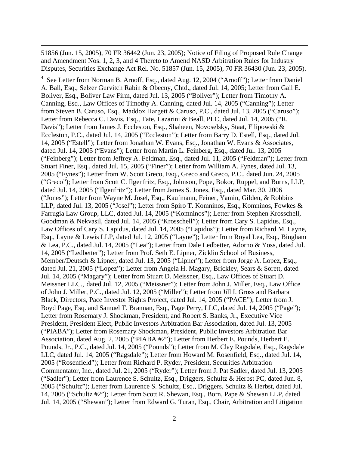51856 (Jun. 15, 2005), 70 FR 36442 (Jun. 23, 2005); Notice of Filing of Proposed Rule Change and Amendment Nos. 1, 2, 3, and 4 Thereto to Amend NASD Arbitration Rules for Industry Disputes, Securities Exchange Act Rel. No. 51857 (Jun. 15, 2005), 70 FR 36430 (Jun. 23, 2005).

 $\overline{a}$ 

<sup>4</sup> See Letter from Norman B. Arnoff, Esq., dated Aug. 12, 2004 ("Arnoff"); Letter from Daniel A. Ball, Esq., Selzer Gurvitch Rabin & Obecny, Chtd., dated Jul. 14, 2005; Letter from Gail E. Boliver, Esq., Boliver Law Firm, dated Jul. 13, 2005 ("Boliver"); Letter from Timothy A. Canning, Esq., Law Offices of Timothy A. Canning, dated Jul. 14, 2005 ("Canning"); Letter from Steven B. Caruso, Esq., Maddox Hargett & Caruso, P.C., dated Jul. 13, 2005 ("Caruso"); Letter from Rebecca C. Davis, Esq., Tate, Lazarini & Beall, PLC, dated Jul. 14, 2005 ("R. Davis"); Letter from James J. Eccleston, Esq., Shaheen, Novoselsky, Staat, Filipowski & Eccleston, P.C., dated Jul. 14, 2005 ("Eccleston"); Letter from Barry D. Estell, Esq., dated Jul. 14, 2005 ("Estell"); Letter from Jonathan W. Evans, Esq., Jonathan W. Evans & Associates, dated Jul. 14, 2005 ("Evans"); Letter from Martin L. Feinberg, Esq., dated Jul. 13, 2005 ("Feinberg"); Letter from Jeffrey A. Feldman, Esq., dated Jul. 11, 2005 ("Feldman"); Letter from Stuart Finer, Esq., dated Jul. 15, 2005 ("Finer"); Letter from William A. Fynes, dated Jul. 13, 2005 ("Fynes"); Letter from W. Scott Greco, Esq., Greco and Greco, P.C., dated Jun. 24, 2005 ("Greco"); Letter from Scott C. Ilgenfritz, Esq., Johnson, Pope, Bokor, Ruppel, and Burns, LLP, dated Jul. 14, 2005 ("Ilgenfritz"); Letter from James S. Jones, Esq., dated Mar. 30, 2006 ("Jones"); Letter from Wayne M. Josel, Esq., Kaufmann, Feiner, Yamin, Gilden, & Robbins LLP, dated Jul. 13, 2005 ("Josel"); Letter from Spiro T. Komninos, Esq., Komninos, Fowkes & Farrugia Law Group, LLC, dated Jul. 14, 2005 ("Komninos"); Letter from Stephen Krosschell, Goodman & Nekvasil, dated Jul. 14, 2005 ("Krosschell"); Letter from Cary S. Lapidus, Esq., Law Offices of Cary S. Lapidus, dated Jul. 14, 2005 ("Lapidus"); Letter from Richard M. Layne, Esq., Layne & Lewis LLP, dated Jul. 12, 2005 ("Layne"); Letter from Royal Lea, Esq., Bingham & Lea, P.C., dated Jul. 14, 2005 ("Lea"); Letter from Dale Ledbetter, Adorno & Yoss, dated Jul. 14, 2005 ("Ledbetter"); Letter from Prof. Seth E. Lipner, Zicklin School of Business, Member/Deutsch & Lipner, dated Jul. 13, 2005 ("Lipner"); Letter from Jorge A. Lopez, Esq., dated Jul. 21, 2005 ("Lopez"); Letter from Angela H. Magary, Brickley, Sears & Sorett, dated Jul. 14, 2005 ("Magary"); Letter from Stuart D. Meissner, Esq., Law Offices of Stuart D. Meissner LLC., dated Jul. 12, 2005 ("Meissner"); Letter from John J. Miller, Esq., Law Office of John J. Miller, P.C., dated Jul. 12, 2005 ("Miller"); Letter from Jill I. Gross and Barbara Black, Directors, Pace Investor Rights Project, dated Jul. 14, 2005 ("PACE"); Letter from J. Boyd Page, Esq. and Samuel T. Brannan, Esq., Page Perry, LLC, dated Jul. 14, 2005 ("Page"); Letter from Rosemary J. Shockman, President, and Robert S. Banks, Jr., Executive Vice President, President Elect, Public Investors Arbitration Bar Association, dated Jul. 13, 2005 ("PIABA"); Letter from Rosemary Shockman, President, Public Investors Arbitration Bar Association, dated Aug. 2, 2005 ("PIABA #2"); Letter from Herbert E. Pounds, Herbert E. Pounds, Jr., P.C., dated Jul. 14, 2005 ("Pounds"); Letter from M. Clay Ragsdale, Esq., Ragsdale LLC, dated Jul. 14, 2005 ("Ragsdale"); Letter from Howard M. Rosenfield, Esq., dated Jul. 14, 2005 ("Rosenfield"); Letter from Richard P. Ryder, President, Securities Arbitration Commentator, Inc., dated Jul. 21, 2005 ("Ryder"); Letter from J. Pat Sadler, dated Jul. 13, 2005 ("Sadler"); Letter from Laurence S. Schultz, Esq., Driggers, Schultz & Herbst PC, dated Jun. 8, 2005 ("Schultz"); Letter from Laurence S. Schultz, Esq., Driggers, Schultz & Herbst, dated Jul. 14, 2005 ("Schultz #2"); Letter from Scott R. Shewan, Esq., Born, Pape & Shewan LLP, dated Jul. 14, 2005 ("Shewan"); Letter from Edward G. Turan, Esq., Chair, Arbitration and Litigation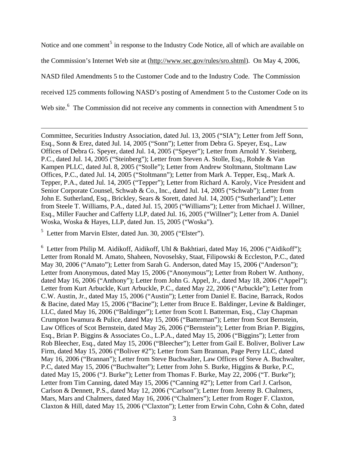Notice and one comment<sup>[5](#page-2-0)</sup> in response to the Industry Code Notice, all of which are available on the Commission's Internet Web site at (http://www.sec.gov/rules/sro.shtml). On May 4, 2006, NASD filed Amendments 5 to the Customer Code and to the Industry Code. The Commission received 125 comments following NASD's posting of Amendment 5 to the Customer Code on its Web site.<sup>[6](#page-2-1)</sup> The Commission did not receive any comments in connection with Amendment 5 to

Committee, Securities Industry Association, dated Jul. 13, 2005 ("SIA"); Letter from Jeff Sonn, Esq., Sonn & Erez, dated Jul. 14, 2005 ("Sonn"); Letter from Debra G. Speyer, Esq., Law Offices of Debra G. Speyer, dated Jul. 14, 2005 ("Speyer"); Letter from Arnold Y. Steinberg, P.C., dated Jul. 14, 2005 ("Steinberg"); Letter from Steven A. Stolle, Esq., Rohde & Van Kampen PLLC, dated Jul. 8, 2005 ("Stolle"); Letter from Andrew Stoltmann, Stoltmann Law Offices, P.C., dated Jul. 14, 2005 ("Stoltmann"); Letter from Mark A. Tepper, Esq., Mark A. Tepper, P.A., dated Jul. 14, 2005 ("Tepper"); Letter from Richard A. Karoly, Vice President and Senior Corporate Counsel, Schwab & Co., Inc., dated Jul. 14, 2005 ("Schwab"); Letter from John E. Sutherland, Esq., Brickley, Sears & Sorett, dated Jul. 14, 2005 ("Sutherland"); Letter from Steele T. Williams, P.A., dated Jul. 15, 2005 ("Williams"); Letter from Michael J. Willner, Esq., Miller Faucher and Cafferty LLP, dated Jul. 16, 2005 ("Willner"); Letter from A. Daniel Woska, Woska & Hayes, LLP, dated Jun. 15, 2005 ("Woska").

<span id="page-2-0"></span> $<sup>5</sup>$  Letter from Marvin Elster, dated Jun. 30, 2005 ("Elster").</sup>

 $\overline{a}$ 

<span id="page-2-1"></span><sup>6</sup> Letter from Philip M. Aidikoff, Aidikoff, Uhl & Bakhtiari, dated May 16, 2006 ("Aidikoff"); Letter from Ronald M. Amato, Shaheen, Novoselsky, Staat, Filipowski & Eccleston, P.C., dated May 30, 2006 ("Amato"); Letter from Sarah G. Anderson, dated May 15, 2006 ("Anderson"); Letter from Anonymous, dated May 15, 2006 ("Anonymous"); Letter from Robert W. Anthony, dated May 16, 2006 ("Anthony"); Letter from John G. Appel, Jr., dated May 18, 2006 ("Appel"); Letter from Kurt Arbuckle, Kurt Arbuckle, P.C., dated May 22, 2006 ("Arbuckle"); Letter from C.W. Austin, Jr., dated May 15, 2006 ("Austin"); Letter from Daniel E. Bacine, Barrack, Rodos & Bacine, dated May 15, 2006 ("Bacine"); Letter from Bruce E. Baldinger, Levine & Baldinger, LLC, dated May 16, 2006 ("Baldinger"); Letter from Scott I. Batterman, Esq., Clay Chapman Crumpton Iwamura & Pulice, dated May 15, 2006 ("Batterman"); Letter from Scot Bernstein, Law Offices of Scot Bernstein, dated May 26, 2006 ("Bernstein"); Letter from Brian P. Biggins, Esq., Brian P. Biggins & Associates Co., L.P.A., dated May 15, 2006 ("Biggins"); Letter from Rob Bleecher, Esq., dated May 15, 2006 ("Bleecher"); Letter from Gail E. Boliver, Boliver Law Firm, dated May 15, 2006 ("Boliver #2"); Letter from Sam Brannan, Page Perry LLC, dated May 16, 2006 ("Brannan"); Letter from Steve Buchwalter, Law Offices of Steve A. Buchwalter, P.C, dated May 15, 2006 ("Buchwalter"); Letter from John S. Burke, Higgins & Burke, P.C, dated May 15, 2006 ("J. Burke"); Letter from Thomas F. Burke, May 22, 2006 ("T. Burke"); Letter from Tim Canning, dated May 15, 2006 ("Canning #2"); Letter from Carl J. Carlson, Carlson & Dennett, P.S., dated May 12, 2006 ("Carlson"); Letter from Jeremy B. Chalmers, Mars, Mars and Chalmers, dated May 16, 2006 ("Chalmers"); Letter from Roger F. Claxton, Claxton & Hill, dated May 15, 2006 ("Claxton"); Letter from Erwin Cohn, Cohn & Cohn, dated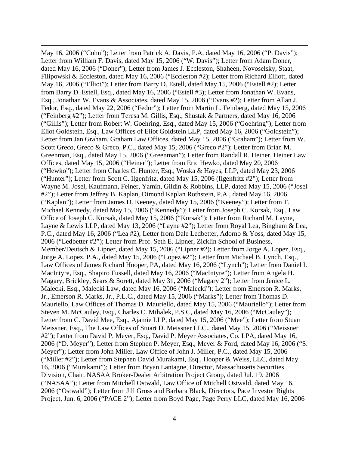May 16, 2006 ("Cohn"); Letter from Patrick A. Davis, P.A, dated May 16, 2006 ("P. Davis"); Letter from William F. Davis, dated May 15, 2006 ("W. Davis"); Letter from Adam Doner, dated May 16, 2006 ("Doner"); Letter from James J. Eccleston, Shaheen, Novoselsky, Staat, Filipowski & Eccleston, dated May 16, 2006 ("Eccleston #2); Letter from Richard Elliott, dated May 16, 2006 ("Elliot"); Letter from Barry D. Estell, dated May 15, 2006 ("Estell #2); Letter from Barry D. Estell, Esq., dated May 16, 2006 ("Estell #3); Letter from Jonathan W. Evans, Esq., Jonathan W. Evans & Associates, dated May 15, 2006 ("Evans #2); Letter from Allan J. Fedor, Esq., dated May 22, 2006 ("Fedor"); Letter from Martin L. Feinberg, dated May 15, 2006 ("Feinberg #2"); Letter from Teresa M. Gillis, Esq., Shustak & Partners, dated May 16, 2006 ("Gillis"); Letter from Robert W. Goehring, Esq., dated May 15, 2006 ("Goehring"); Letter from Eliot Goldstein, Esq., Law Offices of Eliot Goldstein LLP, dated May 16, 2006 ("Goldstein"); Letter from Jan Graham, Graham Law Offices, dated May 15, 2006 ("Graham"); Letter from W. Scott Greco, Greco & Greco, P.C., dated May 15, 2006 ("Greco #2"); Letter from Brian M. Greenman, Esq., dated May 15, 2006 ("Greenman"); Letter from Randall R. Heiner, Heiner Law Offices, dated May 15, 2006 ("Heiner"); Letter from Eric Hewko, dated May 20, 2006 ("Hewko"); Letter from Charles C. Hunter, Esq., Woska & Hayes, LLP, dated May 23, 2006 ("Hunter"); Letter from Scott C. Ilgenfritz, dated May 15, 2006 (Ilgenfritz #2"); Letter from Wayne M. Josel, Kaufmann, Feiner, Yamin, Gildin & Robbins, LLP, dated May 15, 2006 ("Josel #2"); Letter from Jeffrey B. Kaplan, Dimond Kaplan Rothstein, P.A., dated May 16, 2006 ("Kaplan"); Letter from James D. Keeney, dated May 15, 2006 ("Keeney"); Letter from T. Michael Kennedy, dated May 15, 2006 ("Kennedy"); Letter from Joseph C. Korsak, Esq., Law Office of Joseph C. Korsak, dated May 15, 2006 ("Korsak"); Letter from Richard M. Layne, Layne & Lewis LLP, dated May 13, 2006 ("Layne #2"); Letter from Royal Lea, Bingham & Lea, P.C., dated May 16, 2006 ("Lea #2); Letter from Dale Ledbetter, Adorno & Yoss, dated May 15, 2006 ("Ledbetter #2"); Letter from Prof. Seth E. Lipner, Zicklin School of Business, Member/Deutsch & Lipner, dated May 15, 2006 ("Lipner #2); Letter from Jorge A. Lopez, Esq., Jorge A. Lopez, P.A., dated May 15, 2006 ("Lopez #2"); Letter from Michael B. Lynch, Esq., Law Offices of James Richard Hooper, PA, dated May 16, 2006 ("Lynch"); Letter from Daniel I. MacIntyre, Esq., Shapiro Fussell, dated May 16, 2006 ("MacIntyre"); Letter from Angela H. Magary, Brickley, Sears & Sorett, dated May 31, 2006 ("Magary 2"); Letter from Jenice L. Malecki, Esq., Malecki Law, dated May 16, 2006 ("Malecki"); Letter from Emerson R. Marks, Jr., Emerson R. Marks, Jr., P.L.C., dated May 15, 2006 ("Marks"); Letter from Thomas D. Mauriello, Law Offices of Thomas D. Mauriello, dated May 15, 2006 ("Mauriello"); Letter from Steven M. McCauley, Esq., Charles C. Mihalek, P.S.C, dated May 16, 2006 ("McCauley"); Letter from C. David Mee, Esq., Ajamie LLP, dated May 15, 2006 ("Mee"); Letter from Stuart Meissner, Esq., The Law Offices of Stuart D. Meissner LLC., dated May 15, 2006 ("Meissner #2"); Letter from David P. Meyer, Esq., David P. Meyer Associates, Co. LPA, dated May 16, 2006 ("D. Meyer"); Letter from Stephen P. Meyer, Esq., Meyer & Ford, dated May 16, 2006 ("S. Meyer"); Letter from John Miller, Law Office of John J. Miller, P.C., dated May 15, 2006 ("Miller #2"); Letter from Stephen David Murakami, Esq., Hooper & Weiss, LLC, dated May 16, 2006 ("Murakami"); Letter from Bryan Lantagne, Director, Massachusetts Securities Division, Chair, NASAA Broker-Dealer Arbitration Project Group, dated Jul. 19, 2006 ("NASAA"); Letter from Mitchell Ostwald, Law Office of Mitchell Ostwald, dated May 16, 2006 ("Ostwald"); Letter from Jill Gross and Barbara Black, Directors, Pace Investor Rights Project, Jun. 6, 2006 ("PACE 2"); Letter from Boyd Page, Page Perry LLC, dated May 16, 2006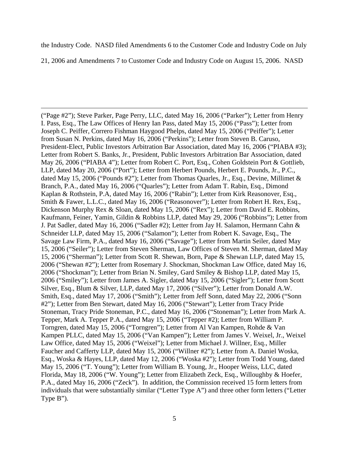the Industry Code. NASD filed Amendments 6 to the Customer Code and Industry Code on July

21, 2006 and Amendments 7 to Customer Code and Industry Code on August 15, 2006. NASD

 $\overline{a}$ 

("Page #2"); Steve Parker, Page Perry, LLC, dated May 16, 2006 ("Parker"); Letter from Henry I. Pass, Esq., The Law Offices of Henry Ian Pass, dated May 15, 2006 ("Pass"); Letter from Joseph C. Peiffer, Correro Fishman Haygood Phelps, dated May 15, 2006 ("Peiffer"); Letter from Susan N. Perkins, dated May 16, 2006 ("Perkins"); Letter from Steven B. Caruso, President-Elect, Public Investors Arbitration Bar Association, dated May 16, 2006 ("PIABA #3); Letter from Robert S. Banks, Jr., President, Public Investors Arbitration Bar Association, dated May 26, 2006 ("PIABA 4"); Letter from Robert C. Port, Esq., Cohen Goldstein Port & Gottlieb, LLP, dated May 20, 2006 ("Port"); Letter from Herbert Pounds, Herbert E. Pounds, Jr., P.C., dated May 15, 2006 ("Pounds #2"); Letter from Thomas Quarles, Jr., Esq., Devine, Millimet & Branch, P.A., dated May 16, 2006 ("Quarles"); Letter from Adam T. Rabin, Esq., Dimond Kaplan & Rothstein, P.A, dated May 16, 2006 ("Rabin"); Letter from Kirk Reasonover, Esq., Smith & Fawer, L.L.C., dated May 16, 2006 ("Reasonover"); Letter from Robert H. Rex, Esq., Dickenson Murphy Rex & Sloan, dated May 15, 2006 ("Rex"); Letter from David E. Robbins, Kaufmann, Feiner, Yamin, Gildin & Robbins LLP, dated May 29, 2006 ("Robbins"); Letter from J. Pat Sadler, dated May 16, 2006 ("Sadler #2); Letter from Jay H. Salamon, Hermann Cahn & Schneider LLP, dated May 15, 2006 ("Salamon"); Letter from Robert K. Savage, Esq., The Savage Law Firm, P.A., dated May 16, 2006 ("Savage"); Letter from Martin Seiler, dated May 15, 2006 ("Seiler"); Letter from Steven Sherman, Law Offices of Steven M. Sherman, dated May 15, 2006 ("Sherman"); Letter from Scott R. Shewan, Born, Pape & Shewan LLP, dated May 15, 2006 ("Shewan #2"); Letter from Rosemary J. Shockman, Shockman Law Office, dated May 16, 2006 ("Shockman"); Letter from Brian N. Smiley, Gard Smiley & Bishop LLP, dated May 15, 2006 ("Smiley"); Letter from James A. Sigler, dated May 15, 2006 ("Sigler"); Letter from Scott Silver, Esq., Blum & Silver, LLP, dated May 17, 2006 ("Silver"); Letter from Donald A.W. Smith, Esq., dated May 17, 2006 ("Smith"); Letter from Jeff Sonn, dated May 22, 2006 ("Sonn #2"); Letter from Ben Stewart, dated May 16, 2006 ("Stewart"); Letter from Tracy Pride Stoneman, Tracy Pride Stoneman, P.C., dated May 16, 2006 ("Stoneman"); Letter from Mark A. Tepper, Mark A. Tepper P.A., dated May 15, 2006 ("Tepper #2); Letter from William P. Torngren, dated May 15, 2006 ("Torngren"); Letter from Al Van Kampen, Rohde & Van Kampen PLLC, dated May 15, 2006 ("Van Kampen"); Letter from James V. Weixel, Jr., Weixel Law Office, dated May 15, 2006 ("Weixel"); Letter from Michael J. Willner, Esq., Miller Faucher and Cafferty LLP, dated May 15, 2006 ("Willner #2"); Letter from A. Daniel Woska, Esq., Woska & Hayes, LLP, dated May 12, 2006 ("Woska #2"); Letter from Todd Young, dated May 15, 2006 ("T. Young"); Letter from William B. Young, Jr., Hooper Weiss, LLC, dated Florida, May 18, 2006 ("W. Young"); Letter from Elizabeth Zeck, Esq., Willoughby & Hoefer, P.A., dated May 16, 2006 ("Zeck"). In addition, the Commission received 15 form letters from individuals that were substantially similar ("Letter Type A") and three other form letters ("Letter Type B").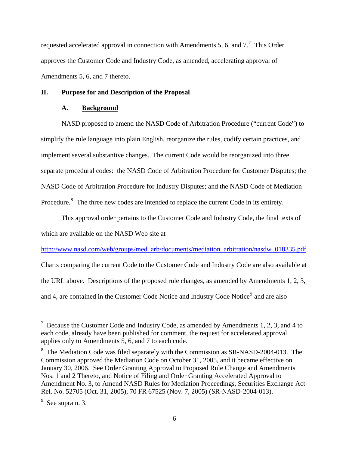requested accelerated approval in connection with Amendments 5, 6, and  $7.^7$  $7.^7$  This Order approves the Customer Code and Industry Code, as amended, accelerating approval of Amendments 5, 6, and 7 thereto.

# **II. Purpose for and Description of the Proposal**

# **A. Background**

NASD proposed to amend the NASD Code of Arbitration Procedure ("current Code") to simplify the rule language into plain English, reorganize the rules, codify certain practices, and implement several substantive changes. The current Code would be reorganized into three separate procedural codes: the NASD Code of Arbitration Procedure for Customer Disputes; the NASD Code of Arbitration Procedure for Industry Disputes; and the NASD Code of Mediation Procedure.<sup>[8](#page-5-1)</sup> The three new codes are intended to replace the current Code in its entirety.

This approval order pertains to the Customer Code and Industry Code, the final texts of which are available on the NASD Web site at

[http://www.nasd.com/web/groups/med\\_arb/documents/mediation\\_arbitration/nasdw\\_018335.pdf.](http://www.nasd.com/web/groups/med_arb/documents/mediation_arbitration/nasdw_018335.pdf)

Charts comparing the current Code to the Customer Code and Industry Code are also available at

the URL above. Descriptions of the proposed rule changes, as amended by Amendments 1, 2, 3,

and 4, are contained in the Customer Code Notice and Industry Code Notice<sup>[9](#page-5-2)</sup> and are also

<span id="page-5-0"></span><sup>&</sup>lt;sup>7</sup> Because the Customer Code and Industry Code, as amended by Amendments 1, 2, 3, and 4 to each code, already have been published for comment, the request for accelerated approval applies only to Amendments 5, 6, and 7 to each code.

<span id="page-5-1"></span> $8 \text{ The Mediation Code was filed separately with the Commission as SR-NASD-2004-013. The}$ Commission approved the Mediation Code on October 31, 2005, and it became effective on January 30, 2006. See Order Granting Approval to Proposed Rule Change and Amendments Nos. 1 and 2 Thereto, and Notice of Filing and Order Granting Accelerated Approval to Amendment No. 3, to Amend NASD Rules for Mediation Proceedings, Securities Exchange Act Rel. No. 52705 (Oct. 31, 2005), 70 FR 67525 (Nov. 7, 2005) (SR-NASD-2004-013).

<span id="page-5-2"></span> $9 \text{ See } \text{supra}$  n. 3.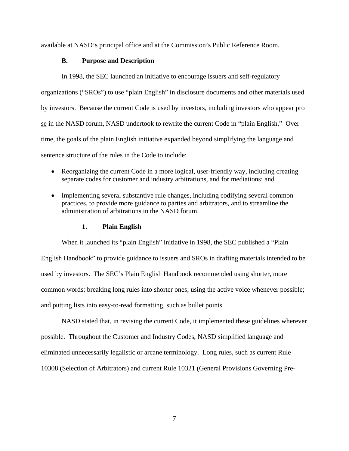available at NASD's principal office and at the Commission's Public Reference Room.

# **B. Purpose and Description**

In 1998, the SEC launched an initiative to encourage issuers and self-regulatory organizations ("SROs") to use "plain English" in disclosure documents and other materials used by investors. Because the current Code is used by investors, including investors who appear pro se in the NASD forum, NASD undertook to rewrite the current Code in "plain English." Over time, the goals of the plain English initiative expanded beyond simplifying the language and sentence structure of the rules in the Code to include:

- Reorganizing the current Code in a more logical, user-friendly way, including creating separate codes for customer and industry arbitrations, and for mediations; and
- Implementing several substantive rule changes, including codifying several common practices, to provide more guidance to parties and arbitrators, and to streamline the administration of arbitrations in the NASD forum.

# **1. Plain English**

When it launched its "plain English" initiative in 1998, the SEC published a "Plain English Handbook" to provide guidance to issuers and SROs in drafting materials intended to be used by investors. The SEC's Plain English Handbook recommended using shorter, more common words; breaking long rules into shorter ones; using the active voice whenever possible; and putting lists into easy-to-read formatting, such as bullet points.

NASD stated that, in revising the current Code, it implemented these guidelines wherever possible. Throughout the Customer and Industry Codes, NASD simplified language and eliminated unnecessarily legalistic or arcane terminology. Long rules, such as current Rule 10308 (Selection of Arbitrators) and current Rule 10321 (General Provisions Governing Pre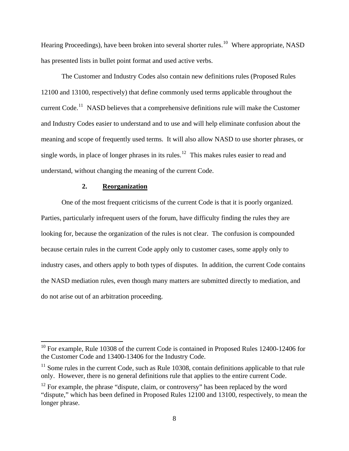Hearing Proceedings), have been broken into several shorter rules.<sup>[10](#page-7-0)</sup> Where appropriate, NASD has presented lists in bullet point format and used active verbs.

The Customer and Industry Codes also contain new definitions rules (Proposed Rules 12100 and 13100, respectively) that define commonly used terms applicable throughout the current Code.<sup>[11](#page-7-1)</sup> NASD believes that a comprehensive definitions rule will make the Customer and Industry Codes easier to understand and to use and will help eliminate confusion about the meaning and scope of frequently used terms. It will also allow NASD to use shorter phrases, or single words, in place of longer phrases in its rules.<sup>[12](#page-7-2)</sup> This makes rules easier to read and understand, without changing the meaning of the current Code.

## **2. Reorganization**

 $\overline{a}$ 

One of the most frequent criticisms of the current Code is that it is poorly organized. Parties, particularly infrequent users of the forum, have difficulty finding the rules they are looking for, because the organization of the rules is not clear. The confusion is compounded because certain rules in the current Code apply only to customer cases, some apply only to industry cases, and others apply to both types of disputes. In addition, the current Code contains the NASD mediation rules, even though many matters are submitted directly to mediation, and do not arise out of an arbitration proceeding.

<span id="page-7-0"></span> $10$  For example, Rule 10308 of the current Code is contained in Proposed Rules 12400-12406 for the Customer Code and 13400-13406 for the Industry Code.

<span id="page-7-1"></span> $11$  Some rules in the current Code, such as Rule 10308, contain definitions applicable to that rule only. However, there is no general definitions rule that applies to the entire current Code.

<span id="page-7-2"></span> $12$  For example, the phrase "dispute, claim, or controversy" has been replaced by the word "dispute," which has been defined in Proposed Rules 12100 and 13100, respectively, to mean the longer phrase.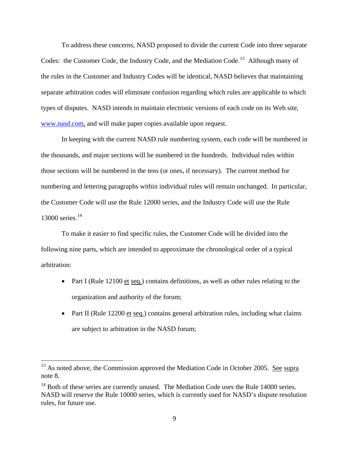To address these concerns, NASD proposed to divide the current Code into three separate Codes: the Customer Code, the Industry Code, and the Mediation Code.<sup>[13](#page-8-0)</sup> Although many of the rules in the Customer and Industry Codes will be identical, NASD believes that maintaining separate arbitration codes will eliminate confusion regarding which rules are applicable to which types of disputes. NASD intends to maintain electronic versions of each code on its Web site, www.nasd.com, and will make paper copies available upon request.

In keeping with the current NASD rule numbering system, each code will be numbered in the thousands, and major sections will be numbered in the hundreds. Individual rules within those sections will be numbered in the tens (or ones, if necessary). The current method for numbering and lettering paragraphs within individual rules will remain unchanged. In particular, the Customer Code will use the Rule 12000 series, and the Industry Code will use the Rule 13000 series.<sup>[14](#page-8-1)</sup>

To make it easier to find specific rules, the Customer Code will be divided into the following nine parts, which are intended to approximate the chronological order of a typical arbitration:

- Part I (Rule 12100 et seq.) contains definitions, as well as other rules relating to the organization and authority of the forum;
- Part II (Rule 12200 et seq.) contains general arbitration rules, including what claims are subject to arbitration in the NASD forum;

<span id="page-8-0"></span> $13$  As noted above, the Commission approved the Mediation Code in October 2005. See supra note 8.

<span id="page-8-1"></span> $14$  Both of these series are currently unused. The Mediation Code uses the Rule 14000 series. NASD will reserve the Rule 10000 series, which is currently used for NASD's dispute resolution rules, for future use.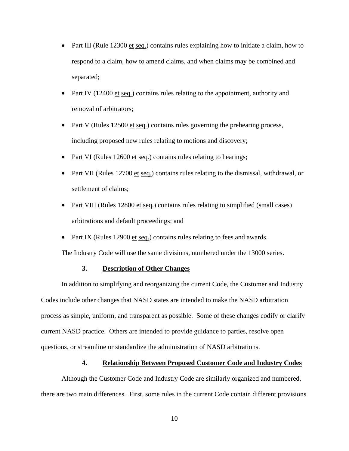- Part III (Rule 12300 et seq.) contains rules explaining how to initiate a claim, how to respond to a claim, how to amend claims, and when claims may be combined and separated;
- Part IV (12400 et seq.) contains rules relating to the appointment, authority and removal of arbitrators;
- Part V (Rules 12500 et seq.) contains rules governing the prehearing process, including proposed new rules relating to motions and discovery;
- Part VI (Rules 12600 et seq.) contains rules relating to hearings;
- Part VII (Rules 12700 et seq.) contains rules relating to the dismissal, withdrawal, or settlement of claims;
- Part VIII (Rules 12800 et seq.) contains rules relating to simplified (small cases) arbitrations and default proceedings; and
- Part IX (Rules 12900 et seq.) contains rules relating to fees and awards.

The Industry Code will use the same divisions, numbered under the 13000 series.

### **3. Description of Other Changes**

In addition to simplifying and reorganizing the current Code, the Customer and Industry Codes include other changes that NASD states are intended to make the NASD arbitration process as simple, uniform, and transparent as possible. Some of these changes codify or clarify current NASD practice. Others are intended to provide guidance to parties, resolve open questions, or streamline or standardize the administration of NASD arbitrations.

#### **4. Relationship Between Proposed Customer Code and Industry Codes**

Although the Customer Code and Industry Code are similarly organized and numbered, there are two main differences. First, some rules in the current Code contain different provisions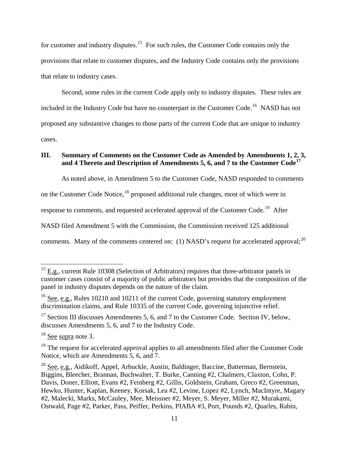for customer and industry disputes.<sup>[15](#page-10-0)</sup> For such rules, the Customer Code contains only the provisions that relate to customer disputes, and the Industry Code contains only the provisions that relate to industry cases.

Second, some rules in the current Code apply only to industry disputes. These rules are included in the Industry Code but have no counterpart in the Customer Code.<sup>[16](#page-10-1)</sup> NASD has not proposed any substantive changes to those parts of the current Code that are unique to industry cases.

# <span id="page-10-6"></span>**III. Summary of Comments on the Customer Code as Amended by Amendments 1, 2, 3,**  and 4 Thereto and Description of Amendments 5, 6, and 7 to the Customer Code<sup>[17](#page-10-2)</sup>

As noted above, in Amendment 5 to the Customer Code, NASD responded to comments

on the Customer Code Notice,<sup>[18](#page-10-3)</sup> proposed additional rule changes, most of which were in

response to comments, and requested accelerated approval of the Customer Code.[19](#page-10-4) After

NASD filed Amendment 5 with the Commission, the Commission received 125 additional

comments. Many of the comments centered on: (1) NASD's request for accelerated approval; $^{20}$  $^{20}$  $^{20}$ 

<span id="page-10-0"></span> $^{15}$  E.g., current Rule 10308 (Selection of Arbitrators) requires that three-arbitrator panels in customer cases consist of a majority of public arbitrators but provides that the composition of the panel in industry disputes depends on the nature of the claim.

<span id="page-10-1"></span><sup>&</sup>lt;sup>16</sup> See, e.g., Rules 10210 and 10211 of the current Code, governing statutory employment discrimination claims, and Rule 10335 of the current Code, governing injunctive relief.

<span id="page-10-2"></span><sup>&</sup>lt;sup>17</sup> Section III discusses Amendments 5, 6, and 7 to the Customer Code. Section IV, below, discusses Amendments 5, 6, and 7 to the Industry Code.

<span id="page-10-3"></span> $18$  See supra note 3.

<span id="page-10-4"></span><sup>&</sup>lt;sup>19</sup> The request for accelerated approval applies to all amendments filed after the Customer Code Notice, which are Amendments 5, 6, and 7.

<span id="page-10-5"></span> $20$  See, e.g., Aidikoff, Appel, Arbuckle, Austin, Baldinger, Baccine, Batterman, Bernstein, Biggins, Bleecher, Brannan, Buchwalter, T. Burke, Canning #2, Chalmers, Claxton, Cohn, P. Davis, Doner, Elliott, Evans #2, Feinberg #2, Gillis, Goldstein, Graham, Greco #2, Greenman, Hewko, Hunter, Kaplan, Keeney, Korsak, Lea #2, Levine, Lopez #2, Lynch, MacIntyre, Magary #2, Malecki, Marks, McCauley, Mee, Meissner #2, Meyer, S. Meyer, Miller #2, Murakami, Ostwald, Page #2, Parker, Pass, Peiffer, Perkins, PIABA #3, Port, Pounds #2, Quarles, Rabin,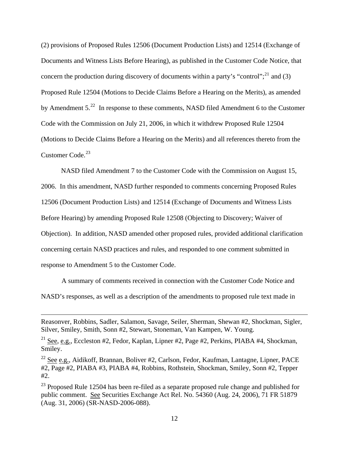(2) provisions of Proposed Rules 12506 (Document Production Lists) and 12514 (Exchange of Documents and Witness Lists Before Hearing), as published in the Customer Code Notice, that concern the production during discovery of documents within a party's "control";<sup>[21](#page-11-0)</sup> and (3) Proposed Rule 12504 (Motions to Decide Claims Before a Hearing on the Merits), as amended by Amendment 5.<sup>[22](#page-11-1)</sup> In response to these comments, NASD filed Amendment 6 to the Customer Code with the Commission on July 21, 2006, in which it withdrew Proposed Rule 12504 (Motions to Decide Claims Before a Hearing on the Merits) and all references thereto from the Customer Code.<sup>[23](#page-11-2)</sup>

NASD filed Amendment 7 to the Customer Code with the Commission on August 15, 2006. In this amendment, NASD further responded to comments concerning Proposed Rules 12506 (Document Production Lists) and 12514 (Exchange of Documents and Witness Lists Before Hearing) by amending Proposed Rule 12508 (Objecting to Discovery; Waiver of Objection). In addition, NASD amended other proposed rules, provided additional clarification concerning certain NASD practices and rules, and responded to one comment submitted in response to Amendment 5 to the Customer Code.

A summary of comments received in connection with the Customer Code Notice and NASD's responses, as well as a description of the amendments to proposed rule text made in

Reasonver, Robbins, Sadler, Salamon, Savage, Seiler, Sherman, Shewan #2, Shockman, Sigler, Silver, Smiley, Smith, Sonn #2, Stewart, Stoneman, Van Kampen, W. Young.

<span id="page-11-0"></span><sup>&</sup>lt;sup>21</sup> See, e.g., Eccleston #2, Fedor, Kaplan, Lipner #2, Page #2, Perkins, PIABA #4, Shockman, Smiley.

<span id="page-11-1"></span><sup>&</sup>lt;sup>22</sup> See e.g., Aidikoff, Brannan, Boliver #2, Carlson, Fedor, Kaufman, Lantagne, Lipner, PACE #2, Page #2, PIABA #3, PIABA #4, Robbins, Rothstein, Shockman, Smiley, Sonn #2, Tepper #2.

<span id="page-11-2"></span> $^{23}$  Proposed Rule 12504 has been re-filed as a separate proposed rule change and published for public comment. See Securities Exchange Act Rel. No. 54360 (Aug. 24, 2006), 71 FR 51879 (Aug. 31, 2006) (SR-NASD-2006-088).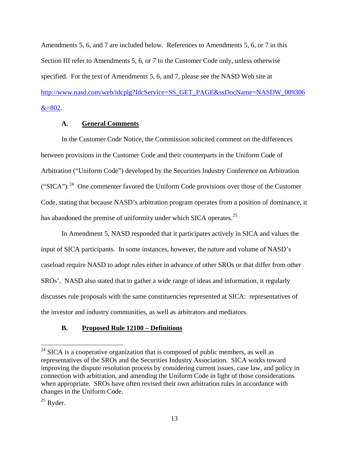Amendments 5, 6, and 7 are included below. References to Amendments 5, 6, or 7 in this Section [III](#page-10-6) refer to Amendments 5, 6, or 7 to the Customer Code only, unless otherwise specified. For the text of Amendments 5, 6, and 7, please see the NASD Web site at [http://www.nasd.com/web/idcplg?IdcService=SS\\_GET\\_PAGE&ssDocName=NASDW\\_009306](http://www.nasd.com/web/idcplg?IdcService=SS_GET_PAGE&ssDocName=NASDW_009306&=802)  $&=802.$  $&=802.$ 

### **A. General Comments**

In the Customer Code Notice, the Commission solicited comment on the differences between provisions in the Customer Code and their counterparts in the Uniform Code of Arbitration ("Uniform Code") developed by the Securities Industry Conference on Arbitration ("SICA").<sup>[24](#page-12-0)</sup> One commenter favored the Uniform Code provisions over those of the Customer Code, stating that because NASD's arbitration program operates from a position of dominance, it has abandoned the premise of uniformity under which SICA operates.<sup>[25](#page-12-1)</sup>

In Amendment 5, NASD responded that it participates actively in SICA and values the input of SICA participants. In some instances, however, the nature and volume of NASD's caseload require NASD to adopt rules either in advance of other SROs or that differ from other SROs'. NASD also stated that to gather a wide range of ideas and information, it regularly discusses rule proposals with the same constituencies represented at SICA: representatives of the investor and industry communities, as well as arbitrators and mediators.

# **B. Proposed Rule 12100 – Definitions**

<span id="page-12-0"></span> $24$  SICA is a cooperative organization that is composed of public members, as well as representatives of the SROs and the Securities Industry Association. SICA works toward improving the dispute resolution process by considering current issues, case law, and policy in connection with arbitration, and amending the Uniform Code in light of those considerations when appropriate. SROs have often revised their own arbitration rules in accordance with changes in the Uniform Code.

<span id="page-12-1"></span> $^{25}$  Ryder.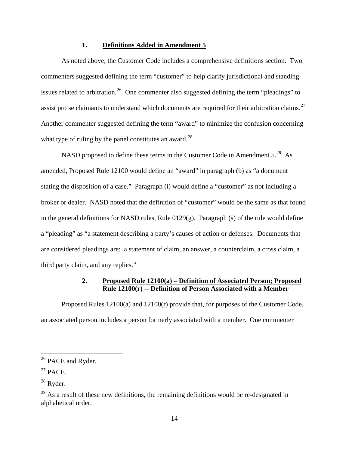### **1. Definitions Added in Amendment 5**

As noted above, the Customer Code includes a comprehensive definitions section. Two commenters suggested defining the term "customer" to help clarify jurisdictional and standing issues related to arbitration.<sup>[26](#page-13-0)</sup> One commenter also suggested defining the term "pleadings" to assist pro se claimants to understand which documents are required for their arbitration claims.<sup>[27](#page-13-1)</sup> Another commenter suggested defining the term "award" to minimize the confusion concerning what type of ruling by the panel constitutes an award.<sup>[28](#page-13-2)</sup>

NASD proposed to define these terms in the Customer Code in Amendment  $5.^{29}$  As amended, Proposed Rule 12100 would define an "award" in paragraph (b) as "a document stating the disposition of a case." Paragraph (i) would define a "customer" as not including a broker or dealer. NASD noted that the definition of "customer" would be the same as that found in the general definitions for NASD rules, Rule  $0129(g)$ . Paragraph (s) of the rule would define a "pleading" as "a statement describing a party's causes of action or defenses. Documents that are considered pleadings are: a statement of claim, an answer, a counterclaim, a cross claim, a third party claim, and any replies."

### **2. Proposed Rule 12100(a) – Definition of Associated Person; Proposed Rule 12100(r) -- Definition of Person Associated with a Member**

Proposed Rules 12100(a) and 12100(r) provide that, for purposes of the Customer Code, an associated person includes a person formerly associated with a member. One commenter

<span id="page-13-0"></span><sup>&</sup>lt;sup>26</sup> PACE and Ryder.

<span id="page-13-1"></span> $27$  PACE.

<span id="page-13-2"></span><sup>28</sup> Ryder.

<span id="page-13-3"></span> $^{29}$  As a result of these new definitions, the remaining definitions would be re-designated in alphabetical order.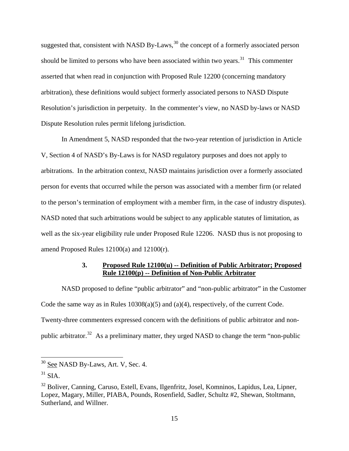suggested that, consistent with NASD By-Laws,  $30$  the concept of a formerly associated person should be limited to persons who have been associated within two years.<sup>[31](#page-14-1)</sup> This commenter asserted that when read in conjunction with Proposed Rule 12200 (concerning mandatory arbitration), these definitions would subject formerly associated persons to NASD Dispute Resolution's jurisdiction in perpetuity. In the commenter's view, no NASD by-laws or NASD Dispute Resolution rules permit lifelong jurisdiction.

In Amendment 5, NASD responded that the two-year retention of jurisdiction in Article V, Section 4 of NASD's By-Laws is for NASD regulatory purposes and does not apply to arbitrations. In the arbitration context, NASD maintains jurisdiction over a formerly associated person for events that occurred while the person was associated with a member firm (or related to the person's termination of employment with a member firm, in the case of industry disputes). NASD noted that such arbitrations would be subject to any applicable statutes of limitation, as well as the six-year eligibility rule under Proposed Rule 12206. NASD thus is not proposing to amend Proposed Rules 12100(a) and 12100(r).

# **3. Proposed Rule 12100(u) -- Definition of Public Arbitrator; Proposed Rule 12100(p) -- Definition of Non-Public Arbitrator**

NASD proposed to define "public arbitrator" and "non-public arbitrator" in the Customer Code the same way as in Rules 10308(a)(5) and (a)(4), respectively, of the current Code. Twenty-three commenters expressed concern with the definitions of public arbitrator and non-public arbitrator.<sup>[32](#page-14-2)</sup> As a preliminary matter, they urged NASD to change the term "non-public

<span id="page-14-0"></span> $30$  See NASD By-Laws, Art. V, Sec. 4.

<span id="page-14-1"></span> $31$  SIA.

<span id="page-14-2"></span><sup>&</sup>lt;sup>32</sup> Boliver, Canning, Caruso, Estell, Evans, Ilgenfritz, Josel, Komninos, Lapidus, Lea, Lipner, Lopez, Magary, Miller, PIABA, Pounds, Rosenfield, Sadler, Schultz #2, Shewan, Stoltmann, Sutherland, and Willner.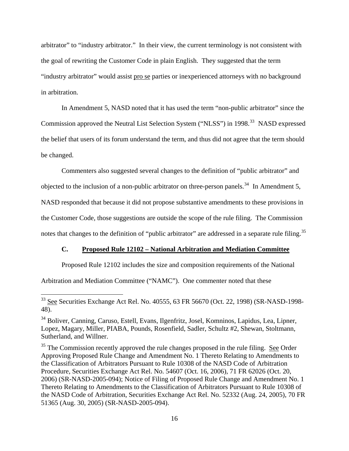arbitrator" to "industry arbitrator." In their view, the current terminology is not consistent with the goal of rewriting the Customer Code in plain English. They suggested that the term "industry arbitrator" would assist pro se parties or inexperienced attorneys with no background in arbitration.

In Amendment 5, NASD noted that it has used the term "non-public arbitrator" since the Commission approved the Neutral List Selection System ("NLSS") in 1998.<sup>[33](#page-15-0)</sup> NASD expressed the belief that users of its forum understand the term, and thus did not agree that the term should be changed.

Commenters also suggested several changes to the definition of "public arbitrator" and objected to the inclusion of a non-public arbitrator on three-person panels.<sup>[34](#page-15-1)</sup> In Amendment 5, NASD responded that because it did not propose substantive amendments to these provisions in the Customer Code, those suggestions are outside the scope of the rule filing. The Commission notes that changes to the definition of "public arbitrator" are addressed in a separate rule filing.<sup>[35](#page-15-2)</sup>

### **C. Proposed Rule 12102 – National Arbitration and Mediation Committee**

Proposed Rule 12102 includes the size and composition requirements of the National

Arbitration and Mediation Committee ("NAMC"). One commenter noted that these

<span id="page-15-0"></span> $33$  See Securities Exchange Act Rel. No. 40555, 63 FR 56670 (Oct. 22, 1998) (SR-NASD-1998-48).

<span id="page-15-1"></span><sup>&</sup>lt;sup>34</sup> Boliver, Canning, Caruso, Estell, Evans, Ilgenfritz, Josel, Komninos, Lapidus, Lea, Lipner, Lopez, Magary, Miller, PIABA, Pounds, Rosenfield, Sadler, Schultz #2, Shewan, Stoltmann, Sutherland, and Willner.

<span id="page-15-2"></span> $35$  The Commission recently approved the rule changes proposed in the rule filing. See Order Approving Proposed Rule Change and Amendment No. 1 Thereto Relating to Amendments to the Classification of Arbitrators Pursuant to Rule 10308 of the NASD Code of Arbitration Procedure, Securities Exchange Act Rel. No. 54607 (Oct. 16, 2006), 71 FR 62026 (Oct. 20, 2006) (SR-NASD-2005-094); Notice of Filing of Proposed Rule Change and Amendment No. 1 Thereto Relating to Amendments to the Classification of Arbitrators Pursuant to Rule 10308 of the NASD Code of Arbitration, Securities Exchange Act Rel. No. 52332 (Aug. 24, 2005), 70 FR 51365 (Aug. 30, 2005) (SR-NASD-2005-094).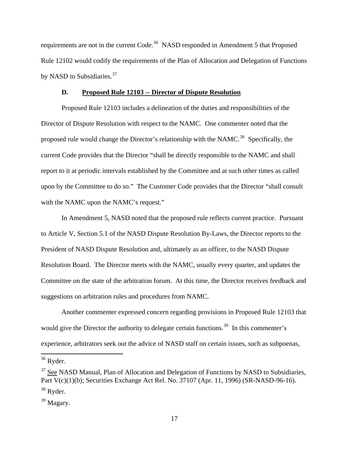requirements are not in the current Code.<sup>[36](#page-16-0)</sup> NASD responded in Amendment 5 that Proposed Rule 12102 would codify the requirements of the Plan of Allocation and Delegation of Functions by NASD to Subsidiaries.<sup>[37](#page-16-1)</sup>

#### **D. Proposed Rule 12103 -- Director of Dispute Resolution**

Proposed Rule 12103 includes a delineation of the duties and responsibilities of the Director of Dispute Resolution with respect to the NAMC. One commenter noted that the proposed rule would change the Director's relationship with the NAMC.<sup>[38](#page-16-2)</sup> Specifically, the current Code provides that the Director "shall be directly responsible to the NAMC and shall report to it at periodic intervals established by the Committee and at such other times as called upon by the Committee to do so." The Customer Code provides that the Director "shall consult with the NAMC upon the NAMC's request."

In Amendment 5, NASD noted that the proposed rule reflects current practice. Pursuant to Article V, Section 5.1 of the NASD Dispute Resolution By-Laws, the Director reports to the President of NASD Dispute Resolution and, ultimately as an officer, to the NASD Dispute Resolution Board. The Director meets with the NAMC, usually every quarter, and updates the Committee on the state of the arbitration forum. At this time, the Director receives feedback and suggestions on arbitration rules and procedures from NAMC.

Another commenter expressed concern regarding provisions in Proposed Rule 12103 that would give the Director the authority to delegate certain functions.<sup>[39](#page-16-3)</sup> In this commenter's experience, arbitrators seek out the advice of NASD staff on certain issues, such as subpoenas,

<span id="page-16-0"></span> $36$  Ryder.

<span id="page-16-1"></span> $37$  See NASD Manual, Plan of Allocation and Delegation of Functions by NASD to Subsidiaries, Part V(c)(1)(b); Securities Exchange Act Rel. No. 37107 (Apr. 11, 1996) (SR-NASD-96-16). 38 Ryder.

<span id="page-16-3"></span><span id="page-16-2"></span><sup>39</sup> Magary.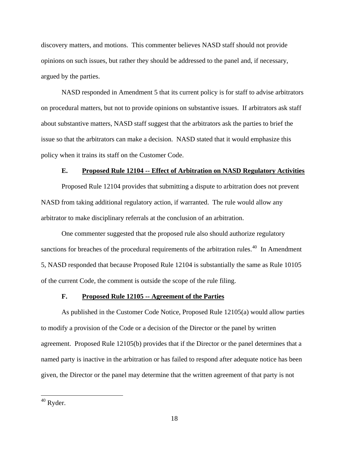discovery matters, and motions. This commenter believes NASD staff should not provide opinions on such issues, but rather they should be addressed to the panel and, if necessary, argued by the parties.

NASD responded in Amendment 5 that its current policy is for staff to advise arbitrators on procedural matters, but not to provide opinions on substantive issues. If arbitrators ask staff about substantive matters, NASD staff suggest that the arbitrators ask the parties to brief the issue so that the arbitrators can make a decision. NASD stated that it would emphasize this policy when it trains its staff on the Customer Code.

#### **E. Proposed Rule 12104 -- Effect of Arbitration on NASD Regulatory Activities**

 Proposed Rule 12104 provides that submitting a dispute to arbitration does not prevent NASD from taking additional regulatory action, if warranted. The rule would allow any arbitrator to make disciplinary referrals at the conclusion of an arbitration.

One commenter suggested that the proposed rule also should authorize regulatory sanctions for breaches of the procedural requirements of the arbitration rules.<sup>[40](#page-17-0)</sup> In Amendment 5, NASD responded that because Proposed Rule 12104 is substantially the same as Rule 10105 of the current Code, the comment is outside the scope of the rule filing.

#### **F. Proposed Rule 12105 -- Agreement of the Parties**

As published in the Customer Code Notice, Proposed Rule 12105(a) would allow parties to modify a provision of the Code or a decision of the Director or the panel by written agreement. Proposed Rule 12105(b) provides that if the Director or the panel determines that a named party is inactive in the arbitration or has failed to respond after adequate notice has been given, the Director or the panel may determine that the written agreement of that party is not

<span id="page-17-0"></span> $40$  Ryder.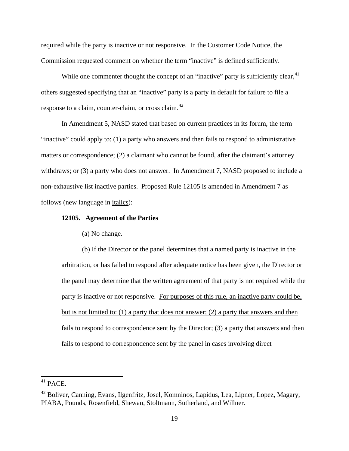required while the party is inactive or not responsive. In the Customer Code Notice, the Commission requested comment on whether the term "inactive" is defined sufficiently.

While one commenter thought the concept of an "inactive" party is sufficiently clear,  $41$ others suggested specifying that an "inactive" party is a party in default for failure to file a response to a claim, counter-claim, or cross claim.<sup> $42$ </sup>

In Amendment 5, NASD stated that based on current practices in its forum, the term "inactive" could apply to: (1) a party who answers and then fails to respond to administrative matters or correspondence; (2) a claimant who cannot be found, after the claimant's attorney withdraws; or (3) a party who does not answer. In Amendment 7, NASD proposed to include a non-exhaustive list inactive parties. Proposed Rule 12105 is amended in Amendment 7 as follows (new language in italics):

#### **12105. Agreement of the Parties**

(a) No change.

(b) If the Director or the panel determines that a named party is inactive in the arbitration, or has failed to respond after adequate notice has been given, the Director or the panel may determine that the written agreement of that party is not required while the party is inactive or not responsive. For purposes of this rule, an inactive party could be, but is not limited to: (1) a party that does not answer; (2) a party that answers and then fails to respond to correspondence sent by the Director; (3) a party that answers and then fails to respond to correspondence sent by the panel in cases involving direct

<span id="page-18-0"></span> $41$  PACE.

<span id="page-18-1"></span> $42$  Boliver, Canning, Evans, Ilgenfritz, Josel, Komninos, Lapidus, Lea, Lipner, Lopez, Magary, PIABA, Pounds, Rosenfield, Shewan, Stoltmann, Sutherland, and Willner.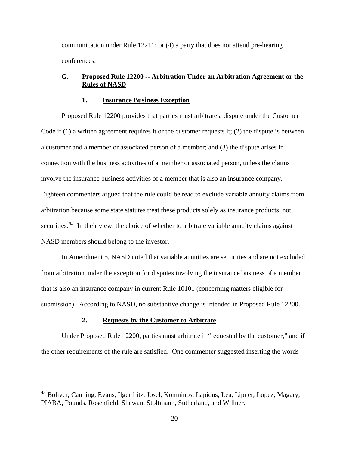communication under Rule 12211; or (4) a party that does not attend pre-hearing conferences.

# **G. Proposed Rule 12200 -- Arbitration Under an Arbitration Agreement or the Rules of NASD**

# **1. Insurance Business Exception**

Proposed Rule 12200 provides that parties must arbitrate a dispute under the Customer Code if (1) a written agreement requires it or the customer requests it; (2) the dispute is between a customer and a member or associated person of a member; and (3) the dispute arises in connection with the business activities of a member or associated person, unless the claims involve the insurance business activities of a member that is also an insurance company. Eighteen commenters argued that the rule could be read to exclude variable annuity claims from arbitration because some state statutes treat these products solely as insurance products, not securities.<sup>[43](#page-19-0)</sup> In their view, the choice of whether to arbitrate variable annuity claims against NASD members should belong to the investor.

In Amendment 5, NASD noted that variable annuities are securities and are not excluded from arbitration under the exception for disputes involving the insurance business of a member that is also an insurance company in current Rule 10101 (concerning matters eligible for submission). According to NASD, no substantive change is intended in Proposed Rule 12200.

### **2. Requests by the Customer to Arbitrate**

 $\overline{a}$ 

<span id="page-19-1"></span>Under Proposed Rule 12200, parties must arbitrate if "requested by the customer," and if the other requirements of the rule are satisfied. One commenter suggested inserting the words

<span id="page-19-0"></span><sup>&</sup>lt;sup>43</sup> Boliver, Canning, Evans, Ilgenfritz, Josel, Komninos, Lapidus, Lea, Lipner, Lopez, Magary, PIABA, Pounds, Rosenfield, Shewan, Stoltmann, Sutherland, and Willner.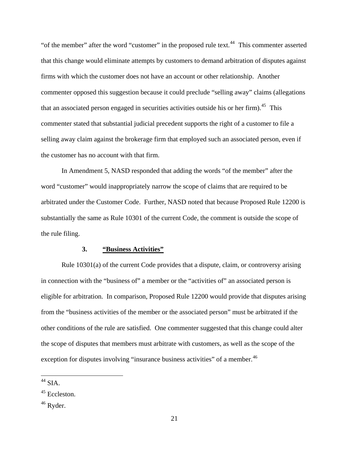"of the member" after the word "customer" in the proposed rule text.<sup>[44](#page-20-0)</sup> This commenter asserted that this change would eliminate attempts by customers to demand arbitration of disputes against firms with which the customer does not have an account or other relationship. Another commenter opposed this suggestion because it could preclude "selling away" claims (allegations that an associated person engaged in securities activities outside his or her firm).<sup>[45](#page-20-1)</sup> This commenter stated that substantial judicial precedent supports the right of a customer to file a selling away claim against the brokerage firm that employed such an associated person, even if the customer has no account with that firm.

In Amendment 5, NASD responded that adding the words "of the member" after the word "customer" would inappropriately narrow the scope of claims that are required to be arbitrated under the Customer Code. Further, NASD noted that because Proposed Rule 12200 is substantially the same as Rule 10301 of the current Code, the comment is outside the scope of the rule filing.

#### **3. "Business Activities"**

Rule 10301(a) of the current Code provides that a dispute, claim, or controversy arising in connection with the "business of" a member or the "activities of" an associated person is eligible for arbitration. In comparison, Proposed Rule 12200 would provide that disputes arising from the "business activities of the member or the associated person" must be arbitrated if the other conditions of the rule are satisfied. One commenter suggested that this change could alter the scope of disputes that members must arbitrate with customers, as well as the scope of the exception for disputes involving "insurance business activities" of a member.<sup>[46](#page-20-2)</sup>

<span id="page-20-0"></span> $44$  SIA.

<span id="page-20-1"></span> $45$  Eccleston.

<span id="page-20-2"></span><sup>&</sup>lt;sup>46</sup> Ryder.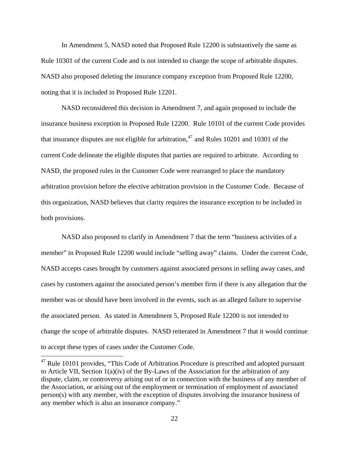In Amendment 5, NASD noted that Proposed Rule 12200 is substantively the same as Rule 10301 of the current Code and is not intended to change the scope of arbitrable disputes. NASD also proposed deleting the insurance company exception from Proposed Rule 12200, noting that it is included in Proposed Rule 12201.

NASD reconsidered this decision in Amendment 7, and again proposed to include the insurance business exception in Proposed Rule 12200. Rule 10101 of the current Code provides that insurance disputes are not eligible for arbitration,  $47$  and Rules 10201 and 10301 of the current Code delineate the eligible disputes that parties are required to arbitrate. According to NASD, the proposed rules in the Customer Code were rearranged to place the mandatory arbitration provision before the elective arbitration provision in the Customer Code. Because of this organization, NASD believes that clarity requires the insurance exception to be included in both provisions.

NASD also proposed to clarify in Amendment 7 that the term "business activities of a member" in Proposed Rule 12200 would include "selling away" claims. Under the current Code, NASD accepts cases brought by customers against associated persons in selling away cases, and cases by customers against the associated person's member firm if there is any allegation that the member was or should have been involved in the events, such as an alleged failure to supervise the associated person. As stated in Amendment 5, Proposed Rule 12200 is not intended to change the scope of arbitrable disputes. NASD reiterated in Amendment 7 that it would continue to accept these types of cases under the Customer Code.

<span id="page-21-0"></span> $^{47}$  Rule 10101 provides, "This Code of Arbitration Procedure is prescribed and adopted pursuant to Article VII, Section 1(a)(iv) of the By-Laws of the Association for the arbitration of any dispute, claim, or controversy arising out of or in connection with the business of any member of the Association, or arising out of the employment or termination of employment of associated person(s) with any member, with the exception of disputes involving the insurance business of any member which is also an insurance company."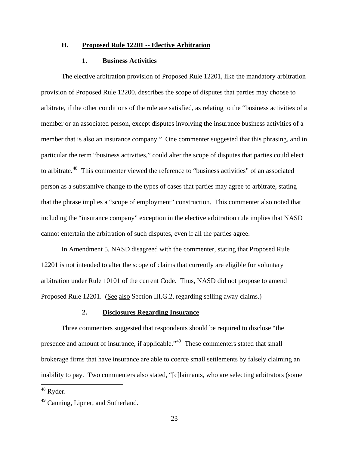#### **H. Proposed Rule 12201 -- Elective Arbitration**

### **1. Business Activities**

The elective arbitration provision of Proposed Rule 12201, like the mandatory arbitration provision of Proposed Rule 12200, describes the scope of disputes that parties may choose to arbitrate, if the other conditions of the rule are satisfied, as relating to the "business activities of a member or an associated person, except disputes involving the insurance business activities of a member that is also an insurance company." One commenter suggested that this phrasing, and in particular the term "business activities," could alter the scope of disputes that parties could elect to arbitrate.[48](#page-22-0) This commenter viewed the reference to "business activities" of an associated person as a substantive change to the types of cases that parties may agree to arbitrate, stating that the phrase implies a "scope of employment" construction. This commenter also noted that including the "insurance company" exception in the elective arbitration rule implies that NASD cannot entertain the arbitration of such disputes, even if all the parties agree.

In Amendment 5, NASD disagreed with the commenter, stating that Proposed Rule 12201 is not intended to alter the scope of claims that currently are eligible for voluntary arbitration under Rule 10101 of the current Code. Thus, NASD did not propose to amend Proposed Rule 12201. (See also Section [III.G.2,](#page-19-1) regarding selling away claims.)

#### **2. Disclosures Regarding Insurance**

Three commenters suggested that respondents should be required to disclose "the presence and amount of insurance, if applicable."[49](#page-22-1) These commenters stated that small brokerage firms that have insurance are able to coerce small settlements by falsely claiming an inability to pay. Two commenters also stated, "[c]laimants, who are selecting arbitrators (some

<span id="page-22-0"></span> $48$  Ryder.

<span id="page-22-1"></span><sup>&</sup>lt;sup>49</sup> Canning, Lipner, and Sutherland.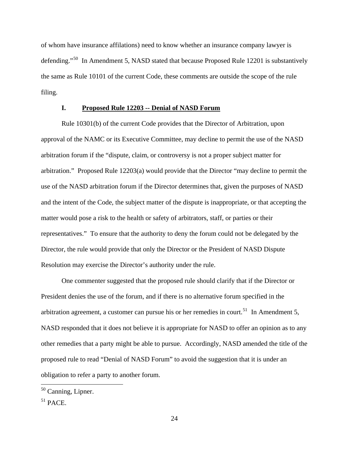of whom have insurance affilations) need to know whether an insurance company lawyer is defending."<sup>[50](#page-23-0)</sup> In Amendment 5, NASD stated that because Proposed Rule 12201 is substantively the same as Rule 10101 of the current Code, these comments are outside the scope of the rule filing.

# **I. Proposed Rule 12203 -- Denial of NASD Forum**

Rule 10301(b) of the current Code provides that the Director of Arbitration, upon approval of the NAMC or its Executive Committee, may decline to permit the use of the NASD arbitration forum if the "dispute, claim, or controversy is not a proper subject matter for arbitration." Proposed Rule 12203(a) would provide that the Director "may decline to permit the use of the NASD arbitration forum if the Director determines that, given the purposes of NASD and the intent of the Code, the subject matter of the dispute is inappropriate, or that accepting the matter would pose a risk to the health or safety of arbitrators, staff, or parties or their representatives." To ensure that the authority to deny the forum could not be delegated by the Director, the rule would provide that only the Director or the President of NASD Dispute Resolution may exercise the Director's authority under the rule.

One commenter suggested that the proposed rule should clarify that if the Director or President denies the use of the forum, and if there is no alternative forum specified in the arbitration agreement, a customer can pursue his or her remedies in court.<sup>[51](#page-23-1)</sup> In Amendment 5, NASD responded that it does not believe it is appropriate for NASD to offer an opinion as to any other remedies that a party might be able to pursue. Accordingly, NASD amended the title of the proposed rule to read "Denial of NASD Forum" to avoid the suggestion that it is under an obligation to refer a party to another forum.

<span id="page-23-0"></span> $50$  Canning, Lipner.

<span id="page-23-1"></span> $51$  PACE.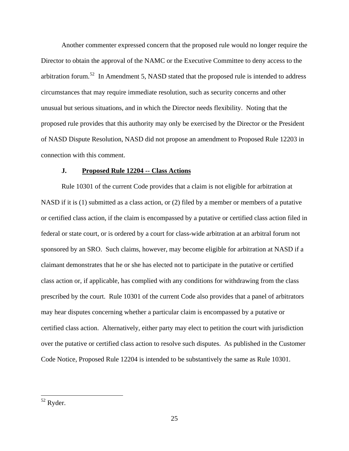Another commenter expressed concern that the proposed rule would no longer require the Director to obtain the approval of the NAMC or the Executive Committee to deny access to the arbitration forum.<sup>[52](#page-24-0)</sup> In Amendment 5, NASD stated that the proposed rule is intended to address circumstances that may require immediate resolution, such as security concerns and other unusual but serious situations, and in which the Director needs flexibility. Noting that the proposed rule provides that this authority may only be exercised by the Director or the President of NASD Dispute Resolution, NASD did not propose an amendment to Proposed Rule 12203 in connection with this comment.

#### **J. Proposed Rule 12204 -- Class Actions**

Rule 10301 of the current Code provides that a claim is not eligible for arbitration at NASD if it is (1) submitted as a class action, or (2) filed by a member or members of a putative or certified class action, if the claim is encompassed by a putative or certified class action filed in federal or state court, or is ordered by a court for class-wide arbitration at an arbitral forum not sponsored by an SRO. Such claims, however, may become eligible for arbitration at NASD if a claimant demonstrates that he or she has elected not to participate in the putative or certified class action or, if applicable, has complied with any conditions for withdrawing from the class prescribed by the court. Rule 10301 of the current Code also provides that a panel of arbitrators may hear disputes concerning whether a particular claim is encompassed by a putative or certified class action. Alternatively, either party may elect to petition the court with jurisdiction over the putative or certified class action to resolve such disputes. As published in the Customer Code Notice, Proposed Rule 12204 is intended to be substantively the same as Rule 10301.

<span id="page-24-0"></span><sup>&</sup>lt;sup>52</sup> Ryder.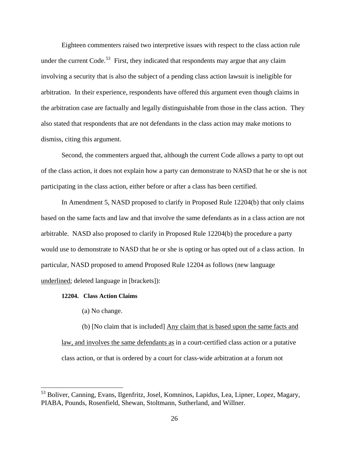Eighteen commenters raised two interpretive issues with respect to the class action rule under the current Code.<sup>[53](#page-25-0)</sup> First, they indicated that respondents may argue that any claim involving a security that is also the subject of a pending class action lawsuit is ineligible for arbitration. In their experience, respondents have offered this argument even though claims in the arbitration case are factually and legally distinguishable from those in the class action. They also stated that respondents that are not defendants in the class action may make motions to dismiss, citing this argument.

Second, the commenters argued that, although the current Code allows a party to opt out of the class action, it does not explain how a party can demonstrate to NASD that he or she is not participating in the class action, either before or after a class has been certified.

In Amendment 5, NASD proposed to clarify in Proposed Rule 12204(b) that only claims based on the same facts and law and that involve the same defendants as in a class action are not arbitrable. NASD also proposed to clarify in Proposed Rule 12204(b) the procedure a party would use to demonstrate to NASD that he or she is opting or has opted out of a class action. In particular, NASD proposed to amend Proposed Rule 12204 as follows (new language underlined; deleted language in [brackets]):

#### **12204. Class Action Claims**

(a) No change.

 $\overline{a}$ 

(b) [No claim that is included] Any claim that is based upon the same facts and law, and involves the same defendants as in a court-certified class action or a putative class action, or that is ordered by a court for class-wide arbitration at a forum not

<span id="page-25-0"></span><sup>&</sup>lt;sup>53</sup> Boliver, Canning, Evans, Ilgenfritz, Josel, Komninos, Lapidus, Lea, Lipner, Lopez, Magary, PIABA, Pounds, Rosenfield, Shewan, Stoltmann, Sutherland, and Willner.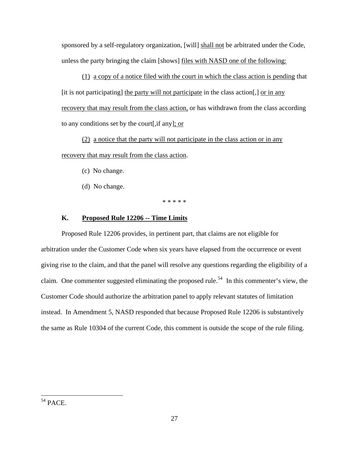sponsored by a self-regulatory organization, [will] shall not be arbitrated under the Code, unless the party bringing the claim [shows] files with NASD one of the following:

(1) a copy of a notice filed with the court in which the class action is pending that [it is not participating] the party will not participate in the class action[,] or in any recovery that may result from the class action, or has withdrawn from the class according to any conditions set by the court[,if any]; or

(2) a notice that the party will not participate in the class action or in any recovery that may result from the class action.

(c) No change.

(d) No change.

\* \* \* \* \*

# **K. Proposed Rule 12206 -- Time Limits**

Proposed Rule 12206 provides, in pertinent part, that claims are not eligible for arbitration under the Customer Code when six years have elapsed from the occurrence or event giving rise to the claim, and that the panel will resolve any questions regarding the eligibility of a claim. One commenter suggested eliminating the proposed rule.<sup>[54](#page-26-0)</sup> In this commenter's view, the Customer Code should authorize the arbitration panel to apply relevant statutes of limitation instead. In Amendment 5, NASD responded that because Proposed Rule 12206 is substantively the same as Rule 10304 of the current Code, this comment is outside the scope of the rule filing.

<span id="page-26-0"></span> $\overline{a}$ 54 PACE.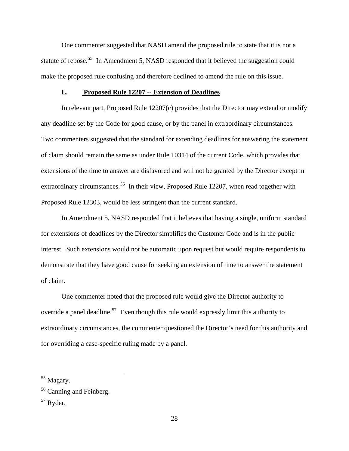One commenter suggested that NASD amend the proposed rule to state that it is not a statute of repose.<sup>[55](#page-27-0)</sup> In Amendment 5, NASD responded that it believed the suggestion could make the proposed rule confusing and therefore declined to amend the rule on this issue.

#### **L. Proposed Rule 12207 -- Extension of Deadlines**

In relevant part, Proposed Rule 12207(c) provides that the Director may extend or modify any deadline set by the Code for good cause, or by the panel in extraordinary circumstances. Two commenters suggested that the standard for extending deadlines for answering the statement of claim should remain the same as under Rule 10314 of the current Code, which provides that extensions of the time to answer are disfavored and will not be granted by the Director except in extraordinary circumstances.<sup>[56](#page-27-1)</sup> In their view, Proposed Rule 12207, when read together with Proposed Rule 12303, would be less stringent than the current standard.

In Amendment 5, NASD responded that it believes that having a single, uniform standard for extensions of deadlines by the Director simplifies the Customer Code and is in the public interest. Such extensions would not be automatic upon request but would require respondents to demonstrate that they have good cause for seeking an extension of time to answer the statement of claim.

One commenter noted that the proposed rule would give the Director authority to override a panel deadline.<sup>[57](#page-27-2)</sup> Even though this rule would expressly limit this authority to extraordinary circumstances, the commenter questioned the Director's need for this authority and for overriding a case-specific ruling made by a panel.

 $\overline{a}$ 

<span id="page-27-2"></span>57 Ryder.

<span id="page-27-0"></span><sup>&</sup>lt;sup>55</sup> Magary.

<span id="page-27-1"></span><sup>&</sup>lt;sup>56</sup> Canning and Feinberg.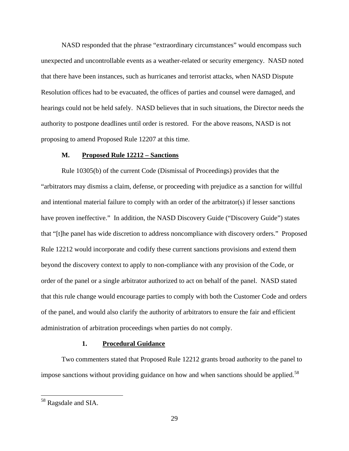NASD responded that the phrase "extraordinary circumstances" would encompass such unexpected and uncontrollable events as a weather-related or security emergency. NASD noted that there have been instances, such as hurricanes and terrorist attacks, when NASD Dispute Resolution offices had to be evacuated, the offices of parties and counsel were damaged, and hearings could not be held safely. NASD believes that in such situations, the Director needs the authority to postpone deadlines until order is restored. For the above reasons, NASD is not proposing to amend Proposed Rule 12207 at this time.

### **M. Proposed Rule 12212 – Sanctions**

Rule 10305(b) of the current Code (Dismissal of Proceedings) provides that the "arbitrators may dismiss a claim, defense, or proceeding with prejudice as a sanction for willful and intentional material failure to comply with an order of the arbitrator(s) if lesser sanctions have proven ineffective." In addition, the NASD Discovery Guide ("Discovery Guide") states that "[t]he panel has wide discretion to address noncompliance with discovery orders." Proposed Rule 12212 would incorporate and codify these current sanctions provisions and extend them beyond the discovery context to apply to non-compliance with any provision of the Code, or order of the panel or a single arbitrator authorized to act on behalf of the panel. NASD stated that this rule change would encourage parties to comply with both the Customer Code and orders of the panel, and would also clarify the authority of arbitrators to ensure the fair and efficient administration of arbitration proceedings when parties do not comply.

#### **1. Procedural Guidance**

Two commenters stated that Proposed Rule 12212 grants broad authority to the panel to impose sanctions without providing guidance on how and when sanctions should be applied.<sup>[58](#page-28-0)</sup>

<u>.</u>

<span id="page-28-0"></span><sup>&</sup>lt;sup>58</sup> Ragsdale and SIA.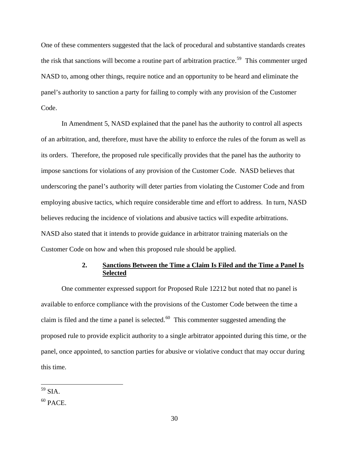One of these commenters suggested that the lack of procedural and substantive standards creates the risk that sanctions will become a routine part of arbitration practice.<sup>[59](#page-29-0)</sup> This commenter urged NASD to, among other things, require notice and an opportunity to be heard and eliminate the panel's authority to sanction a party for failing to comply with any provision of the Customer Code.

In Amendment 5, NASD explained that the panel has the authority to control all aspects of an arbitration, and, therefore, must have the ability to enforce the rules of the forum as well as its orders. Therefore, the proposed rule specifically provides that the panel has the authority to impose sanctions for violations of any provision of the Customer Code. NASD believes that underscoring the panel's authority will deter parties from violating the Customer Code and from employing abusive tactics, which require considerable time and effort to address. In turn, NASD believes reducing the incidence of violations and abusive tactics will expedite arbitrations. NASD also stated that it intends to provide guidance in arbitrator training materials on the Customer Code on how and when this proposed rule should be applied.

# **2. Sanctions Between the Time a Claim Is Filed and the Time a Panel Is Selected**

One commenter expressed support for Proposed Rule 12212 but noted that no panel is available to enforce compliance with the provisions of the Customer Code between the time a claim is filed and the time a panel is selected. $60$  This commenter suggested amending the proposed rule to provide explicit authority to a single arbitrator appointed during this time, or the panel, once appointed, to sanction parties for abusive or violative conduct that may occur during this time.

<span id="page-29-0"></span> $59$  SIA.

<span id="page-29-1"></span> $60$  PACE.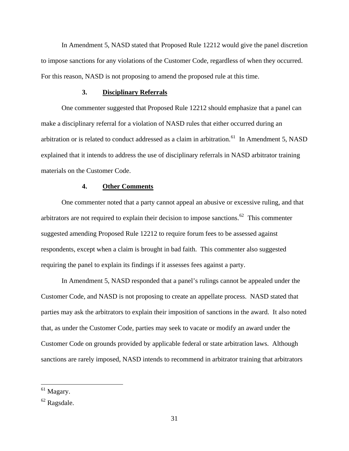In Amendment 5, NASD stated that Proposed Rule 12212 would give the panel discretion to impose sanctions for any violations of the Customer Code, regardless of when they occurred. For this reason, NASD is not proposing to amend the proposed rule at this time.

#### **3. Disciplinary Referrals**

One commenter suggested that Proposed Rule 12212 should emphasize that a panel can make a disciplinary referral for a violation of NASD rules that either occurred during an arbitration or is related to conduct addressed as a claim in arbitration.<sup>[61](#page-30-0)</sup> In Amendment 5, NASD explained that it intends to address the use of disciplinary referrals in NASD arbitrator training materials on the Customer Code.

### **4. Other Comments**

One commenter noted that a party cannot appeal an abusive or excessive ruling, and that arbitrators are not required to explain their decision to impose sanctions.<sup>[62](#page-30-1)</sup> This commenter suggested amending Proposed Rule 12212 to require forum fees to be assessed against respondents, except when a claim is brought in bad faith. This commenter also suggested requiring the panel to explain its findings if it assesses fees against a party.

In Amendment 5, NASD responded that a panel's rulings cannot be appealed under the Customer Code, and NASD is not proposing to create an appellate process. NASD stated that parties may ask the arbitrators to explain their imposition of sanctions in the award. It also noted that, as under the Customer Code, parties may seek to vacate or modify an award under the Customer Code on grounds provided by applicable federal or state arbitration laws. Although sanctions are rarely imposed, NASD intends to recommend in arbitrator training that arbitrators

<span id="page-30-0"></span><sup>&</sup>lt;sup>61</sup> Magary.

<span id="page-30-1"></span><sup>62</sup> Ragsdale.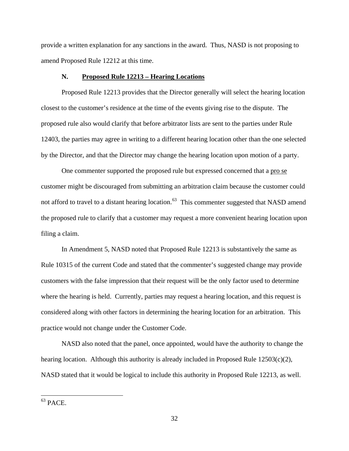provide a written explanation for any sanctions in the award. Thus, NASD is not proposing to amend Proposed Rule 12212 at this time.

#### **N. Proposed Rule 12213 – Hearing Locations**

Proposed Rule 12213 provides that the Director generally will select the hearing location closest to the customer's residence at the time of the events giving rise to the dispute. The proposed rule also would clarify that before arbitrator lists are sent to the parties under Rule 12403, the parties may agree in writing to a different hearing location other than the one selected by the Director, and that the Director may change the hearing location upon motion of a party.

One commenter supported the proposed rule but expressed concerned that a pro se customer might be discouraged from submitting an arbitration claim because the customer could not afford to travel to a distant hearing location.<sup>[63](#page-31-0)</sup> This commenter suggested that NASD amend the proposed rule to clarify that a customer may request a more convenient hearing location upon filing a claim.

In Amendment 5, NASD noted that Proposed Rule 12213 is substantively the same as Rule 10315 of the current Code and stated that the commenter's suggested change may provide customers with the false impression that their request will be the only factor used to determine where the hearing is held. Currently, parties may request a hearing location, and this request is considered along with other factors in determining the hearing location for an arbitration. This practice would not change under the Customer Code.

NASD also noted that the panel, once appointed, would have the authority to change the hearing location. Although this authority is already included in Proposed Rule  $12503(c)(2)$ , NASD stated that it would be logical to include this authority in Proposed Rule 12213, as well.

<span id="page-31-0"></span> $63$  PACE.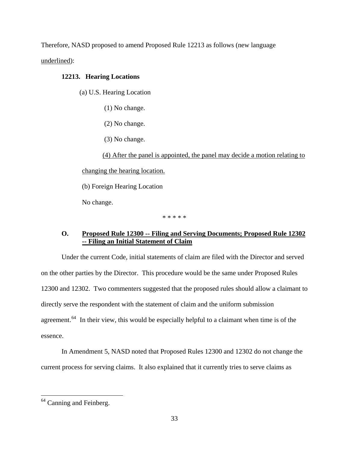Therefore, NASD proposed to amend Proposed Rule 12213 as follows (new language underlined):

#### **12213. Hearing Locations**

(a) U.S. Hearing Location

(1) No change.

(2) No change.

(3) No change.

(4) After the panel is appointed, the panel may decide a motion relating to changing the hearing location. (b) Foreign Hearing Location No change. \* \* \* \* \*

# **O. Proposed Rule 12300 -- Filing and Serving Documents; Proposed Rule 12302 -- Filing an Initial Statement of Claim**

Under the current Code, initial statements of claim are filed with the Director and served on the other parties by the Director. This procedure would be the same under Proposed Rules 12300 and 12302. Two commenters suggested that the proposed rules should allow a claimant to directly serve the respondent with the statement of claim and the uniform submission agreement.<sup>[64](#page-32-0)</sup> In their view, this would be especially helpful to a claimant when time is of the essence.

In Amendment 5, NASD noted that Proposed Rules 12300 and 12302 do not change the current process for serving claims. It also explained that it currently tries to serve claims as

<span id="page-32-0"></span> $64$  Canning and Feinberg.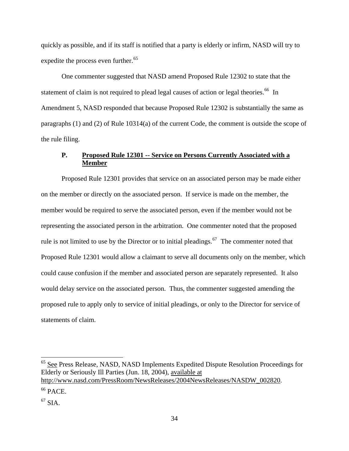quickly as possible, and if its staff is notified that a party is elderly or infirm, NASD will try to expedite the process even further.<sup>[65](#page-33-0)</sup>

One commenter suggested that NASD amend Proposed Rule 12302 to state that the statement of claim is not required to plead legal causes of action or legal theories.<sup>[66](#page-33-1)</sup> In Amendment 5, NASD responded that because Proposed Rule 12302 is substantially the same as paragraphs (1) and (2) of Rule 10314(a) of the current Code, the comment is outside the scope of the rule filing.

# **P. Proposed Rule 12301 -- Service on Persons Currently Associated with a Member**

Proposed Rule 12301 provides that service on an associated person may be made either on the member or directly on the associated person. If service is made on the member, the member would be required to serve the associated person, even if the member would not be representing the associated person in the arbitration. One commenter noted that the proposed rule is not limited to use by the Director or to initial pleadings.<sup>[67](#page-33-2)</sup> The commenter noted that Proposed Rule 12301 would allow a claimant to serve all documents only on the member, which could cause confusion if the member and associated person are separately represented. It also would delay service on the associated person. Thus, the commenter suggested amending the proposed rule to apply only to service of initial pleadings, or only to the Director for service of statements of claim.

<span id="page-33-0"></span><sup>&</sup>lt;sup>65</sup> See Press Release, NASD, NASD Implements Expedited Dispute Resolution Proceedings for Elderly or Seriously Ill Parties (Jun. 18, 2004), available at http://www.nasd.com/PressRoom/NewsReleases/2004NewsReleases/NASDW\_002820.

<span id="page-33-1"></span> $66$  PACE.

<span id="page-33-2"></span> $67$  SIA.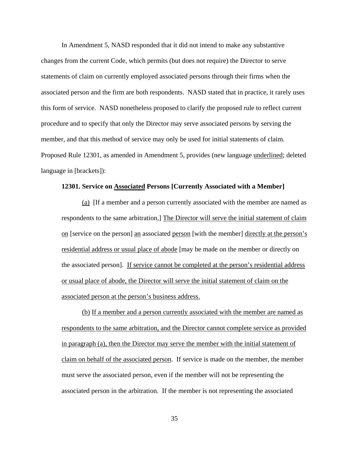In Amendment 5, NASD responded that it did not intend to make any substantive changes from the current Code, which permits (but does not require) the Director to serve statements of claim on currently employed associated persons through their firms when the associated person and the firm are both respondents. NASD stated that in practice, it rarely uses this form of service. NASD nonetheless proposed to clarify the proposed rule to reflect current procedure and to specify that only the Director may serve associated persons by serving the member, and that this method of service may only be used for initial statements of claim. Proposed Rule 12301, as amended in Amendment 5, provides (new language underlined; deleted language in [brackets]):

#### **12301. Service on Associated Persons [Currently Associated with a Member]**

(a) [If a member and a person currently associated with the member are named as respondents to the same arbitration,] The Director will serve the initial statement of claim on [service on the person] an associated person [with the member] directly at the person's residential address or usual place of abode [may be made on the member or directly on the associated person]. If service cannot be completed at the person's residential address or usual place of abode, the Director will serve the initial statement of claim on the associated person at the person's business address.

(b) If a member and a person currently associated with the member are named as respondents to the same arbitration, and the Director cannot complete service as provided in paragraph (a), then the Director may serve the member with the initial statement of claim on behalf of the associated person. If service is made on the member, the member must serve the associated person, even if the member will not be representing the associated person in the arbitration. If the member is not representing the associated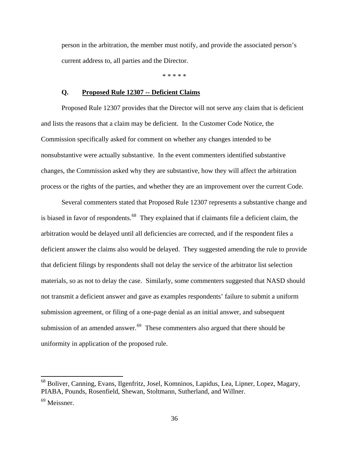person in the arbitration, the member must notify, and provide the associated person's current address to, all parties and the Director.

\* \* \* \* \*

#### **Q. Proposed Rule 12307 -- Deficient Claims**

Proposed Rule 12307 provides that the Director will not serve any claim that is deficient and lists the reasons that a claim may be deficient. In the Customer Code Notice, the Commission specifically asked for comment on whether any changes intended to be nonsubstantive were actually substantive. In the event commenters identified substantive changes, the Commission asked why they are substantive, how they will affect the arbitration process or the rights of the parties, and whether they are an improvement over the current Code.

Several commenters stated that Proposed Rule 12307 represents a substantive change and is biased in favor of respondents.<sup>[68](#page-35-0)</sup> They explained that if claimants file a deficient claim, the arbitration would be delayed until all deficiencies are corrected, and if the respondent files a deficient answer the claims also would be delayed. They suggested amending the rule to provide that deficient filings by respondents shall not delay the service of the arbitrator list selection materials, so as not to delay the case. Similarly, some commenters suggested that NASD should not transmit a deficient answer and gave as examples respondents' failure to submit a uniform submission agreement, or filing of a one-page denial as an initial answer, and subsequent submission of an amended answer.<sup>[69](#page-35-1)</sup> These commenters also argued that there should be uniformity in application of the proposed rule.

<span id="page-35-0"></span><sup>&</sup>lt;sup>68</sup> Boliver, Canning, Evans, Ilgenfritz, Josel, Komninos, Lapidus, Lea, Lipner, Lopez, Magary, PIABA, Pounds, Rosenfield, Shewan, Stoltmann, Sutherland, and Willner.

<span id="page-35-1"></span> $69$  Meissner.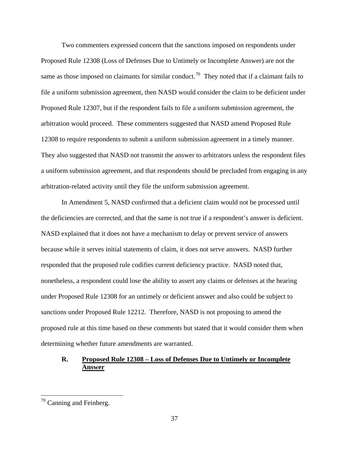Two commenters expressed concern that the sanctions imposed on respondents under Proposed Rule 12308 (Loss of Defenses Due to Untimely or Incomplete Answer) are not the same as those imposed on claimants for similar conduct.<sup>[70](#page-36-0)</sup> They noted that if a claimant fails to file a uniform submission agreement, then NASD would consider the claim to be deficient under Proposed Rule 12307, but if the respondent fails to file a uniform submission agreement, the arbitration would proceed. These commenters suggested that NASD amend Proposed Rule 12308 to require respondents to submit a uniform submission agreement in a timely manner. They also suggested that NASD not transmit the answer to arbitrators unless the respondent files a uniform submission agreement, and that respondents should be precluded from engaging in any arbitration-related activity until they file the uniform submission agreement.

In Amendment 5, NASD confirmed that a deficient claim would not be processed until the deficiencies are corrected, and that the same is not true if a respondent's answer is deficient. NASD explained that it does not have a mechanism to delay or prevent service of answers because while it serves initial statements of claim, it does not serve answers. NASD further responded that the proposed rule codifies current deficiency practice. NASD noted that, nonetheless, a respondent could lose the ability to assert any claims or defenses at the hearing under Proposed Rule 12308 for an untimely or deficient answer and also could be subject to sanctions under Proposed Rule 12212. Therefore, NASD is not proposing to amend the proposed rule at this time based on these comments but stated that it would consider them when determining whether future amendments are warranted.

## **R. Proposed Rule 12308 – Loss of Defenses Due to Untimely or Incomplete Answer**

<span id="page-36-0"></span> $70$  Canning and Feinberg.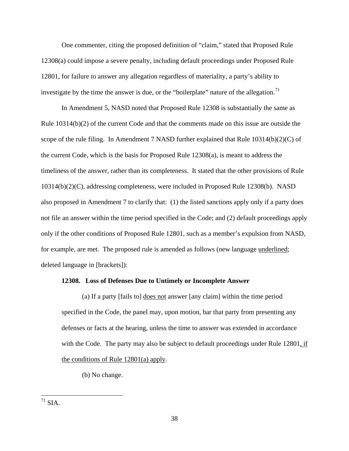One commenter, citing the proposed definition of "claim," stated that Proposed Rule 12308(a) could impose a severe penalty, including default proceedings under Proposed Rule 12801, for failure to answer any allegation regardless of materiality, a party's ability to investigate by the time the answer is due, or the "boilerplate" nature of the allegation.<sup>[71](#page-37-0)</sup>

In Amendment 5, NASD noted that Proposed Rule 12308 is substantially the same as Rule 10314(b)(2) of the current Code and that the comments made on this issue are outside the scope of the rule filing. In Amendment 7 NASD further explained that Rule  $10314(b)(2)(C)$  of the current Code, which is the basis for Proposed Rule 12308(a), is meant to address the timeliness of the answer, rather than its completeness. It stated that the other provisions of Rule 10314(b)(2)(C), addressing completeness, were included in Proposed Rule 12308(b). NASD also proposed in Amendment 7 to clarify that: (1) the listed sanctions apply only if a party does not file an answer within the time period specified in the Code; and (2) default proceedings apply only if the other conditions of Proposed Rule 12801, such as a member's expulsion from NASD, for example, are met. The proposed rule is amended as follows (new language underlined; deleted language in [brackets]):

#### **12308. Loss of Defenses Due to Untimely or Incomplete Answer**

(a) If a party [fails to] does not answer [any claim] within the time period specified in the Code, the panel may, upon motion, bar that party from presenting any defenses or facts at the hearing, unless the time to answer was extended in accordance with the Code. The party may also be subject to default proceedings under Rule 12801, if the conditions of Rule 12801(a) apply.

(b) No change.

<span id="page-37-0"></span> $171$  SIA.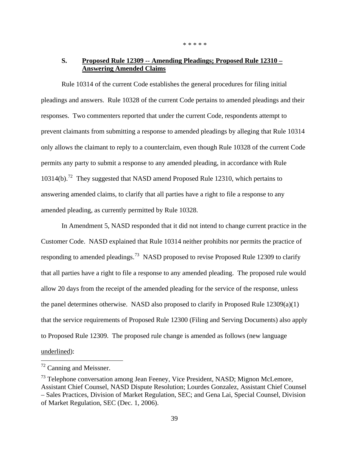\* \* \* \* \*

## **S. Proposed Rule 12309 -- Amending Pleadings; Proposed Rule 12310 – Answering Amended Claims**

Rule 10314 of the current Code establishes the general procedures for filing initial pleadings and answers. Rule 10328 of the current Code pertains to amended pleadings and their responses. Two commenters reported that under the current Code, respondents attempt to prevent claimants from submitting a response to amended pleadings by alleging that Rule 10314 only allows the claimant to reply to a counterclaim, even though Rule 10328 of the current Code permits any party to submit a response to any amended pleading, in accordance with Rule 10314(b).<sup>[72](#page-38-0)</sup> They suggested that NASD amend Proposed Rule 12310, which pertains to answering amended claims, to clarify that all parties have a right to file a response to any amended pleading, as currently permitted by Rule 10328.

In Amendment 5, NASD responded that it did not intend to change current practice in the Customer Code. NASD explained that Rule 10314 neither prohibits nor permits the practice of responding to amended pleadings.<sup>[73](#page-38-1)</sup> NASD proposed to revise Proposed Rule 12309 to clarify that all parties have a right to file a response to any amended pleading. The proposed rule would allow 20 days from the receipt of the amended pleading for the service of the response, unless the panel determines otherwise. NASD also proposed to clarify in Proposed Rule 12309(a)(1) that the service requirements of Proposed Rule 12300 (Filing and Serving Documents) also apply to Proposed Rule 12309. The proposed rule change is amended as follows (new language underlined):

<span id="page-38-0"></span> $72$  Canning and Meissner.

<span id="page-38-1"></span> $^{73}$  Telephone conversation among Jean Feeney, Vice President, NASD; Mignon McLemore, Assistant Chief Counsel, NASD Dispute Resolution; Lourdes Gonzalez, Assistant Chief Counsel – Sales Practices, Division of Market Regulation, SEC; and Gena Lai, Special Counsel, Division of Market Regulation, SEC (Dec. 1, 2006).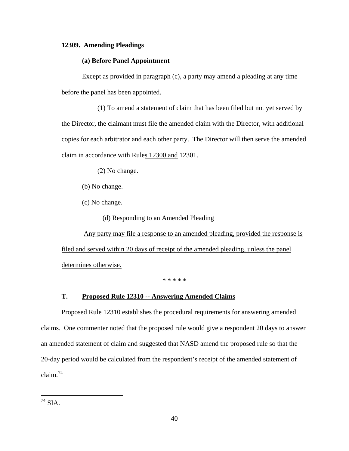### **12309. Amending Pleadings**

## **(a) Before Panel Appointment**

Except as provided in paragraph (c), a party may amend a pleading at any time before the panel has been appointed.

(1) To amend a statement of claim that has been filed but not yet served by the Director, the claimant must file the amended claim with the Director, with additional copies for each arbitrator and each other party. The Director will then serve the amended claim in accordance with Rules 12300 and 12301.

(2) No change.

(b) No change.

(c) No change.

(d) Responding to an Amended Pleading

Any party may file a response to an amended pleading, provided the response is filed and served within 20 days of receipt of the amended pleading, unless the panel determines otherwise.

\* \* \* \* \*

### **T. Proposed Rule 12310 -- Answering Amended Claims**

Proposed Rule 12310 establishes the procedural requirements for answering amended claims. One commenter noted that the proposed rule would give a respondent 20 days to answer an amended statement of claim and suggested that NASD amend the proposed rule so that the 20-day period would be calculated from the respondent's receipt of the amended statement of claim.[74](#page-39-0)

<span id="page-39-0"></span> $^{74}$  SIA.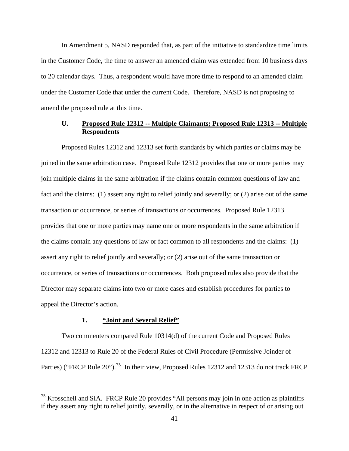In Amendment 5, NASD responded that, as part of the initiative to standardize time limits in the Customer Code, the time to answer an amended claim was extended from 10 business days to 20 calendar days. Thus, a respondent would have more time to respond to an amended claim under the Customer Code that under the current Code. Therefore, NASD is not proposing to amend the proposed rule at this time.

## **U. Proposed Rule 12312 -- Multiple Claimants; Proposed Rule 12313 -- Multiple Respondents**

Proposed Rules 12312 and 12313 set forth standards by which parties or claims may be joined in the same arbitration case. Proposed Rule 12312 provides that one or more parties may join multiple claims in the same arbitration if the claims contain common questions of law and fact and the claims: (1) assert any right to relief jointly and severally; or (2) arise out of the same transaction or occurrence, or series of transactions or occurrences. Proposed Rule 12313 provides that one or more parties may name one or more respondents in the same arbitration if the claims contain any questions of law or fact common to all respondents and the claims: (1) assert any right to relief jointly and severally; or (2) arise out of the same transaction or occurrence, or series of transactions or occurrences. Both proposed rules also provide that the Director may separate claims into two or more cases and establish procedures for parties to appeal the Director's action.

#### **1. "Joint and Several Relief"**

 $\overline{a}$ 

Two commenters compared Rule 10314(d) of the current Code and Proposed Rules 12312 and 12313 to Rule 20 of the Federal Rules of Civil Procedure (Permissive Joinder of Parties) ("FRCP Rule 20").<sup>[75](#page-40-0)</sup> In their view, Proposed Rules 12312 and 12313 do not track FRCP

<span id="page-40-0"></span> $<sup>75</sup>$  Krosschell and SIA. FRCP Rule 20 provides "All persons may join in one action as plaintiffs</sup> if they assert any right to relief jointly, severally, or in the alternative in respect of or arising out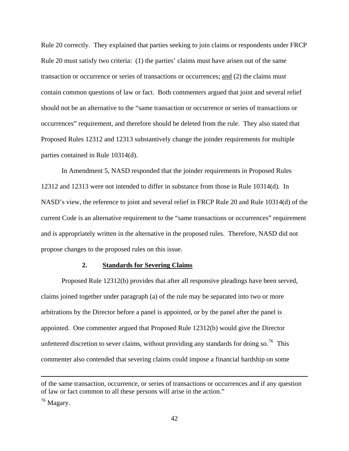Rule 20 correctly. They explained that parties seeking to join claims or respondents under FRCP Rule 20 must satisfy two criteria: (1) the parties' claims must have arisen out of the same transaction or occurrence or series of transactions or occurrences; and (2) the claims must contain common questions of law or fact. Both commenters argued that joint and several relief should not be an alternative to the "same transaction or occurrence or series of transactions or occurrences" requirement, and therefore should be deleted from the rule. They also stated that Proposed Rules 12312 and 12313 substantively change the joinder requirements for multiple parties contained in Rule 10314(d).

In Amendment 5, NASD responded that the joinder requirements in Proposed Rules 12312 and 12313 were not intended to differ in substance from those in Rule 10314(d). In NASD's view, the reference to joint and several relief in FRCP Rule 20 and Rule 10314(d) of the current Code is an alternative requirement to the "same transactions or occurrences" requirement and is appropriately written in the alternative in the proposed rules. Therefore, NASD did not propose changes to the proposed rules on this issue.

## **2. Standards for Severing Claims**

Proposed Rule 12312(b) provides that after all responsive pleadings have been served, claims joined together under paragraph (a) of the rule may be separated into two or more arbitrations by the Director before a panel is appointed, or by the panel after the panel is appointed.One commenter argued that Proposed Rule 12312(b) would give the Director unfettered discretion to sever claims, without providing any standards for doing so.<sup>[76](#page-41-0)</sup> This commenter also contended that severing claims could impose a financial hardship on some

of the same transaction, occurrence, or series of transactions or occurrences and if any question of law or fact common to all these persons will arise in the action."

<span id="page-41-0"></span><sup>76</sup> Magary.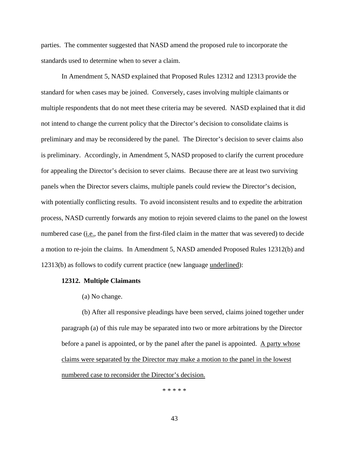parties. The commenter suggested that NASD amend the proposed rule to incorporate the standards used to determine when to sever a claim.

In Amendment 5, NASD explained that Proposed Rules 12312 and 12313 provide the standard for when cases may be joined. Conversely, cases involving multiple claimants or multiple respondents that do not meet these criteria may be severed. NASD explained that it did not intend to change the current policy that the Director's decision to consolidate claims is preliminary and may be reconsidered by the panel. The Director's decision to sever claims also is preliminary. Accordingly, in Amendment 5, NASD proposed to clarify the current procedure for appealing the Director's decision to sever claims. Because there are at least two surviving panels when the Director severs claims, multiple panels could review the Director's decision, with potentially conflicting results. To avoid inconsistent results and to expedite the arbitration process, NASD currently forwards any motion to rejoin severed claims to the panel on the lowest numbered case (i.e., the panel from the first-filed claim in the matter that was severed) to decide a motion to re-join the claims. In Amendment 5, NASD amended Proposed Rules 12312(b) and 12313(b) as follows to codify current practice (new language underlined):

#### **12312. Multiple Claimants**

#### (a) No change.

(b) After all responsive pleadings have been served, claims joined together under paragraph (a) of this rule may be separated into two or more arbitrations by the Director before a panel is appointed, or by the panel after the panel is appointed. A party whose claims were separated by the Director may make a motion to the panel in the lowest numbered case to reconsider the Director's decision.

\* \* \* \* \*

43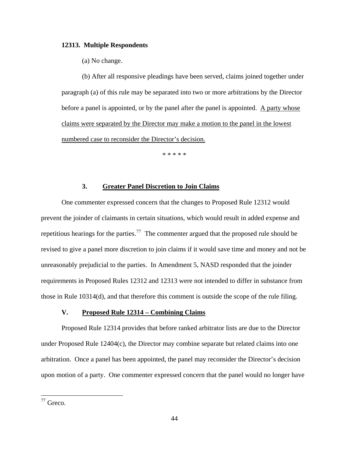#### **12313. Multiple Respondents**

(a) No change.

(b) After all responsive pleadings have been served, claims joined together under paragraph (a) of this rule may be separated into two or more arbitrations by the Director before a panel is appointed, or by the panel after the panel is appointed. A party whose claims were separated by the Director may make a motion to the panel in the lowest numbered case to reconsider the Director's decision.

\* \* \* \* \*

### **3. Greater Panel Discretion to Join Claims**

One commenter expressed concern that the changes to Proposed Rule 12312 would prevent the joinder of claimants in certain situations, which would result in added expense and repetitious hearings for the parties.<sup>[77](#page-43-0)</sup> The commenter argued that the proposed rule should be revised to give a panel more discretion to join claims if it would save time and money and not be unreasonably prejudicial to the parties. In Amendment 5, NASD responded that the joinder requirements in Proposed Rules 12312 and 12313 were not intended to differ in substance from those in Rule 10314(d), and that therefore this comment is outside the scope of the rule filing.

### **V. Proposed Rule 12314 – Combining Claims**

Proposed Rule 12314 provides that before ranked arbitrator lists are due to the Director under Proposed Rule  $12404(c)$ , the Director may combine separate but related claims into one arbitration. Once a panel has been appointed, the panel may reconsider the Director's decision upon motion of a party. One commenter expressed concern that the panel would no longer have

<span id="page-43-0"></span> $77$  Greco.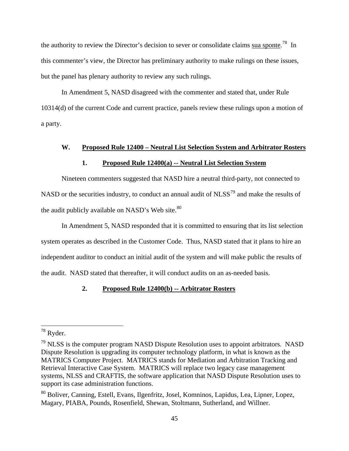the authority to review the Director's decision to sever or consolidate claims sua sponte.<sup>[78](#page-44-0)</sup> In this commenter's view, the Director has preliminary authority to make rulings on these issues, but the panel has plenary authority to review any such rulings.

In Amendment 5, NASD disagreed with the commenter and stated that, under Rule 10314(d) of the current Code and current practice, panels review these rulings upon a motion of a party.

## **W. Proposed Rule 12400 – Neutral List Selection System and Arbitrator Rosters**

## **1. Proposed Rule 12400(a) -- Neutral List Selection System**

Nineteen commenters suggested that NASD hire a neutral third-party, not connected to NASD or the securities industry, to conduct an annual audit of NLSS<sup>[79](#page-44-1)</sup> and make the results of the audit publicly available on NASD's Web site. $80$ 

In Amendment 5, NASD responded that it is committed to ensuring that its list selection system operates as described in the Customer Code. Thus, NASD stated that it plans to hire an independent auditor to conduct an initial audit of the system and will make public the results of the audit. NASD stated that thereafter, it will conduct audits on an as-needed basis.

## **2. Proposed Rule 12400(b) -- Arbitrator Rosters**

<span id="page-44-0"></span><sup>78</sup> Ryder.

<span id="page-44-1"></span><sup>&</sup>lt;sup>79</sup> NLSS is the computer program NASD Dispute Resolution uses to appoint arbitrators. NASD Dispute Resolution is upgrading its computer technology platform, in what is known as the MATRICS Computer Project. MATRICS stands for Mediation and Arbitration Tracking and Retrieval Interactive Case System. MATRICS will replace two legacy case management systems, NLSS and CRAFTIS, the software application that NASD Dispute Resolution uses to support its case administration functions.

<span id="page-44-2"></span><sup>&</sup>lt;sup>80</sup> Boliver, Canning, Estell, Evans, Ilgenfritz, Josel, Komninos, Lapidus, Lea, Lipner, Lopez, Magary, PIABA, Pounds, Rosenfield, Shewan, Stoltmann, Sutherland, and Willner.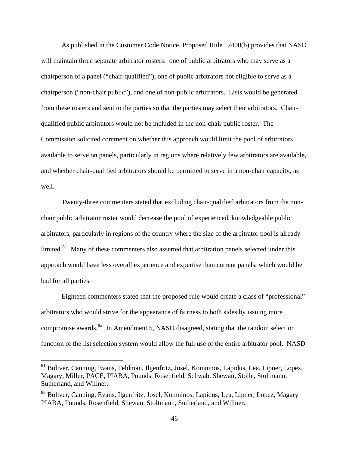As published in the Customer Code Notice, Proposed Rule 12400(b) provides that NASD will maintain three separate arbitrator rosters: one of public arbitrators who may serve as a chairperson of a panel ("chair-qualified"), one of public arbitrators not eligible to serve as a chairperson ("non-chair public"), and one of non-public arbitrators. Lists would be generated from these rosters and sent to the parties so that the parties may select their arbitrators. Chairqualified public arbitrators would not be included in the non-chair public roster. The Commission solicited comment on whether this approach would limit the pool of arbitrators available to serve on panels, particularly in regions where relatively few arbitrators are available, and whether chair-qualified arbitrators should be permitted to serve in a non-chair capacity, as well.

Twenty-three commenters stated that excluding chair-qualified arbitrators from the nonchair public arbitrator roster would decrease the pool of experienced, knowledgeable public arbitrators, particularly in regions of the country where the size of the arbitrator pool is already limited.<sup>[81](#page-45-0)</sup> Many of these commenters also asserted that arbitration panels selected under this approach would have less overall experience and expertise than current panels, which would be bad for all parties.

Eighteen commenters stated that the proposed rule would create a class of "professional" arbitrators who would strive for the appearance of fairness to both sides by issuing more compromise awards.<sup>[82](#page-45-1)</sup> In Amendment 5, NASD disagreed, stating that the random selection function of the list selection system would allow the full use of the entire arbitrator pool. NASD

<span id="page-45-0"></span><sup>&</sup>lt;sup>81</sup> Boliver, Canning, Evans, Feldman, Ilgenfritz, Josel, Komninos, Lapidus, Lea, Lipner, Lopez, Magary, Miller, PACE, PIABA, Pounds, Rosenfield, Schwab, Shewan, Stolle, Stoltmann, Sutherland, and Willner.

<span id="page-45-1"></span><sup>&</sup>lt;sup>82</sup> Boliver, Canning, Evans, Ilgenfritz, Josel, Komninos, Lapidus, Lea, Lipner, Lopez, Magary PIABA, Pounds, Rosenfield, Shewan, Stoltmann, Sutherland, and Willner.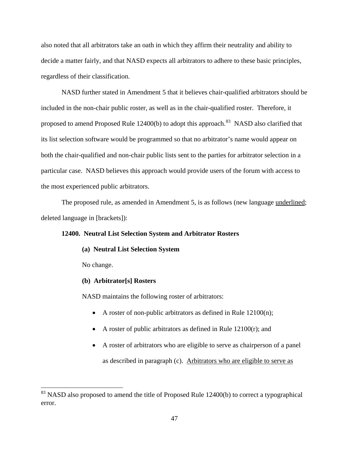also noted that all arbitrators take an oath in which they affirm their neutrality and ability to decide a matter fairly, and that NASD expects all arbitrators to adhere to these basic principles, regardless of their classification.

NASD further stated in Amendment 5 that it believes chair-qualified arbitrators should be included in the non-chair public roster, as well as in the chair-qualified roster. Therefore, it proposed to amend Proposed Rule 12400(b) to adopt this approach.<sup>[83](#page-46-0)</sup> NASD also clarified that its list selection software would be programmed so that no arbitrator's name would appear on both the chair-qualified and non-chair public lists sent to the parties for arbitrator selection in a particular case. NASD believes this approach would provide users of the forum with access to the most experienced public arbitrators.

The proposed rule, as amended in Amendment 5, is as follows (new language underlined; deleted language in [brackets]):

## **12400. Neutral List Selection System and Arbitrator Rosters**

#### **(a) Neutral List Selection System**

No change.

 $\overline{a}$ 

## **(b) Arbitrator[s] Rosters**

NASD maintains the following roster of arbitrators:

- A roster of non-public arbitrators as defined in Rule  $12100(n)$ ;
- A roster of public arbitrators as defined in Rule  $12100(r)$ ; and
- A roster of arbitrators who are eligible to serve as chairperson of a panel as described in paragraph (c). Arbitrators who are eligible to serve as

<span id="page-46-0"></span> $83$  NASD also proposed to amend the title of Proposed Rule 12400(b) to correct a typographical error.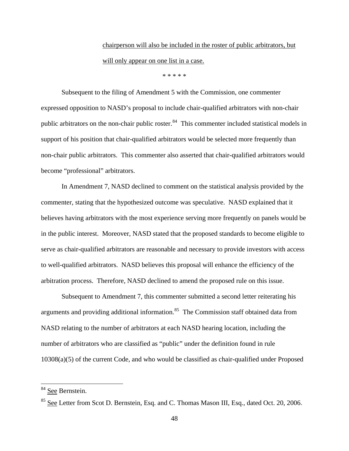chairperson will also be included in the roster of public arbitrators, but will only appear on one list in a case.

\* \* \* \* \*

Subsequent to the filing of Amendment 5 with the Commission, one commenter expressed opposition to NASD's proposal to include chair-qualified arbitrators with non-chair public arbitrators on the non-chair public roster.<sup>[84](#page-47-0)</sup> This commenter included statistical models in support of his position that chair-qualified arbitrators would be selected more frequently than non-chair public arbitrators. This commenter also asserted that chair-qualified arbitrators would become "professional" arbitrators.

In Amendment 7, NASD declined to comment on the statistical analysis provided by the commenter, stating that the hypothesized outcome was speculative. NASD explained that it believes having arbitrators with the most experience serving more frequently on panels would be in the public interest. Moreover, NASD stated that the proposed standards to become eligible to serve as chair-qualified arbitrators are reasonable and necessary to provide investors with access to well-qualified arbitrators. NASD believes this proposal will enhance the efficiency of the arbitration process. Therefore, NASD declined to amend the proposed rule on this issue.

Subsequent to Amendment 7, this commenter submitted a second letter reiterating his arguments and providing additional information.[85](#page-47-1) The Commission staff obtained data from NASD relating to the number of arbitrators at each NASD hearing location, including the number of arbitrators who are classified as "public" under the definition found in rule 10308(a)(5) of the current Code, and who would be classified as chair-qualified under Proposed

<span id="page-47-0"></span>See Bernstein.

<span id="page-47-1"></span><sup>&</sup>lt;sup>85</sup> See Letter from Scot D. Bernstein, Esq. and C. Thomas Mason III, Esq., dated Oct. 20, 2006.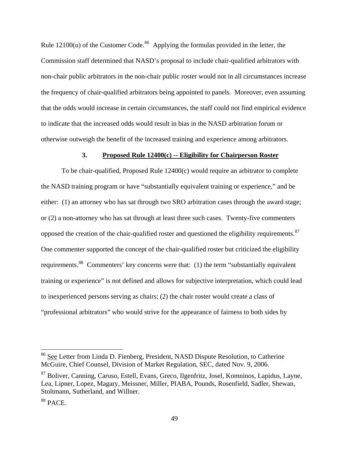Rule 12100(u) of the Customer Code.<sup>[86](#page-48-0)</sup> Applying the formulas provided in the letter, the Commission staff determined that NASD's proposal to include chair-qualified arbitrators with non-chair public arbitrators in the non-chair public roster would not in all circumstances increase the frequency of chair-qualified arbitrators being appointed to panels. Moreover, even assuming that the odds would increase in certain circumstances, the staff could not find empirical evidence to indicate that the increased odds would result in bias in the NASD arbitration forum or otherwise outweigh the benefit of the increased training and experience among arbitrators.

### **3. Proposed Rule 12400(c) -- Eligibility for Chairperson Roster**

To be chair-qualified, Proposed Rule 12400(c) would require an arbitrator to complete the NASD training program or have "substantially equivalent training or experience," and be either: (1) an attorney who has sat through two SRO arbitration cases through the award stage; or (2) a non-attorney who has sat through at least three such cases. Twenty-five commenters opposed the creation of the chair-qualified roster and questioned the eligibility requirements.<sup>[87](#page-48-1)</sup> One commenter supported the concept of the chair-qualified roster but criticized the eligibility requirements.<sup>[88](#page-48-2)</sup> Commenters' key concerns were that: (1) the term "substantially equivalent training or experience" is not defined and allows for subjective interpretation, which could lead to inexperienced persons serving as chairs; (2) the chair roster would create a class of "professional arbitrators" who would strive for the appearance of fairness to both sides by

<span id="page-48-0"></span><sup>&</sup>lt;sup>86</sup> See Letter from Linda D. Fienberg, President, NASD Dispute Resolution, to Catherine McGuire, Chief Counsel, Division of Market Regulation, SEC, dated Nov. 9, 2006.

<span id="page-48-1"></span><sup>87</sup> Boliver, Canning, Caruso, Estell, Evans, Greco, Ilgenfritz, Josel, Komninos, Lapidus, Layne, Lea, Lipner, Lopez, Magary, Meissner, Miller, PIABA, Pounds, Rosenfield, Sadler, Shewan, Stoltmann, Sutherland, and Willner.

<span id="page-48-2"></span><sup>88</sup> PACE.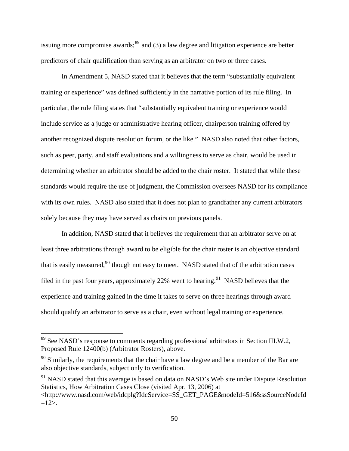issuing more compromise awards; $89$  and (3) a law degree and litigation experience are better predictors of chair qualification than serving as an arbitrator on two or three cases.

In Amendment 5, NASD stated that it believes that the term "substantially equivalent training or experience" was defined sufficiently in the narrative portion of its rule filing. In particular, the rule filing states that "substantially equivalent training or experience would include service as a judge or administrative hearing officer, chairperson training offered by another recognized dispute resolution forum, or the like." NASD also noted that other factors, such as peer, party, and staff evaluations and a willingness to serve as chair, would be used in determining whether an arbitrator should be added to the chair roster. It stated that while these standards would require the use of judgment, the Commission oversees NASD for its compliance with its own rules. NASD also stated that it does not plan to grandfather any current arbitrators solely because they may have served as chairs on previous panels.

In addition, NASD stated that it believes the requirement that an arbitrator serve on at least three arbitrations through award to be eligible for the chair roster is an objective standard that is easily measured, $90$  though not easy to meet. NASD stated that of the arbitration cases filed in the past four years, approximately 22% went to hearing.<sup>[91](#page-49-2)</sup> NASD believes that the experience and training gained in the time it takes to serve on three hearings through award should qualify an arbitrator to serve as a chair, even without legal training or experience.

 $\overline{a}$ 

<span id="page-49-2"></span> $91$  NASD stated that this average is based on data on NASD's Web site under Dispute Resolution Statistics, How Arbitration Cases Close (visited Apr. 13, 2006) at

<span id="page-49-0"></span> $89$  See NASD's response to comments regarding professional arbitrators in Section III.W.2, Proposed Rule 12400(b) (Arbitrator Rosters), above.

<span id="page-49-1"></span> $90$  Similarly, the requirements that the chair have a law degree and be a member of the Bar are also objective standards, subject only to verification.

<sup>&</sup>lt;http://www.nasd.com/web/idcplg?IdcService=SS\_GET\_PAGE&nodeId=516&ssSourceNodeId  $=12$ .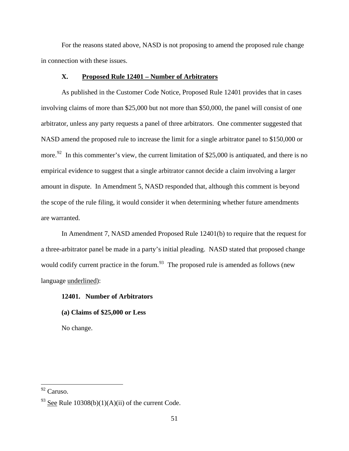For the reasons stated above, NASD is not proposing to amend the proposed rule change in connection with these issues.

## **X. Proposed Rule 12401 – Number of Arbitrators**

As published in the Customer Code Notice, Proposed Rule 12401 provides that in cases involving claims of more than \$25,000 but not more than \$50,000, the panel will consist of one arbitrator, unless any party requests a panel of three arbitrators. One commenter suggested that NASD amend the proposed rule to increase the limit for a single arbitrator panel to \$150,000 or more.<sup>[92](#page-50-0)</sup> In this commenter's view, the current limitation of \$25,000 is antiquated, and there is no empirical evidence to suggest that a single arbitrator cannot decide a claim involving a larger amount in dispute. In Amendment 5, NASD responded that, although this comment is beyond the scope of the rule filing, it would consider it when determining whether future amendments are warranted.

In Amendment 7, NASD amended Proposed Rule 12401(b) to require that the request for a three-arbitrator panel be made in a party's initial pleading. NASD stated that proposed change would codify current practice in the forum.<sup>[93](#page-50-1)</sup> The proposed rule is amended as follows (new language underlined):

## **12401. Number of Arbitrators**

**(a) Claims of \$25,000 or Less** 

No change.

<span id="page-50-0"></span><sup>&</sup>lt;sup>92</sup> Caruso.

<span id="page-50-1"></span><sup>&</sup>lt;sup>93</sup> See Rule 10308(b)(1)(A)(ii) of the current Code.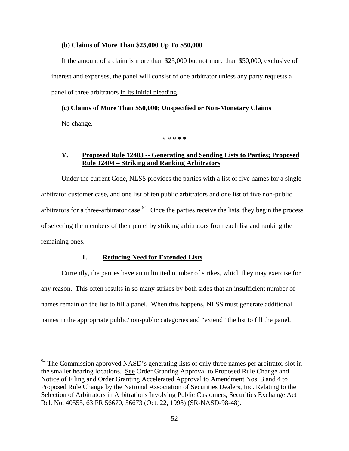### **(b) Claims of More Than \$25,000 Up To \$50,000**

If the amount of a claim is more than \$25,000 but not more than \$50,000, exclusive of interest and expenses, the panel will consist of one arbitrator unless any party requests a panel of three arbitrators in its initial pleading.

### **(c) Claims of More Than \$50,000; Unspecified or Non-Monetary Claims**

No change.

 $\overline{a}$ 

\* \* \* \* \*

## **Y. Proposed Rule 12403 -- Generating and Sending Lists to Parties; Proposed Rule 12404 – Striking and Ranking Arbitrators**

Under the current Code, NLSS provides the parties with a list of five names for a single arbitrator customer case, and one list of ten public arbitrators and one list of five non-public arbitrators for a three-arbitrator case.<sup>[94](#page-51-0)</sup> Once the parties receive the lists, they begin the process of selecting the members of their panel by striking arbitrators from each list and ranking the remaining ones.

### **1. Reducing Need for Extended Lists**

Currently, the parties have an unlimited number of strikes, which they may exercise for any reason. This often results in so many strikes by both sides that an insufficient number of names remain on the list to fill a panel. When this happens, NLSS must generate additional names in the appropriate public/non-public categories and "extend" the list to fill the panel.

<span id="page-51-0"></span> $94$  The Commission approved NASD's generating lists of only three names per arbitrator slot in the smaller hearing locations. See Order Granting Approval to Proposed Rule Change and Notice of Filing and Order Granting Accelerated Approval to Amendment Nos. 3 and 4 to Proposed Rule Change by the National Association of Securities Dealers, Inc. Relating to the Selection of Arbitrators in Arbitrations Involving Public Customers, Securities Exchange Act Rel. No. 40555, 63 FR 56670, 56673 (Oct. 22, 1998) (SR-NASD-98-48).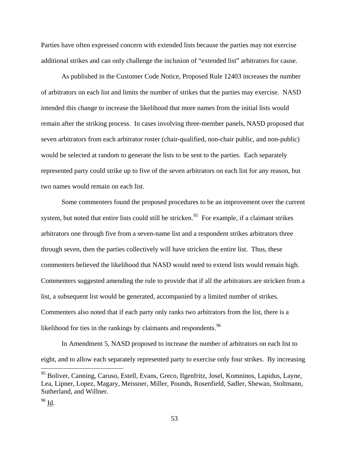Parties have often expressed concern with extended lists because the parties may not exercise additional strikes and can only challenge the inclusion of "extended list" arbitrators for cause.

As published in the Customer Code Notice, Proposed Rule 12403 increases the number of arbitrators on each list and limits the number of strikes that the parties may exercise. NASD intended this change to increase the likelihood that more names from the initial lists would remain after the striking process. In cases involving three-member panels, NASD proposed that seven arbitrators from each arbitrator roster (chair-qualified, non-chair public, and non-public) would be selected at random to generate the lists to be sent to the parties. Each separately represented party could strike up to five of the seven arbitrators on each list for any reason, but two names would remain on each list.

Some commenters found the proposed procedures to be an improvement over the current system, but noted that entire lists could still be stricken.<sup>[95](#page-52-0)</sup> For example, if a claimant strikes arbitrators one through five from a seven-name list and a respondent strikes arbitrators three through seven, then the parties collectively will have stricken the entire list. Thus, these commenters believed the likelihood that NASD would need to extend lists would remain high. Commenters suggested amending the rule to provide that if all the arbitrators are stricken from a list, a subsequent list would be generated, accompanied by a limited number of strikes. Commenters also noted that if each party only ranks two arbitrators from the list, there is a likelihood for ties in the rankings by claimants and respondents.  $96$ 

In Amendment 5, NASD proposed to increase the number of arbitrators on each list to eight, and to allow each separately represented party to exercise only four strikes. By increasing

<span id="page-52-0"></span><sup>&</sup>lt;sup>95</sup> Boliver, Canning, Caruso, Estell, Evans, Greco, Ilgenfritz, Josel, Komninos, Lapidus, Layne, Lea, Lipner, Lopez, Magary, Meissner, Miller, Pounds, Rosenfield, Sadler, Shewan, Stoltmann, Sutherland, and Willner.

<span id="page-52-1"></span><sup>96</sup> Id.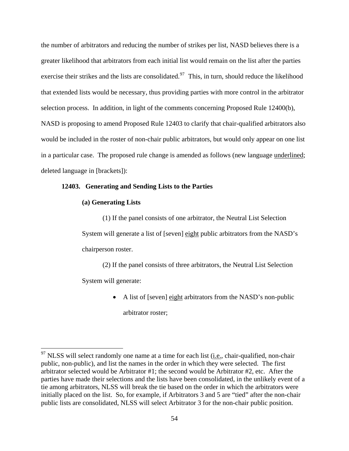the number of arbitrators and reducing the number of strikes per list, NASD believes there is a greater likelihood that arbitrators from each initial list would remain on the list after the parties exercise their strikes and the lists are consolidated.<sup>[97](#page-53-0)</sup> This, in turn, should reduce the likelihood that extended lists would be necessary, thus providing parties with more control in the arbitrator selection process. In addition, in light of the comments concerning Proposed Rule 12400(b), NASD is proposing to amend Proposed Rule 12403 to clarify that chair-qualified arbitrators also would be included in the roster of non-chair public arbitrators, but would only appear on one list in a particular case. The proposed rule change is amended as follows (new language underlined; deleted language in [brackets]):

### **12403. Generating and Sending Lists to the Parties**

#### **(a) Generating Lists**

(1) If the panel consists of one arbitrator, the Neutral List Selection System will generate a list of [seven] eight public arbitrators from the NASD's chairperson roster.

(2) If the panel consists of three arbitrators, the Neutral List Selection

System will generate:

 $\overline{a}$ 

• A list of [seven] eight arbitrators from the NASD's non-public arbitrator roster;

<span id="page-53-0"></span> $97$  NLSS will select randomly one name at a time for each list (*i.e.*, chair-qualified, non-chair public, non-public), and list the names in the order in which they were selected. The first arbitrator selected would be Arbitrator #1; the second would be Arbitrator #2, etc. After the parties have made their selections and the lists have been consolidated, in the unlikely event of a tie among arbitrators, NLSS will break the tie based on the order in which the arbitrators were initially placed on the list. So, for example, if Arbitrators 3 and 5 are "tied" after the non-chair public lists are consolidated, NLSS will select Arbitrator 3 for the non-chair public position.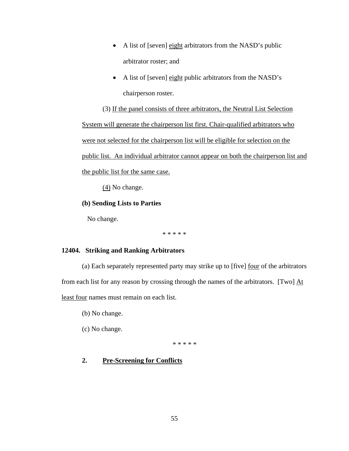- A list of [seven] eight arbitrators from the NASD's public arbitrator roster; and
- A list of [seven] eight public arbitrators from the NASD's chairperson roster.

(3) If the panel consists of three arbitrators, the Neutral List Selection System will generate the chairperson list first. Chair-qualified arbitrators who were not selected for the chairperson list will be eligible for selection on the public list. An individual arbitrator cannot appear on both the chairperson list and the public list for the same case.

(4) No change.

## **(b) Sending Lists to Parties**

No change.

\* \* \* \* \*

## **12404. Striking and Ranking Arbitrators**

 (a) Each separately represented party may strike up to [five] four of the arbitrators from each list for any reason by crossing through the names of the arbitrators. [Two]  $\underline{At}$ least four names must remain on each list.

(b) No change.

(c) No change.

\* \* \* \* \*

# **2. Pre-Screening for Conflicts**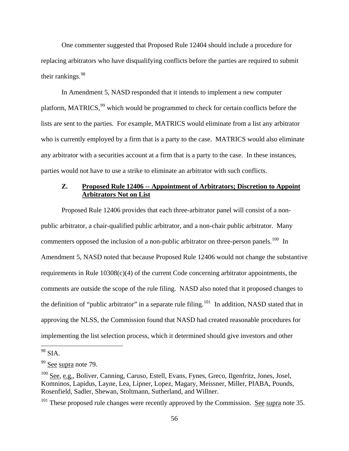One commenter suggested that Proposed Rule 12404 should include a procedure for replacing arbitrators who have disqualifying conflicts before the parties are required to submit their rankings.<sup>[98](#page-55-0)</sup>

In Amendment 5, NASD responded that it intends to implement a new computer platform, MATRICS,<sup>[99](#page-55-1)</sup> which would be programmed to check for certain conflicts before the lists are sent to the parties. For example, MATRICS would eliminate from a list any arbitrator who is currently employed by a firm that is a party to the case. MATRICS would also eliminate any arbitrator with a securities account at a firm that is a party to the case. In these instances, parties would not have to use a strike to eliminate an arbitrator with such conflicts.

## **Z. Proposed Rule 12406 -- Appointment of Arbitrators; Discretion to Appoint Arbitrators Not on List**

Proposed Rule 12406 provides that each three-arbitrator panel will consist of a nonpublic arbitrator, a chair-qualified public arbitrator, and a non-chair public arbitrator. Many commenters opposed the inclusion of a non-public arbitrator on three-person panels.<sup>[100](#page-55-2)</sup> In Amendment 5, NASD noted that because Proposed Rule 12406 would not change the substantive requirements in Rule  $10308(c)(4)$  of the current Code concerning arbitrator appointments, the comments are outside the scope of the rule filing. NASD also noted that it proposed changes to the definition of "public arbitrator" in a separate rule filing.<sup>[101](#page-55-3)</sup> In addition, NASD stated that in approving the NLSS, the Commission found that NASD had created reasonable procedures for implementing the list selection process, which it determined should give investors and other

<span id="page-55-0"></span><sup>&</sup>lt;sup>98</sup> SIA.

<span id="page-55-1"></span> $99$  See supra note 79.

<span id="page-55-2"></span><sup>100</sup> See, e.g., Boliver, Canning, Caruso, Estell, Evans, Fynes, Greco, Ilgenfritz, Jones, Josel, Komninos, Lapidus, Layne, Lea, Lipner, Lopez, Magary, Meissner, Miller, PIABA, Pounds, Rosenfield, Sadler, Shewan, Stoltmann, Sutherland, and Willner.

<span id="page-55-3"></span> $101$  These proposed rule changes were recently approved by the Commission. See supra note 35.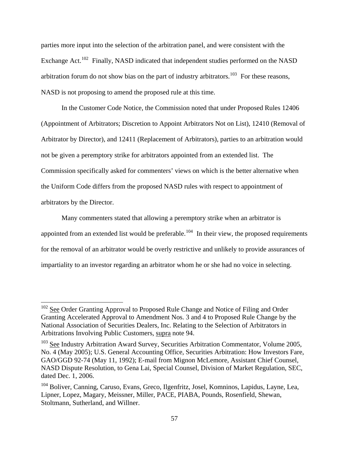parties more input into the selection of the arbitration panel, and were consistent with the Exchange Act.<sup>[102](#page-56-0)</sup> Finally, NASD indicated that independent studies performed on the NASD arbitration forum do not show bias on the part of industry arbitrators.<sup>[103](#page-56-1)</sup> For these reasons, NASD is not proposing to amend the proposed rule at this time.

In the Customer Code Notice, the Commission noted that under Proposed Rules 12406 (Appointment of Arbitrators; Discretion to Appoint Arbitrators Not on List), 12410 (Removal of Arbitrator by Director), and 12411 (Replacement of Arbitrators), parties to an arbitration would not be given a peremptory strike for arbitrators appointed from an extended list. The Commission specifically asked for commenters' views on which is the better alternative when the Uniform Code differs from the proposed NASD rules with respect to appointment of arbitrators by the Director.

Many commenters stated that allowing a peremptory strike when an arbitrator is appointed from an extended list would be preferable.<sup>[104](#page-56-2)</sup> In their view, the proposed requirements for the removal of an arbitrator would be overly restrictive and unlikely to provide assurances of impartiality to an investor regarding an arbitrator whom he or she had no voice in selecting.

<span id="page-56-0"></span> $102$  See Order Granting Approval to Proposed Rule Change and Notice of Filing and Order Granting Accelerated Approval to Amendment Nos. 3 and 4 to Proposed Rule Change by the National Association of Securities Dealers, Inc. Relating to the Selection of Arbitrators in Arbitrations Involving Public Customers, supra note 94.

<span id="page-56-1"></span><sup>&</sup>lt;sup>103</sup> See Industry Arbitration Award Survey, Securities Arbitration Commentator, Volume 2005, No. 4 (May 2005); U.S. General Accounting Office, Securities Arbitration: How Investors Fare, GAO/GGD 92-74 (May 11, 1992); E-mail from Mignon McLemore, Assistant Chief Counsel, NASD Dispute Resolution, to Gena Lai, Special Counsel, Division of Market Regulation, SEC, dated Dec. 1, 2006.

<span id="page-56-2"></span><sup>&</sup>lt;sup>104</sup> Boliver, Canning, Caruso, Evans, Greco, Ilgenfritz, Josel, Komninos, Lapidus, Layne, Lea, Lipner, Lopez, Magary, Meissner, Miller, PACE, PIABA, Pounds, Rosenfield, Shewan, Stoltmann, Sutherland, and Willner.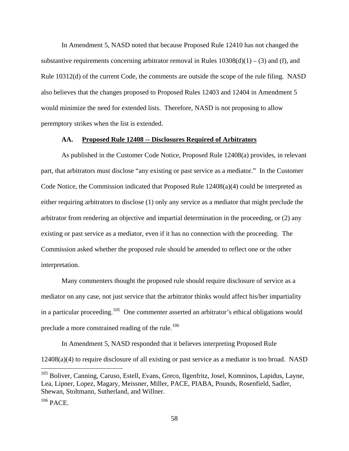In Amendment 5, NASD noted that because Proposed Rule 12410 has not changed the substantive requirements concerning arbitrator removal in Rules  $10308(d)(1) - (3)$  and (f), and Rule 10312(d) of the current Code, the comments are outside the scope of the rule filing. NASD also believes that the changes proposed to Proposed Rules 12403 and 12404 in Amendment 5 would minimize the need for extended lists. Therefore, NASD is not proposing to allow peremptory strikes when the list is extended.

### **AA. Proposed Rule 12408 -- Disclosures Required of Arbitrators**

As published in the Customer Code Notice, Proposed Rule 12408(a) provides, in relevant part, that arbitrators must disclose "any existing or past service as a mediator." In the Customer Code Notice, the Commission indicated that Proposed Rule 12408(a)(4) could be interpreted as either requiring arbitrators to disclose (1) only any service as a mediator that might preclude the arbitrator from rendering an objective and impartial determination in the proceeding, or (2) any existing or past service as a mediator, even if it has no connection with the proceeding. The Commission asked whether the proposed rule should be amended to reflect one or the other interpretation.

Many commenters thought the proposed rule should require disclosure of service as a mediator on any case, not just service that the arbitrator thinks would affect his/her impartiality in a particular proceeding.<sup>[105](#page-57-0)</sup> One commenter asserted an arbitrator's ethical obligations would preclude a more constrained reading of the rule.<sup>[106](#page-57-1)</sup>

In Amendment 5, NASD responded that it believes interpreting Proposed Rule 12408(a)(4) to require disclosure of all existing or past service as a mediator is too broad. NASD

 $\overline{a}$ 

<span id="page-57-1"></span><span id="page-57-0"></span><sup>105</sup> Boliver, Canning, Caruso, Estell, Evans, Greco, Ilgenfritz, Josel, Komninos, Lapidus, Layne, Lea, Lipner, Lopez, Magary, Meissner, Miller, PACE, PIABA, Pounds, Rosenfield, Sadler, Shewan, Stoltmann, Sutherland, and Willner.  $106$  PACE.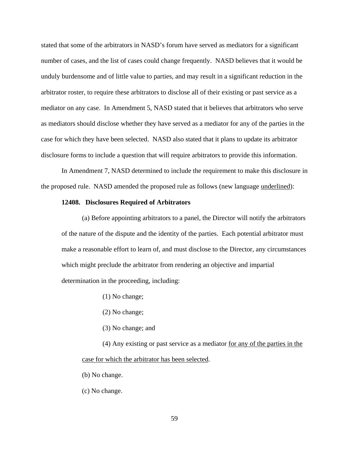stated that some of the arbitrators in NASD's forum have served as mediators for a significant number of cases, and the list of cases could change frequently. NASD believes that it would be unduly burdensome and of little value to parties, and may result in a significant reduction in the arbitrator roster, to require these arbitrators to disclose all of their existing or past service as a mediator on any case. In Amendment 5, NASD stated that it believes that arbitrators who serve as mediators should disclose whether they have served as a mediator for any of the parties in the case for which they have been selected. NASD also stated that it plans to update its arbitrator disclosure forms to include a question that will require arbitrators to provide this information.

In Amendment 7, NASD determined to include the requirement to make this disclosure in the proposed rule. NASD amended the proposed rule as follows (new language underlined):

### **12408. Disclosures Required of Arbitrators**

(a) Before appointing arbitrators to a panel, the Director will notify the arbitrators of the nature of the dispute and the identity of the parties. Each potential arbitrator must make a reasonable effort to learn of, and must disclose to the Director, any circumstances which might preclude the arbitrator from rendering an objective and impartial determination in the proceeding, including:

- (1) No change;
- (2) No change;
- (3) No change; and

(4) Any existing or past service as a mediator for any of the parties in the case for which the arbitrator has been selected.

- (b) No change.
- (c) No change.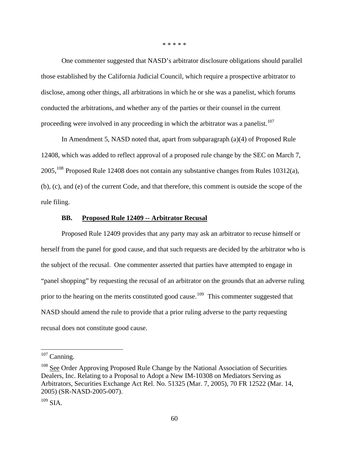One commenter suggested that NASD's arbitrator disclosure obligations should parallel those established by the California Judicial Council, which require a prospective arbitrator to disclose, among other things, all arbitrations in which he or she was a panelist, which forums conducted the arbitrations, and whether any of the parties or their counsel in the current proceeding were involved in any proceeding in which the arbitrator was a panelist.<sup>[107](#page-59-0)</sup>

In Amendment 5, NASD noted that, apart from subparagraph (a)(4) of Proposed Rule 12408, which was added to reflect approval of a proposed rule change by the SEC on March 7, 2005,[108](#page-59-1) Proposed Rule 12408 does not contain any substantive changes from Rules 10312(a), (b), (c), and (e) of the current Code, and that therefore, this comment is outside the scope of the rule filing.

### **BB. Proposed Rule 12409 -- Arbitrator Recusal**

Proposed Rule 12409 provides that any party may ask an arbitrator to recuse himself or herself from the panel for good cause, and that such requests are decided by the arbitrator who is the subject of the recusal. One commenter asserted that parties have attempted to engage in "panel shopping" by requesting the recusal of an arbitrator on the grounds that an adverse ruling prior to the hearing on the merits constituted good cause.<sup>[109](#page-59-2)</sup> This commenter suggested that NASD should amend the rule to provide that a prior ruling adverse to the party requesting recusal does not constitute good cause.

<span id="page-59-0"></span> $107$  Canning.

<span id="page-59-1"></span><sup>&</sup>lt;sup>108</sup> See Order Approving Proposed Rule Change by the National Association of Securities Dealers, Inc. Relating to a Proposal to Adopt a New IM-10308 on Mediators Serving as Arbitrators, Securities Exchange Act Rel. No. 51325 (Mar. 7, 2005), 70 FR 12522 (Mar. 14, 2005) (SR-NASD-2005-007).

<span id="page-59-2"></span> $109$  SIA.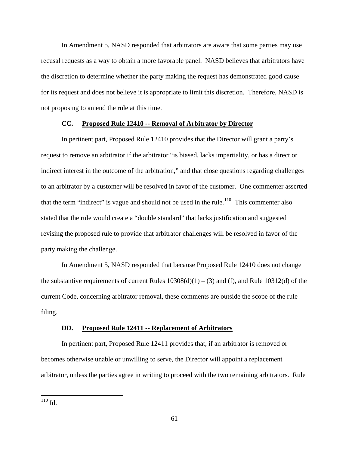In Amendment 5, NASD responded that arbitrators are aware that some parties may use recusal requests as a way to obtain a more favorable panel. NASD believes that arbitrators have the discretion to determine whether the party making the request has demonstrated good cause for its request and does not believe it is appropriate to limit this discretion. Therefore, NASD is not proposing to amend the rule at this time.

### **CC. Proposed Rule 12410 -- Removal of Arbitrator by Director**

In pertinent part, Proposed Rule 12410 provides that the Director will grant a party's request to remove an arbitrator if the arbitrator "is biased, lacks impartiality, or has a direct or indirect interest in the outcome of the arbitration," and that close questions regarding challenges to an arbitrator by a customer will be resolved in favor of the customer. One commenter asserted that the term "indirect" is vague and should not be used in the rule.<sup>[110](#page-60-0)</sup> This commenter also stated that the rule would create a "double standard" that lacks justification and suggested revising the proposed rule to provide that arbitrator challenges will be resolved in favor of the party making the challenge.

In Amendment 5, NASD responded that because Proposed Rule 12410 does not change the substantive requirements of current Rules  $10308(d)(1) - (3)$  and (f), and Rule 10312(d) of the current Code, concerning arbitrator removal, these comments are outside the scope of the rule filing.

#### **DD. Proposed Rule 12411 -- Replacement of Arbitrators**

In pertinent part, Proposed Rule 12411 provides that, if an arbitrator is removed or becomes otherwise unable or unwilling to serve, the Director will appoint a replacement arbitrator, unless the parties agree in writing to proceed with the two remaining arbitrators. Rule

<span id="page-60-0"></span> $110$   $\underline{\text{Id}}$ .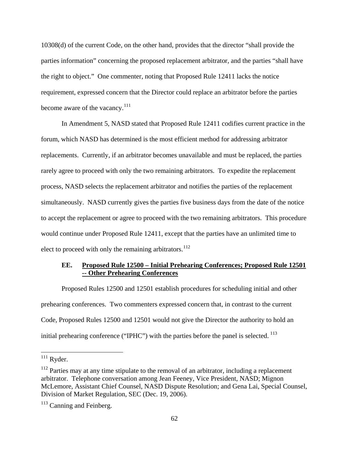10308(d) of the current Code, on the other hand, provides that the director "shall provide the parties information" concerning the proposed replacement arbitrator, and the parties "shall have the right to object." One commenter, noting that Proposed Rule 12411 lacks the notice requirement, expressed concern that the Director could replace an arbitrator before the parties become aware of the vacancy. $111$ 

In Amendment 5, NASD stated that Proposed Rule 12411 codifies current practice in the forum, which NASD has determined is the most efficient method for addressing arbitrator replacements. Currently, if an arbitrator becomes unavailable and must be replaced, the parties rarely agree to proceed with only the two remaining arbitrators. To expedite the replacement process, NASD selects the replacement arbitrator and notifies the parties of the replacement simultaneously. NASD currently gives the parties five business days from the date of the notice to accept the replacement or agree to proceed with the two remaining arbitrators. This procedure would continue under Proposed Rule 12411, except that the parties have an unlimited time to elect to proceed with only the remaining arbitrators.<sup>[112](#page-61-1)</sup>

## **EE. Proposed Rule 12500 – Initial Prehearing Conferences; Proposed Rule 12501 -- Other Prehearing Conferences**

Proposed Rules 12500 and 12501 establish procedures for scheduling initial and other prehearing conferences. Two commenters expressed concern that, in contrast to the current Code, Proposed Rules 12500 and 12501 would not give the Director the authority to hold an initial prehearing conference ("IPHC") with the parties before the panel is selected.<sup>[113](#page-61-2)</sup>

<span id="page-61-0"></span> $111$  Ryder.

<span id="page-61-1"></span> $112$  Parties may at any time stipulate to the removal of an arbitrator, including a replacement arbitrator. Telephone conversation among Jean Feeney, Vice President, NASD; Mignon McLemore, Assistant Chief Counsel, NASD Dispute Resolution; and Gena Lai, Special Counsel, Division of Market Regulation, SEC (Dec. 19, 2006).

<span id="page-61-2"></span><sup>&</sup>lt;sup>113</sup> Canning and Feinberg.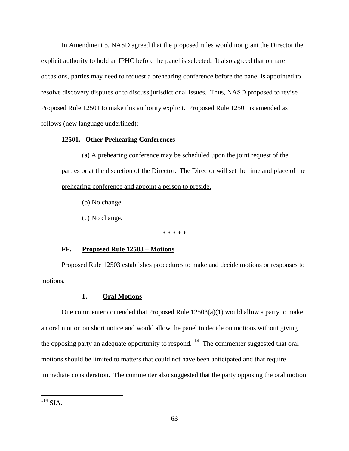In Amendment 5, NASD agreed that the proposed rules would not grant the Director the explicit authority to hold an IPHC before the panel is selected. It also agreed that on rare occasions, parties may need to request a prehearing conference before the panel is appointed to resolve discovery disputes or to discuss jurisdictional issues. Thus, NASD proposed to revise Proposed Rule 12501 to make this authority explicit. Proposed Rule 12501 is amended as follows (new language underlined):

### **12501. Other Prehearing Conferences**

(a) A prehearing conference may be scheduled upon the joint request of the parties or at the discretion of the Director. The Director will set the time and place of the prehearing conference and appoint a person to preside.

(b) No change.

(c) No change.

\* \* \* \* \*

## **FF. Proposed Rule 12503 – Motions**

Proposed Rule 12503 establishes procedures to make and decide motions or responses to motions.

## **1. Oral Motions**

One commenter contended that Proposed Rule 12503(a)(1) would allow a party to make an oral motion on short notice and would allow the panel to decide on motions without giving the opposing party an adequate opportunity to respond.<sup>[114](#page-62-0)</sup> The commenter suggested that oral motions should be limited to matters that could not have been anticipated and that require immediate consideration. The commenter also suggested that the party opposing the oral motion

<span id="page-62-0"></span> $114$  SIA.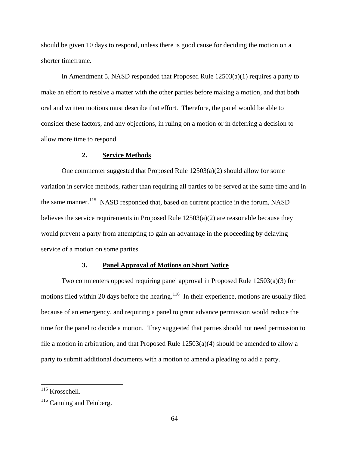should be given 10 days to respond, unless there is good cause for deciding the motion on a shorter timeframe.

In Amendment 5, NASD responded that Proposed Rule 12503(a)(1) requires a party to make an effort to resolve a matter with the other parties before making a motion, and that both oral and written motions must describe that effort. Therefore, the panel would be able to consider these factors, and any objections, in ruling on a motion or in deferring a decision to allow more time to respond.

### **2. Service Methods**

One commenter suggested that Proposed Rule 12503(a)(2) should allow for some variation in service methods, rather than requiring all parties to be served at the same time and in the same manner.<sup>[115](#page-63-0)</sup> NASD responded that, based on current practice in the forum, NASD believes the service requirements in Proposed Rule 12503(a)(2) are reasonable because they would prevent a party from attempting to gain an advantage in the proceeding by delaying service of a motion on some parties.

### **3. Panel Approval of Motions on Short Notice**

Two commenters opposed requiring panel approval in Proposed Rule 12503(a)(3) for motions filed within 20 days before the hearing.<sup>[116](#page-63-1)</sup> In their experience, motions are usually filed because of an emergency, and requiring a panel to grant advance permission would reduce the time for the panel to decide a motion. They suggested that parties should not need permission to file a motion in arbitration, and that Proposed Rule 12503(a)(4) should be amended to allow a party to submit additional documents with a motion to amend a pleading to add a party.

<span id="page-63-0"></span> $115$  Krosschell.

<span id="page-63-1"></span> $116$  Canning and Feinberg.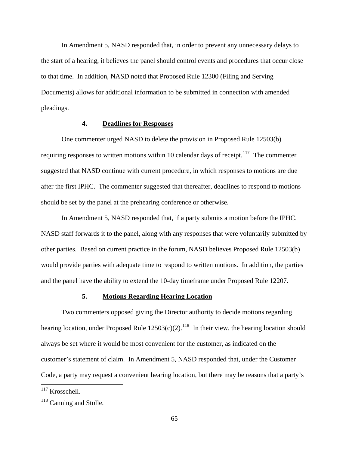In Amendment 5, NASD responded that, in order to prevent any unnecessary delays to the start of a hearing, it believes the panel should control events and procedures that occur close to that time. In addition, NASD noted that Proposed Rule 12300 (Filing and Serving Documents) allows for additional information to be submitted in connection with amended pleadings.

## **4. Deadlines for Responses**

One commenter urged NASD to delete the provision in Proposed Rule 12503(b) requiring responses to written motions within 10 calendar days of receipt.<sup>[117](#page-64-0)</sup> The commenter suggested that NASD continue with current procedure, in which responses to motions are due after the first IPHC. The commenter suggested that thereafter, deadlines to respond to motions should be set by the panel at the prehearing conference or otherwise.

In Amendment 5, NASD responded that, if a party submits a motion before the IPHC, NASD staff forwards it to the panel, along with any responses that were voluntarily submitted by other parties. Based on current practice in the forum, NASD believes Proposed Rule 12503(b) would provide parties with adequate time to respond to written motions. In addition, the parties and the panel have the ability to extend the 10-day timeframe under Proposed Rule 12207.

#### **5. Motions Regarding Hearing Location**

Two commenters opposed giving the Director authority to decide motions regarding hearing location, under Proposed Rule  $12503(c)(2)$ .<sup>[118](#page-64-1)</sup> In their view, the hearing location should always be set where it would be most convenient for the customer, as indicated on the customer's statement of claim. In Amendment 5, NASD responded that, under the Customer Code, a party may request a convenient hearing location, but there may be reasons that a party's

<span id="page-64-0"></span><sup>&</sup>lt;sup>117</sup> Krosschell.

<span id="page-64-1"></span> $118$  Canning and Stolle.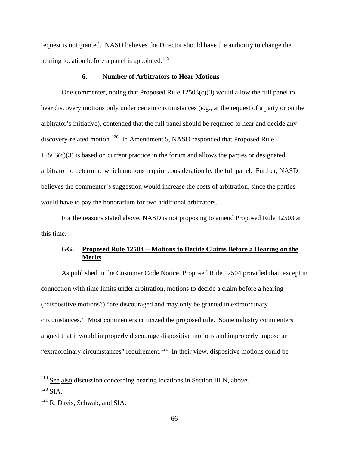request is not granted. NASD believes the Director should have the authority to change the hearing location before a panel is appointed.<sup>[119](#page-65-0)</sup>

## **6. Number of Arbitrators to Hear Motions**

One commenter, noting that Proposed Rule  $12503(c)(3)$  would allow the full panel to hear discovery motions only under certain circumstances (e.g., at the request of a party or on the arbitrator's initiative), contended that the full panel should be required to hear and decide any discovery-related motion.<sup>[120](#page-65-1)</sup> In Amendment 5, NASD responded that Proposed Rule  $12503(c)(3)$  is based on current practice in the forum and allows the parties or designated arbitrator to determine which motions require consideration by the full panel. Further, NASD believes the commenter's suggestion would increase the costs of arbitration, since the parties would have to pay the honorarium for two additional arbitrators.

For the reasons stated above, NASD is not proposing to amend Proposed Rule 12503 at this time.

## **GG. Proposed Rule 12504 -- Motions to Decide Claims Before a Hearing on the Merits**

As published in the Customer Code Notice, Proposed Rule 12504 provided that, except in connection with time limits under arbitration, motions to decide a claim before a hearing ("dispositive motions") "are discouraged and may only be granted in extraordinary circumstances." Most commenters criticized the proposed rule. Some industry commenters argued that it would improperly discourage dispositive motions and improperly impose an "extraordinary circumstances" requirement.<sup>[121](#page-65-2)</sup> In their view, dispositive motions could be

<span id="page-65-0"></span> $119$  See also discussion concerning hearing locations in Section III.N, above.

<span id="page-65-1"></span> $120$  SIA.

<span id="page-65-2"></span> $121$  R. Davis, Schwab, and SIA.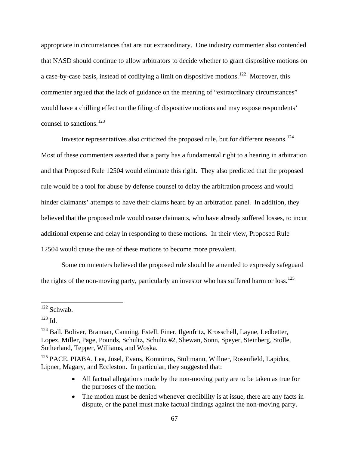appropriate in circumstances that are not extraordinary. One industry commenter also contended that NASD should continue to allow arbitrators to decide whether to grant dispositive motions on a case-by-case basis, instead of codifying a limit on dispositive motions.<sup>[122](#page-66-0)</sup> Moreover, this commenter argued that the lack of guidance on the meaning of "extraordinary circumstances" would have a chilling effect on the filing of dispositive motions and may expose respondents' counsel to sanctions.[123](#page-66-1)

Investor representatives also criticized the proposed rule, but for different reasons.[124](#page-66-2) Most of these commenters asserted that a party has a fundamental right to a hearing in arbitration and that Proposed Rule 12504 would eliminate this right. They also predicted that the proposed rule would be a tool for abuse by defense counsel to delay the arbitration process and would hinder claimants' attempts to have their claims heard by an arbitration panel. In addition, they believed that the proposed rule would cause claimants, who have already suffered losses, to incur additional expense and delay in responding to these motions. In their view, Proposed Rule 12504 would cause the use of these motions to become more prevalent.

Some commenters believed the proposed rule should be amended to expressly safeguard the rights of the non-moving party, particularly an investor who has suffered harm or loss.<sup>[125](#page-66-3)</sup>

1

<span id="page-66-3"></span><sup>125</sup> PACE, PIABA, Lea, Josel, Evans, Komninos, Stoltmann, Willner, Rosenfield, Lapidus, Lipner, Magary, and Eccleston. In particular, they suggested that:

- All factual allegations made by the non-moving party are to be taken as true for the purposes of the motion.
- The motion must be denied whenever credibility is at issue, there are any facts in dispute, or the panel must make factual findings against the non-moving party.

<span id="page-66-0"></span> $122$  Schwab.

<span id="page-66-1"></span><sup>123</sup> Id.

<span id="page-66-2"></span><sup>&</sup>lt;sup>124</sup> Ball, Boliver, Brannan, Canning, Estell, Finer, Ilgenfritz, Krosschell, Layne, Ledbetter, Lopez, Miller, Page, Pounds, Schultz, Schultz #2, Shewan, Sonn, Speyer, Steinberg, Stolle, Sutherland, Tepper, Williams, and Woska.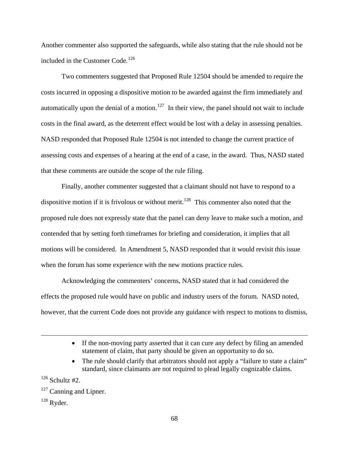Another commenter also supported the safeguards, while also stating that the rule should not be included in the Customer Code.<sup>[126](#page-67-0)</sup>

Two commenters suggested that Proposed Rule 12504 should be amended to require the costs incurred in opposing a dispositive motion to be awarded against the firm immediately and automatically upon the denial of a motion.<sup>[127](#page-67-1)</sup> In their view, the panel should not wait to include costs in the final award, as the deterrent effect would be lost with a delay in assessing penalties. NASD responded that Proposed Rule 12504 is not intended to change the current practice of assessing costs and expenses of a hearing at the end of a case, in the award. Thus, NASD stated that these comments are outside the scope of the rule filing.

Finally, another commenter suggested that a claimant should not have to respond to a dispositive motion if it is frivolous or without merit.<sup>[128](#page-67-2)</sup> This commenter also noted that the proposed rule does not expressly state that the panel can deny leave to make such a motion, and contended that by setting forth timeframes for briefing and consideration, it implies that all motions will be considered. In Amendment 5, NASD responded that it would revisit this issue when the forum has some experience with the new motions practice rules.

Acknowledging the commenters' concerns, NASD stated that it had considered the effects the proposed rule would have on public and industry users of the forum. NASD noted, however, that the current Code does not provide any guidance with respect to motions to dismiss,

• The rule should clarify that arbitrators should not apply a "failure to state a claim" standard, since claimants are not required to plead legally cognizable claims.

<span id="page-67-0"></span> $126$  Schultz #2.

<span id="page-67-2"></span> $128$  Ryder.

<sup>•</sup> If the non-moving party asserted that it can cure any defect by filing an amended statement of claim, that party should be given an opportunity to do so.

<span id="page-67-1"></span> $127$  Canning and Lipner.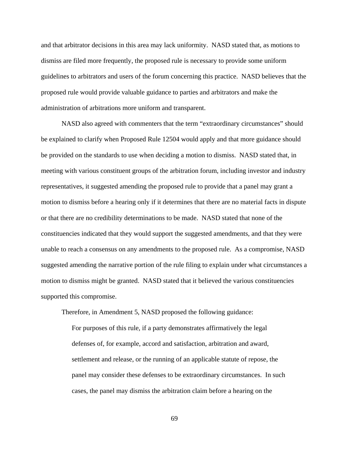and that arbitrator decisions in this area may lack uniformity. NASD stated that, as motions to dismiss are filed more frequently, the proposed rule is necessary to provide some uniform guidelines to arbitrators and users of the forum concerning this practice. NASD believes that the proposed rule would provide valuable guidance to parties and arbitrators and make the administration of arbitrations more uniform and transparent.

NASD also agreed with commenters that the term "extraordinary circumstances" should be explained to clarify when Proposed Rule 12504 would apply and that more guidance should be provided on the standards to use when deciding a motion to dismiss. NASD stated that, in meeting with various constituent groups of the arbitration forum, including investor and industry representatives, it suggested amending the proposed rule to provide that a panel may grant a motion to dismiss before a hearing only if it determines that there are no material facts in dispute or that there are no credibility determinations to be made. NASD stated that none of the constituencies indicated that they would support the suggested amendments, and that they were unable to reach a consensus on any amendments to the proposed rule. As a compromise, NASD suggested amending the narrative portion of the rule filing to explain under what circumstances a motion to dismiss might be granted. NASD stated that it believed the various constituencies supported this compromise.

Therefore, in Amendment 5, NASD proposed the following guidance:

For purposes of this rule, if a party demonstrates affirmatively the legal defenses of, for example, accord and satisfaction, arbitration and award, settlement and release, or the running of an applicable statute of repose, the panel may consider these defenses to be extraordinary circumstances. In such cases, the panel may dismiss the arbitration claim before a hearing on the

69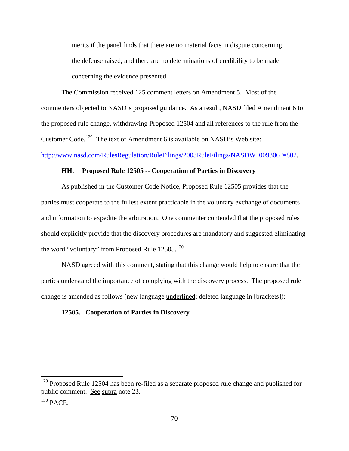merits if the panel finds that there are no material facts in dispute concerning the defense raised, and there are no determinations of credibility to be made concerning the evidence presented.

The Commission received 125 comment letters on Amendment 5. Most of the commenters objected to NASD's proposed guidance. As a result, NASD filed Amendment 6 to the proposed rule change, withdrawing Proposed 12504 and all references to the rule from the Customer Code.<sup>[129](#page-69-0)</sup> The text of Amendment 6 is available on NASD's Web site: [http://www.nasd.com/RulesRegulation/RuleFilings/2003RuleFilings/NASDW\\_009306?=802.](http://www.nasd.com/RulesRegulation/RuleFilings/2003RuleFilings/NASDW_009306?=802)

#### **HH. Proposed Rule 12505 -- Cooperation of Parties in Discovery**

As published in the Customer Code Notice, Proposed Rule 12505 provides that the parties must cooperate to the fullest extent practicable in the voluntary exchange of documents and information to expedite the arbitration. One commenter contended that the proposed rules should explicitly provide that the discovery procedures are mandatory and suggested eliminating the word "voluntary" from Proposed Rule  $12505$ <sup>[130](#page-69-1)</sup>

NASD agreed with this comment, stating that this change would help to ensure that the parties understand the importance of complying with the discovery process. The proposed rule change is amended as follows (new language underlined; deleted language in [brackets]):

### **12505. Cooperation of Parties in Discovery**

<span id="page-69-0"></span> $129$  Proposed Rule 12504 has been re-filed as a separate proposed rule change and published for public comment. See supra note 23.

<span id="page-69-1"></span> $130$  PACE.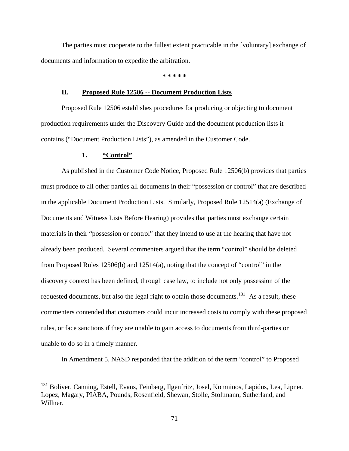The parties must cooperate to the fullest extent practicable in the [voluntary] exchange of documents and information to expedite the arbitration.

**\* \* \* \* \*** 

#### **II. Proposed Rule 12506 -- Document Production Lists**

Proposed Rule 12506 establishes procedures for producing or objecting to document production requirements under the Discovery Guide and the document production lists it contains ("Document Production Lists"), as amended in the Customer Code.

## **1. "Control"**

 $\overline{a}$ 

As published in the Customer Code Notice, Proposed Rule 12506(b) provides that parties must produce to all other parties all documents in their "possession or control" that are described in the applicable Document Production Lists. Similarly, Proposed Rule 12514(a) (Exchange of Documents and Witness Lists Before Hearing) provides that parties must exchange certain materials in their "possession or control" that they intend to use at the hearing that have not already been produced. Several commenters argued that the term "control" should be deleted from Proposed Rules 12506(b) and 12514(a), noting that the concept of "control" in the discovery context has been defined, through case law, to include not only possession of the requested documents, but also the legal right to obtain those documents.<sup>[131](#page-70-0)</sup> As a result, these commenters contended that customers could incur increased costs to comply with these proposed rules, or face sanctions if they are unable to gain access to documents from third-parties or unable to do so in a timely manner.

In Amendment 5, NASD responded that the addition of the term "control" to Proposed

<span id="page-70-0"></span><sup>&</sup>lt;sup>131</sup> Boliver, Canning, Estell, Evans, Feinberg, Ilgenfritz, Josel, Komninos, Lapidus, Lea, Lipner, Lopez, Magary, PIABA, Pounds, Rosenfield, Shewan, Stolle, Stoltmann, Sutherland, and Willner.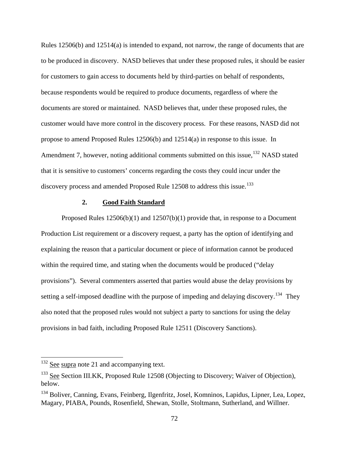Rules 12506(b) and 12514(a) is intended to expand, not narrow, the range of documents that are to be produced in discovery. NASD believes that under these proposed rules, it should be easier for customers to gain access to documents held by third-parties on behalf of respondents, because respondents would be required to produce documents, regardless of where the documents are stored or maintained. NASD believes that, under these proposed rules, the customer would have more control in the discovery process. For these reasons, NASD did not propose to amend Proposed Rules 12506(b) and 12514(a) in response to this issue. In Amendment 7, however, noting additional comments submitted on this issue,  $^{132}$  $^{132}$  $^{132}$  NASD stated that it is sensitive to customers' concerns regarding the costs they could incur under the discovery process and amended Proposed Rule 12508 to address this issue.<sup>[133](#page-71-1)</sup>

### **2. Good Faith Standard**

Proposed Rules  $12506(b)(1)$  and  $12507(b)(1)$  provide that, in response to a Document Production List requirement or a discovery request, a party has the option of identifying and explaining the reason that a particular document or piece of information cannot be produced within the required time, and stating when the documents would be produced ("delay provisions"). Several commenters asserted that parties would abuse the delay provisions by setting a self-imposed deadline with the purpose of impeding and delaying discovery.<sup>[134](#page-71-2)</sup> They also noted that the proposed rules would not subject a party to sanctions for using the delay provisions in bad faith, including Proposed Rule 12511 (Discovery Sanctions).

<span id="page-71-0"></span> $132$  See supra note 21 and accompanying text.

<span id="page-71-1"></span><sup>&</sup>lt;sup>133</sup> See Section III.KK, Proposed Rule 12508 (Objecting to Discovery; Waiver of Objection), below.

<span id="page-71-2"></span><sup>&</sup>lt;sup>134</sup> Boliver, Canning, Evans, Feinberg, Ilgenfritz, Josel, Komninos, Lapidus, Lipner, Lea, Lopez, Magary, PIABA, Pounds, Rosenfield, Shewan, Stolle, Stoltmann, Sutherland, and Willner.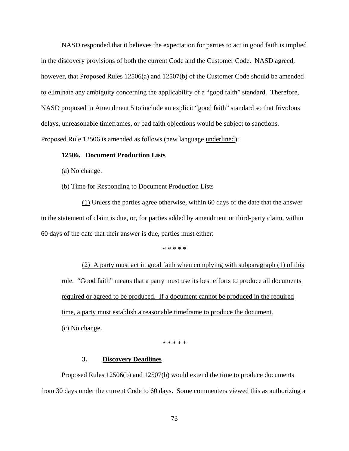NASD responded that it believes the expectation for parties to act in good faith is implied in the discovery provisions of both the current Code and the Customer Code. NASD agreed, however, that Proposed Rules 12506(a) and 12507(b) of the Customer Code should be amended to eliminate any ambiguity concerning the applicability of a "good faith" standard. Therefore, NASD proposed in Amendment 5 to include an explicit "good faith" standard so that frivolous delays, unreasonable timeframes, or bad faith objections would be subject to sanctions. Proposed Rule 12506 is amended as follows (new language underlined):

### **12506. Document Production Lists**

- (a) No change.
- (b) Time for Responding to Document Production Lists

(1) Unless the parties agree otherwise, within 60 days of the date that the answer to the statement of claim is due, or, for parties added by amendment or third-party claim, within 60 days of the date that their answer is due, parties must either:

\* \* \* \* \*

(2) A party must act in good faith when complying with subparagraph (1) of this rule. "Good faith" means that a party must use its best efforts to produce all documents required or agreed to be produced. If a document cannot be produced in the required time, a party must establish a reasonable timeframe to produce the document. (c) No change.

\* \* \* \* \*

#### **3. Discovery Deadlines**

Proposed Rules 12506(b) and 12507(b) would extend the time to produce documents from 30 days under the current Code to 60 days. Some commenters viewed this as authorizing a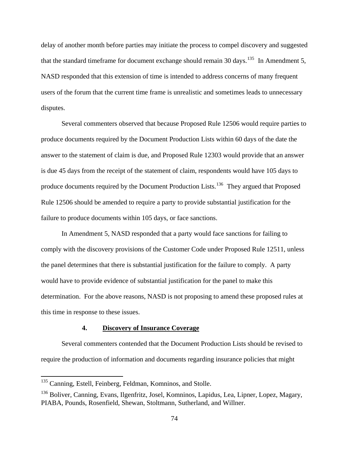delay of another month before parties may initiate the process to compel discovery and suggested that the standard timeframe for document exchange should remain 30 days.<sup>[135](#page-73-0)</sup> In Amendment 5, NASD responded that this extension of time is intended to address concerns of many frequent users of the forum that the current time frame is unrealistic and sometimes leads to unnecessary disputes.

Several commenters observed that because Proposed Rule 12506 would require parties to produce documents required by the Document Production Lists within 60 days of the date the answer to the statement of claim is due, and Proposed Rule 12303 would provide that an answer is due 45 days from the receipt of the statement of claim, respondents would have 105 days to produce documents required by the Document Production Lists.[136](#page-73-1) They argued that Proposed Rule 12506 should be amended to require a party to provide substantial justification for the failure to produce documents within 105 days, or face sanctions.

In Amendment 5, NASD responded that a party would face sanctions for failing to comply with the discovery provisions of the Customer Code under Proposed Rule 12511, unless the panel determines that there is substantial justification for the failure to comply. A party would have to provide evidence of substantial justification for the panel to make this determination. For the above reasons, NASD is not proposing to amend these proposed rules at this time in response to these issues.

## **4. Discovery of Insurance Coverage**

Several commenters contended that the Document Production Lists should be revised to require the production of information and documents regarding insurance policies that might

<span id="page-73-0"></span><sup>&</sup>lt;sup>135</sup> Canning, Estell, Feinberg, Feldman, Komninos, and Stolle.

<span id="page-73-1"></span><sup>&</sup>lt;sup>136</sup> Boliver, Canning, Evans, Ilgenfritz, Josel, Komninos, Lapidus, Lea, Lipner, Lopez, Magary, PIABA, Pounds, Rosenfield, Shewan, Stoltmann, Sutherland, and Willner.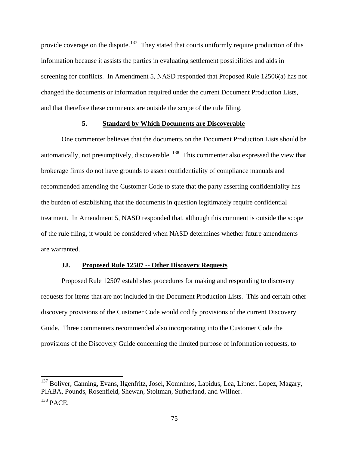provide coverage on the dispute.<sup>[137](#page-74-0)</sup> They stated that courts uniformly require production of this information because it assists the parties in evaluating settlement possibilities and aids in screening for conflicts. In Amendment 5, NASD responded that Proposed Rule 12506(a) has not changed the documents or information required under the current Document Production Lists, and that therefore these comments are outside the scope of the rule filing.

# **5. Standard by Which Documents are Discoverable**

One commenter believes that the documents on the Document Production Lists should be automatically, not presumptively, discoverable. [138](#page-74-1) This commenter also expressed the view that brokerage firms do not have grounds to assert confidentiality of compliance manuals and recommended amending the Customer Code to state that the party asserting confidentiality has the burden of establishing that the documents in question legitimately require confidential treatment. In Amendment 5, NASD responded that, although this comment is outside the scope of the rule filing, it would be considered when NASD determines whether future amendments are warranted.

### **JJ. Proposed Rule 12507 -- Other Discovery Requests**

 $\overline{a}$ 

Proposed Rule 12507 establishes procedures for making and responding to discovery requests for items that are not included in the Document Production Lists. This and certain other discovery provisions of the Customer Code would codify provisions of the current Discovery Guide. Three commenters recommended also incorporating into the Customer Code the provisions of the Discovery Guide concerning the limited purpose of information requests, to

<span id="page-74-1"></span><span id="page-74-0"></span><sup>&</sup>lt;sup>137</sup> Boliver, Canning, Evans, Ilgenfritz, Josel, Komninos, Lapidus, Lea, Lipner, Lopez, Magary, PIABA, Pounds, Rosenfield, Shewan, Stoltman, Sutherland, and Willner.  $138$  PACE.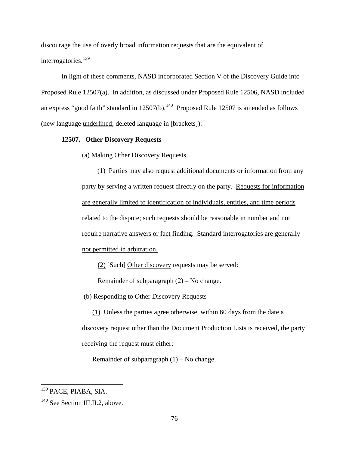discourage the use of overly broad information requests that are the equivalent of interrogatories.<sup>[139](#page-75-0)</sup>

In light of these comments, NASD incorporated Section V of the Discovery Guide into Proposed Rule 12507(a). In addition, as discussed under Proposed Rule 12506, NASD included an express "good faith" standard in  $12507(b)$ .<sup>[140](#page-75-1)</sup> Proposed Rule 12507 is amended as follows (new language underlined; deleted language in [brackets]):

## **12507. Other Discovery Requests**

(a) Making Other Discovery Requests

(1) Parties may also request additional documents or information from any party by serving a written request directly on the party. Requests for information are generally limited to identification of individuals, entities, and time periods related to the dispute; such requests should be reasonable in number and not require narrative answers or fact finding. Standard interrogatories are generally not permitted in arbitration.

(2) [Such] Other discovery requests may be served:

Remainder of subparagraph  $(2)$  – No change.

(b) Responding to Other Discovery Requests

(1) Unless the parties agree otherwise, within 60 days from the date a discovery request other than the Document Production Lists is received, the party receiving the request must either:

Remainder of subparagraph  $(1)$  – No change.

<span id="page-75-0"></span><sup>&</sup>lt;sup>139</sup> PACE, PIABA, SIA.

<span id="page-75-1"></span><sup>&</sup>lt;sup>140</sup> See Section III.II.2, above.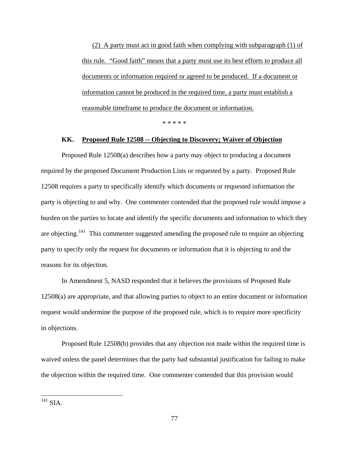(2) A party must act in good faith when complying with subparagraph (1) of this rule. "Good faith" means that a party must use its best efforts to produce all documents or information required or agreed to be produced. If a document or information cannot be produced in the required time, a party must establish a reasonable timeframe to produce the document or information.

\* \* \* \* \*

## **KK. Proposed Rule 12508 -- Objecting to Discovery; Waiver of Objection**

Proposed Rule 12508(a) describes how a party may object to producing a document required by the proposed Document Production Lists or requested by a party. Proposed Rule 12508 requires a party to specifically identify which documents or requested information the party is objecting to and why. One commenter contended that the proposed rule would impose a burden on the parties to locate and identify the specific documents and information to which they are objecting.<sup>[141](#page-76-0)</sup> This commenter suggested amending the proposed rule to require an objecting party to specify only the request for documents or information that it is objecting to and the reasons for its objection.

In Amendment 5, NASD responded that it believes the provisions of Proposed Rule 12508(a) are appropriate, and that allowing parties to object to an entire document or information request would undermine the purpose of the proposed rule, which is to require more specificity in objections.

Proposed Rule 12508(b) provides that any objection not made within the required time is waived unless the panel determines that the party had substantial justification for failing to make the objection within the required time. One commenter contended that this provision would

<span id="page-76-0"></span> $^{141}$  SIA.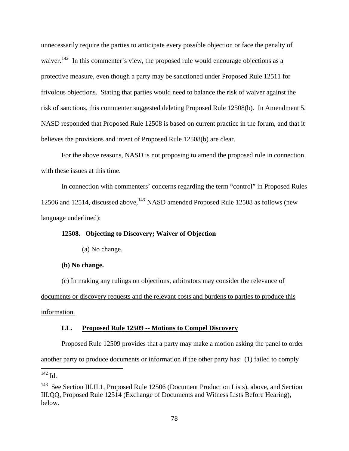unnecessarily require the parties to anticipate every possible objection or face the penalty of waiver.<sup>[142](#page-77-0)</sup> In this commenter's view, the proposed rule would encourage objections as a protective measure, even though a party may be sanctioned under Proposed Rule 12511 for frivolous objections. Stating that parties would need to balance the risk of waiver against the risk of sanctions, this commenter suggested deleting Proposed Rule 12508(b). In Amendment 5, NASD responded that Proposed Rule 12508 is based on current practice in the forum, and that it believes the provisions and intent of Proposed Rule 12508(b) are clear.

For the above reasons, NASD is not proposing to amend the proposed rule in connection with these issues at this time.

In connection with commenters' concerns regarding the term "control" in Proposed Rules 12506 and 12514, discussed above, <sup>[143](#page-77-1)</sup> NASD amended Proposed Rule 12508 as follows (new language underlined):

### **12508. Objecting to Discovery; Waiver of Objection**

(a) No change.

### **(b) No change.**

(c) In making any rulings on objections, arbitrators may consider the relevance of documents or discovery requests and the relevant costs and burdens to parties to produce this information.

### **LL. Proposed Rule 12509 -- Motions to Compel Discovery**

Proposed Rule 12509 provides that a party may make a motion asking the panel to order another party to produce documents or information if the other party has: (1) failed to comply  $\overline{a}$ 

<span id="page-77-0"></span> $^{142}$  <u>Id</u>.

<span id="page-77-1"></span><sup>&</sup>lt;sup>143</sup> See Section III.II.1, Proposed Rule 12506 (Document Production Lists), above, and Section III.QQ, Proposed Rule 12514 (Exchange of Documents and Witness Lists Before Hearing), below.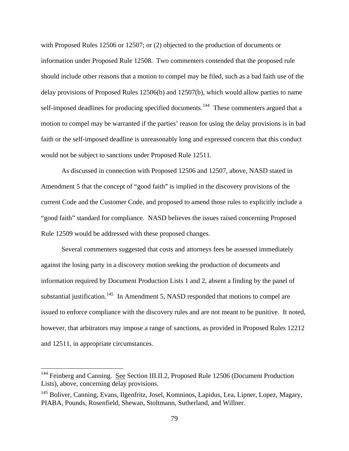with Proposed Rules 12506 or 12507; or (2) objected to the production of documents or information under Proposed Rule 12508. Two commenters contended that the proposed rule should include other reasons that a motion to compel may be filed, such as a bad faith use of the delay provisions of Proposed Rules 12506(b) and 12507(b), which would allow parties to name self-imposed deadlines for producing specified documents.<sup>[144](#page-78-0)</sup> These commenters argued that a motion to compel may be warranted if the parties' reason for using the delay provisions is in bad faith or the self-imposed deadline is unreasonably long and expressed concern that this conduct would not be subject to sanctions under Proposed Rule 12511.

As discussed in connection with Proposed 12506 and 12507, above, NASD stated in Amendment 5 that the concept of "good faith" is implied in the discovery provisions of the current Code and the Customer Code, and proposed to amend those rules to explicitly include a "good faith" standard for compliance. NASD believes the issues raised concerning Proposed Rule 12509 would be addressed with these proposed changes.

Several commenters suggested that costs and attorneys fees be assessed immediately against the losing party in a discovery motion seeking the production of documents and information required by Document Production Lists 1 and 2, absent a finding by the panel of substantial justification.<sup>[145](#page-78-1)</sup> In Amendment 5, NASD responded that motions to compel are issued to enforce compliance with the discovery rules and are not meant to be punitive. It noted, however, that arbitrators may impose a range of sanctions, as provided in Proposed Rules 12212 and 12511, in appropriate circumstances.

<span id="page-78-0"></span><sup>&</sup>lt;sup>144</sup> Feinberg and Canning. See Section III.II.2, Proposed Rule 12506 (Document Production Lists), above, concerning delay provisions.

<span id="page-78-1"></span><sup>&</sup>lt;sup>145</sup> Boliver, Canning, Evans, Ilgenfritz, Josel, Komninos, Lapidus, Lea, Lipner, Lopez, Magary, PIABA, Pounds, Rosenfield, Shewan, Stoltmann, Sutherland, and Willner.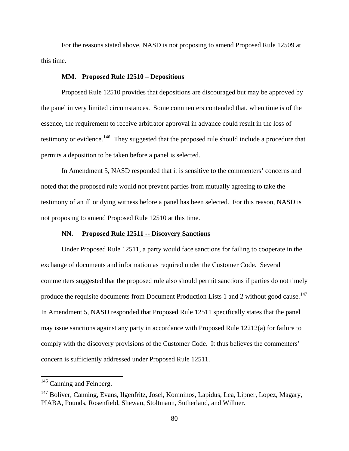For the reasons stated above, NASD is not proposing to amend Proposed Rule 12509 at this time.

#### **MM. Proposed Rule 12510 – Depositions**

Proposed Rule 12510 provides that depositions are discouraged but may be approved by the panel in very limited circumstances. Some commenters contended that, when time is of the essence, the requirement to receive arbitrator approval in advance could result in the loss of testimony or evidence.<sup>[146](#page-79-0)</sup> They suggested that the proposed rule should include a procedure that permits a deposition to be taken before a panel is selected.

In Amendment 5, NASD responded that it is sensitive to the commenters' concerns and noted that the proposed rule would not prevent parties from mutually agreeing to take the testimony of an ill or dying witness before a panel has been selected. For this reason, NASD is not proposing to amend Proposed Rule 12510 at this time.

#### **NN. Proposed Rule 12511 -- Discovery Sanctions**

Under Proposed Rule 12511, a party would face sanctions for failing to cooperate in the exchange of documents and information as required under the Customer Code. Several commenters suggested that the proposed rule also should permit sanctions if parties do not timely produce the requisite documents from Document Production Lists 1 and 2 without good cause.<sup>[147](#page-79-1)</sup> In Amendment 5, NASD responded that Proposed Rule 12511 specifically states that the panel may issue sanctions against any party in accordance with Proposed Rule 12212(a) for failure to comply with the discovery provisions of the Customer Code. It thus believes the commenters' concern is sufficiently addressed under Proposed Rule 12511.

<span id="page-79-0"></span><sup>&</sup>lt;sup>146</sup> Canning and Feinberg.

<span id="page-79-1"></span><sup>&</sup>lt;sup>147</sup> Boliver, Canning, Evans, Ilgenfritz, Josel, Komninos, Lapidus, Lea, Lipner, Lopez, Magary, PIABA, Pounds, Rosenfield, Shewan, Stoltmann, Sutherland, and Willner.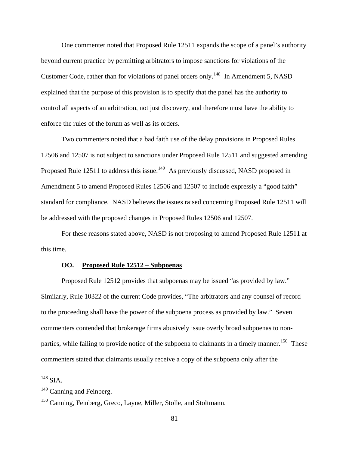One commenter noted that Proposed Rule 12511 expands the scope of a panel's authority beyond current practice by permitting arbitrators to impose sanctions for violations of the Customer Code, rather than for violations of panel orders only.<sup>[148](#page-80-0)</sup> In Amendment 5, NASD explained that the purpose of this provision is to specify that the panel has the authority to control all aspects of an arbitration, not just discovery, and therefore must have the ability to enforce the rules of the forum as well as its orders.

Two commenters noted that a bad faith use of the delay provisions in Proposed Rules 12506 and 12507 is not subject to sanctions under Proposed Rule 12511 and suggested amending Proposed Rule 12511 to address this issue.<sup>[149](#page-80-1)</sup> As previously discussed, NASD proposed in Amendment 5 to amend Proposed Rules 12506 and 12507 to include expressly a "good faith" standard for compliance. NASD believes the issues raised concerning Proposed Rule 12511 will be addressed with the proposed changes in Proposed Rules 12506 and 12507.

For these reasons stated above, NASD is not proposing to amend Proposed Rule 12511 at this time.

#### **OO. Proposed Rule 12512 – Subpoenas**

Proposed Rule 12512 provides that subpoenas may be issued "as provided by law." Similarly, Rule 10322 of the current Code provides, "The arbitrators and any counsel of record to the proceeding shall have the power of the subpoena process as provided by law." Seven commenters contended that brokerage firms abusively issue overly broad subpoenas to non-parties, while failing to provide notice of the subpoena to claimants in a timely manner.<sup>[150](#page-80-2)</sup> These commenters stated that claimants usually receive a copy of the subpoena only after the

<span id="page-80-0"></span> $148$  SIA.

<span id="page-80-1"></span><sup>&</sup>lt;sup>149</sup> Canning and Feinberg.

<span id="page-80-2"></span><sup>&</sup>lt;sup>150</sup> Canning, Feinberg, Greco, Layne, Miller, Stolle, and Stoltmann.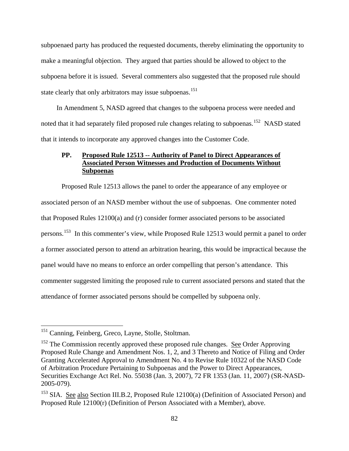subpoenaed party has produced the requested documents, thereby eliminating the opportunity to make a meaningful objection. They argued that parties should be allowed to object to the subpoena before it is issued. Several commenters also suggested that the proposed rule should state clearly that only arbitrators may issue subpoenas.<sup>[151](#page-81-0)</sup>

In Amendment 5, NASD agreed that changes to the subpoena process were needed and noted that it had separately filed proposed rule changes relating to subpoenas.<sup>[152](#page-81-1)</sup> NASD stated that it intends to incorporate any approved changes into the Customer Code.

# **PP. Proposed Rule 12513 -- Authority of Panel to Direct Appearances of Associated Person Witnesses and Production of Documents Without Subpoenas**

Proposed Rule 12513 allows the panel to order the appearance of any employee or associated person of an NASD member without the use of subpoenas. One commenter noted that Proposed Rules 12100(a) and (r) consider former associated persons to be associated persons.[153](#page-81-2) In this commenter's view, while Proposed Rule 12513 would permit a panel to order a former associated person to attend an arbitration hearing, this would be impractical because the panel would have no means to enforce an order compelling that person's attendance. This commenter suggested limiting the proposed rule to current associated persons and stated that the attendance of former associated persons should be compelled by subpoena only.

<span id="page-81-0"></span><sup>&</sup>lt;sup>151</sup> Canning, Feinberg, Greco, Layne, Stolle, Stoltman.

<span id="page-81-1"></span> $152$  The Commission recently approved these proposed rule changes. See Order Approving Proposed Rule Change and Amendment Nos. 1, 2, and 3 Thereto and Notice of Filing and Order Granting Accelerated Approval to Amendment No. 4 to Revise Rule 10322 of the NASD Code of Arbitration Procedure Pertaining to Subpoenas and the Power to Direct Appearances, Securities Exchange Act Rel. No. 55038 (Jan. 3, 2007), 72 FR 1353 (Jan. 11, 2007) (SR-NASD-2005-079).

<span id="page-81-2"></span><sup>&</sup>lt;sup>153</sup> SIA. See also Section III.B.2, Proposed Rule 12100(a) (Definition of Associated Person) and Proposed Rule 12100(r) (Definition of Person Associated with a Member), above.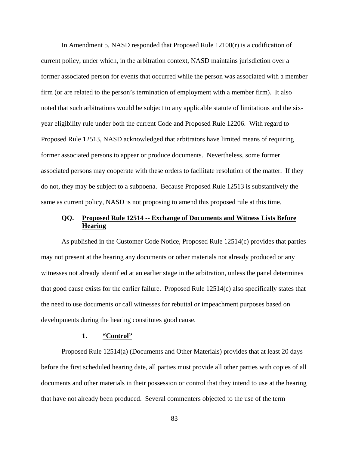In Amendment 5, NASD responded that Proposed Rule 12100(r) is a codification of current policy, under which, in the arbitration context, NASD maintains jurisdiction over a former associated person for events that occurred while the person was associated with a member firm (or are related to the person's termination of employment with a member firm). It also noted that such arbitrations would be subject to any applicable statute of limitations and the sixyear eligibility rule under both the current Code and Proposed Rule 12206. With regard to Proposed Rule 12513, NASD acknowledged that arbitrators have limited means of requiring former associated persons to appear or produce documents. Nevertheless, some former associated persons may cooperate with these orders to facilitate resolution of the matter. If they do not, they may be subject to a subpoena. Because Proposed Rule 12513 is substantively the same as current policy, NASD is not proposing to amend this proposed rule at this time.

# **QQ. Proposed Rule 12514 -- Exchange of Documents and Witness Lists Before Hearing**

As published in the Customer Code Notice, Proposed Rule 12514(c) provides that parties may not present at the hearing any documents or other materials not already produced or any witnesses not already identified at an earlier stage in the arbitration, unless the panel determines that good cause exists for the earlier failure. Proposed Rule 12514(c) also specifically states that the need to use documents or call witnesses for rebuttal or impeachment purposes based on developments during the hearing constitutes good cause.

#### **1. "Control"**

Proposed Rule 12514(a) (Documents and Other Materials) provides that at least 20 days before the first scheduled hearing date, all parties must provide all other parties with copies of all documents and other materials in their possession or control that they intend to use at the hearing that have not already been produced. Several commenters objected to the use of the term

83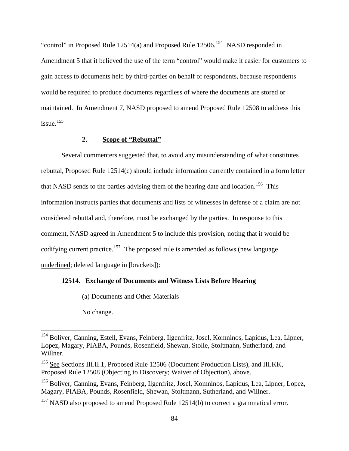"control" in Proposed Rule 12514(a) and Proposed Rule  $12506$ <sup>[154](#page-83-0)</sup> NASD responded in Amendment 5 that it believed the use of the term "control" would make it easier for customers to gain access to documents held by third-parties on behalf of respondents, because respondents would be required to produce documents regardless of where the documents are stored or maintained. In Amendment 7, NASD proposed to amend Proposed Rule 12508 to address this issue.[155](#page-83-1)

# **2. Scope of "Rebuttal"**

Several commenters suggested that, to avoid any misunderstanding of what constitutes rebuttal, Proposed Rule 12514(c) should include information currently contained in a form letter that NASD sends to the parties advising them of the hearing date and location.<sup>[156](#page-83-2)</sup> This information instructs parties that documents and lists of witnesses in defense of a claim are not considered rebuttal and, therefore, must be exchanged by the parties. In response to this comment, NASD agreed in Amendment 5 to include this provision, noting that it would be codifying current practice.<sup>[157](#page-83-3)</sup> The proposed rule is amended as follows (new language underlined; deleted language in [brackets]):

#### **12514. Exchange of Documents and Witness Lists Before Hearing**

(a) Documents and Other Materials

No change.

<span id="page-83-0"></span><sup>&</sup>lt;sup>154</sup> Boliver, Canning, Estell, Evans, Feinberg, Ilgenfritz, Josel, Komninos, Lapidus, Lea, Lipner, Lopez, Magary, PIABA, Pounds, Rosenfield, Shewan, Stolle, Stoltmann, Sutherland, and Willner.

<span id="page-83-1"></span><sup>&</sup>lt;sup>155</sup> See Sections III.II.1, Proposed Rule 12506 (Document Production Lists), and III.KK, Proposed Rule 12508 (Objecting to Discovery; Waiver of Objection), above.

<span id="page-83-2"></span><sup>156</sup> Boliver, Canning, Evans, Feinberg, Ilgenfritz, Josel, Komninos, Lapidus, Lea, Lipner, Lopez, Magary, PIABA, Pounds, Rosenfield, Shewan, Stoltmann, Sutherland, and Willner.

<span id="page-83-3"></span><sup>&</sup>lt;sup>157</sup> NASD also proposed to amend Proposed Rule 12514(b) to correct a grammatical error.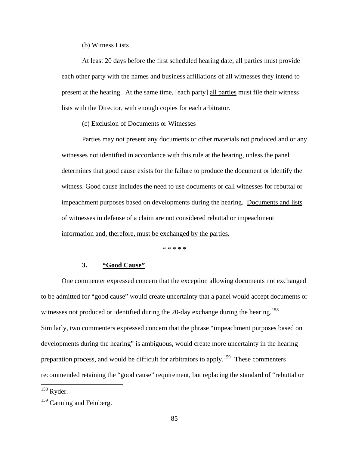(b) Witness Lists

At least 20 days before the first scheduled hearing date, all parties must provide each other party with the names and business affiliations of all witnesses they intend to present at the hearing. At the same time, [each party] all parties must file their witness lists with the Director, with enough copies for each arbitrator.

(c) Exclusion of Documents or Witnesses

Parties may not present any documents or other materials not produced and or any witnesses not identified in accordance with this rule at the hearing, unless the panel determines that good cause exists for the failure to produce the document or identify the witness. Good cause includes the need to use documents or call witnesses for rebuttal or impeachment purposes based on developments during the hearing. Documents and lists of witnesses in defense of a claim are not considered rebuttal or impeachment information and, therefore, must be exchanged by the parties.

\* \* \* \* \*

#### **3. "Good Cause"**

One commenter expressed concern that the exception allowing documents not exchanged to be admitted for "good cause" would create uncertainty that a panel would accept documents or witnesses not produced or identified during the 20-day exchange during the hearing.<sup>[158](#page-84-0)</sup> Similarly, two commenters expressed concern that the phrase "impeachment purposes based on developments during the hearing" is ambiguous, would create more uncertainty in the hearing preparation process, and would be difficult for arbitrators to apply.<sup>[159](#page-84-1)</sup> These commenters recommended retaining the "good cause" requirement, but replacing the standard of "rebuttal or  $\overline{a}$ 

<span id="page-84-0"></span> $158$  Ryder.

<span id="page-84-1"></span><sup>&</sup>lt;sup>159</sup> Canning and Feinberg.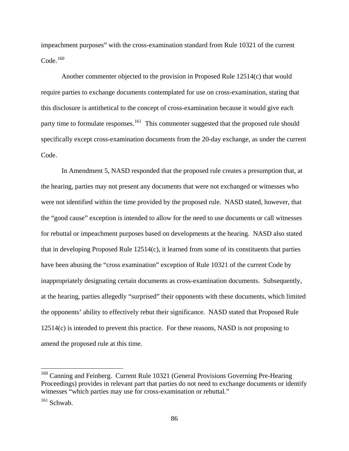impeachment purposes" with the cross-examination standard from Rule 10321 of the current  $\mbox{Code.}^{160}$  $\mbox{Code.}^{160}$  $\mbox{Code.}^{160}$ 

Another commenter objected to the provision in Proposed Rule 12514(c) that would require parties to exchange documents contemplated for use on cross-examination, stating that this disclosure is antithetical to the concept of cross-examination because it would give each party time to formulate responses.<sup>[161](#page-85-1)</sup> This commenter suggested that the proposed rule should specifically except cross-examination documents from the 20-day exchange, as under the current Code.

In Amendment 5, NASD responded that the proposed rule creates a presumption that, at the hearing, parties may not present any documents that were not exchanged or witnesses who were not identified within the time provided by the proposed rule. NASD stated, however, that the "good cause" exception is intended to allow for the need to use documents or call witnesses for rebuttal or impeachment purposes based on developments at the hearing. NASD also stated that in developing Proposed Rule 12514(c), it learned from some of its constituents that parties have been abusing the "cross examination" exception of Rule 10321 of the current Code by inappropriately designating certain documents as cross-examination documents. Subsequently, at the hearing, parties allegedly "surprised" their opponents with these documents, which limited the opponents' ability to effectively rebut their significance. NASD stated that Proposed Rule 12514(c) is intended to prevent this practice. For these reasons, NASD is not proposing to amend the proposed rule at this time.

<span id="page-85-0"></span><sup>&</sup>lt;sup>160</sup> Canning and Feinberg. Current Rule 10321 (General Provisions Governing Pre-Hearing Proceedings) provides in relevant part that parties do not need to exchange documents or identify witnesses "which parties may use for cross-examination or rebuttal."

<span id="page-85-1"></span><sup>&</sup>lt;sup>161</sup> Schwab.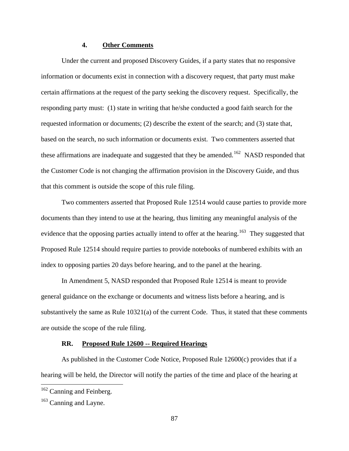#### **4. Other Comments**

Under the current and proposed Discovery Guides, if a party states that no responsive information or documents exist in connection with a discovery request, that party must make certain affirmations at the request of the party seeking the discovery request. Specifically, the responding party must: (1) state in writing that he/she conducted a good faith search for the requested information or documents; (2) describe the extent of the search; and (3) state that, based on the search, no such information or documents exist. Two commenters asserted that these affirmations are inadequate and suggested that they be amended.<sup>[162](#page-86-0)</sup> NASD responded that the Customer Code is not changing the affirmation provision in the Discovery Guide, and thus that this comment is outside the scope of this rule filing.

Two commenters asserted that Proposed Rule 12514 would cause parties to provide more documents than they intend to use at the hearing, thus limiting any meaningful analysis of the evidence that the opposing parties actually intend to offer at the hearing.<sup>[163](#page-86-1)</sup> They suggested that Proposed Rule 12514 should require parties to provide notebooks of numbered exhibits with an index to opposing parties 20 days before hearing, and to the panel at the hearing.

In Amendment 5, NASD responded that Proposed Rule 12514 is meant to provide general guidance on the exchange or documents and witness lists before a hearing, and is substantively the same as Rule 10321(a) of the current Code. Thus, it stated that these comments are outside the scope of the rule filing.

## **RR. Proposed Rule 12600 -- Required Hearings**

As published in the Customer Code Notice, Proposed Rule 12600(c) provides that if a hearing will be held, the Director will notify the parties of the time and place of the hearing at

<span id="page-86-0"></span><sup>&</sup>lt;sup>162</sup> Canning and Feinberg.

<span id="page-86-1"></span><sup>&</sup>lt;sup>163</sup> Canning and Layne.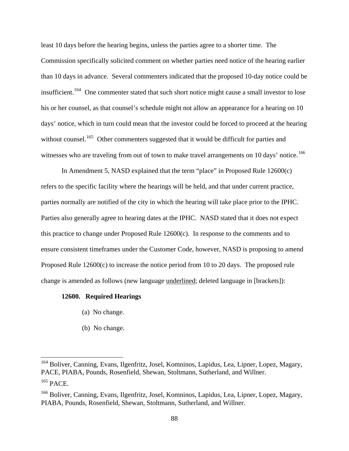least 10 days before the hearing begins, unless the parties agree to a shorter time. The Commission specifically solicited comment on whether parties need notice of the hearing earlier than 10 days in advance. Several commenters indicated that the proposed 10-day notice could be insufficient.<sup>[164](#page-87-0)</sup> One commenter stated that such short notice might cause a small investor to lose his or her counsel, as that counsel's schedule might not allow an appearance for a hearing on 10 days' notice, which in turn could mean that the investor could be forced to proceed at the hearing without counsel.<sup>[165](#page-87-1)</sup> Other commenters suggested that it would be difficult for parties and witnesses who are traveling from out of town to make travel arrangements on 10 days' notice.<sup>[166](#page-87-2)</sup>

In Amendment 5, NASD explained that the term "place" in Proposed Rule 12600(c) refers to the specific facility where the hearings will be held, and that under current practice, parties normally are notified of the city in which the hearing will take place prior to the IPHC. Parties also generally agree to hearing dates at the IPHC. NASD stated that it does not expect this practice to change under Proposed Rule 12600(c). In response to the comments and to ensure consistent timeframes under the Customer Code, however, NASD is proposing to amend Proposed Rule 12600(c) to increase the notice period from 10 to 20 days. The proposed rule change is amended as follows (new language underlined; deleted language in [brackets]):

#### **12600. Required Hearings**

- (a) No change.
- (b) No change.

<span id="page-87-0"></span><sup>&</sup>lt;sup>164</sup> Boliver, Canning, Evans, Ilgenfritz, Josel, Komninos, Lapidus, Lea, Lipner, Lopez, Magary, PACE, PIABA, Pounds, Rosenfield, Shewan, Stoltmann, Sutherland, and Willner. <sup>165</sup> PACE.

<span id="page-87-2"></span><span id="page-87-1"></span><sup>&</sup>lt;sup>166</sup> Boliver, Canning, Evans, Ilgenfritz, Josel, Komninos, Lapidus, Lea, Lipner, Lopez, Magary, PIABA, Pounds, Rosenfield, Shewan, Stoltmann, Sutherland, and Willner.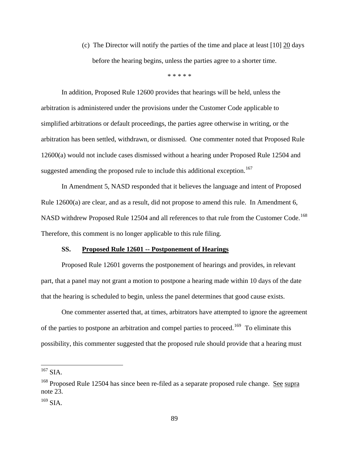(c) The Director will notify the parties of the time and place at least [10] 20 days before the hearing begins, unless the parties agree to a shorter time.

\* \* \* \* \*

In addition, Proposed Rule 12600 provides that hearings will be held, unless the arbitration is administered under the provisions under the Customer Code applicable to simplified arbitrations or default proceedings, the parties agree otherwise in writing, or the arbitration has been settled, withdrawn, or dismissed. One commenter noted that Proposed Rule 12600(a) would not include cases dismissed without a hearing under Proposed Rule 12504 and suggested amending the proposed rule to include this additional exception.<sup>[167](#page-88-0)</sup>

In Amendment 5, NASD responded that it believes the language and intent of Proposed Rule 12600(a) are clear, and as a result, did not propose to amend this rule. In Amendment 6, NASD withdrew Proposed Rule 12504 and all references to that rule from the Customer Code.<sup>[168](#page-88-1)</sup> Therefore, this comment is no longer applicable to this rule filing.

#### **SS. Proposed Rule 12601 -- Postponement of Hearings**

<span id="page-88-3"></span>Proposed Rule 12601 governs the postponement of hearings and provides, in relevant part, that a panel may not grant a motion to postpone a hearing made within 10 days of the date that the hearing is scheduled to begin, unless the panel determines that good cause exists.

One commenter asserted that, at times, arbitrators have attempted to ignore the agreement of the parties to postpone an arbitration and compel parties to proceed.<sup>[169](#page-88-2)</sup> To eliminate this possibility, this commenter suggested that the proposed rule should provide that a hearing must

<span id="page-88-0"></span> $167$  SIA.

<span id="page-88-1"></span><sup>&</sup>lt;sup>168</sup> Proposed Rule 12504 has since been re-filed as a separate proposed rule change. <u>See supra</u> note 23.

<span id="page-88-2"></span> $169$  SIA.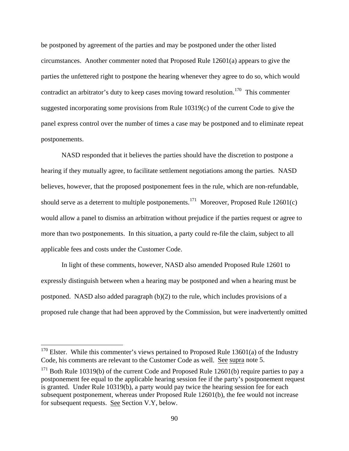be postponed by agreement of the parties and may be postponed under the other listed circumstances. Another commenter noted that Proposed Rule 12601(a) appears to give the parties the unfettered right to postpone the hearing whenever they agree to do so, which would contradict an arbitrator's duty to keep cases moving toward resolution.<sup>[170](#page-89-0)</sup> This commenter suggested incorporating some provisions from Rule  $10319(c)$  of the current Code to give the panel express control over the number of times a case may be postponed and to eliminate repeat postponements.

NASD responded that it believes the parties should have the discretion to postpone a hearing if they mutually agree, to facilitate settlement negotiations among the parties. NASD believes, however, that the proposed postponement fees in the rule, which are non-refundable, should serve as a deterrent to multiple postponements.<sup>[171](#page-89-1)</sup> Moreover, Proposed Rule 12601(c) would allow a panel to dismiss an arbitration without prejudice if the parties request or agree to more than two postponements. In this situation, a party could re-file the claim, subject to all applicable fees and costs under the Customer Code.

In light of these comments, however, NASD also amended Proposed Rule 12601 to expressly distinguish between when a hearing may be postponed and when a hearing must be postponed. NASD also added paragraph (b)(2) to the rule, which includes provisions of a proposed rule change that had been approved by the Commission, but were inadvertently omitted

<span id="page-89-0"></span><sup>&</sup>lt;sup>170</sup> Elster. While this commenter's views pertained to Proposed Rule 13601(a) of the Industry Code, his comments are relevant to the Customer Code as well. See supra note 5.

<span id="page-89-1"></span> $171$  Both Rule 10319(b) of the current Code and Proposed Rule 12601(b) require parties to pay a postponement fee equal to the applicable hearing session fee if the party's postponement request is granted. Under Rule 10319(b), a party would pay twice the hearing session fee for each subsequent postponement, whereas under Proposed Rule 12601(b), the fee would not increase for subsequent requests. See Section V.Y, below.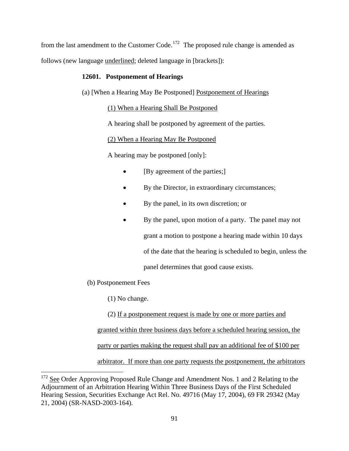from the last amendment to the Customer Code.<sup>[172](#page-90-0)</sup> The proposed rule change is amended as follows (new language underlined; deleted language in [brackets]):

## **12601. Postponement of Hearings**

(a) [When a Hearing May Be Postponed] Postponement of Hearings

# (1) When a Hearing Shall Be Postponed

A hearing shall be postponed by agreement of the parties.

## (2) When a Hearing May Be Postponed

A hearing may be postponed [only]:

- **IDE** [By agreement of the parties;]
- By the Director, in extraordinary circumstances;
- By the panel, in its own discretion; or
- By the panel, upon motion of a party. The panel may not grant a motion to postpone a hearing made within 10 days of the date that the hearing is scheduled to begin, unless the panel determines that good cause exists.
- (b) Postponement Fees

 $\overline{a}$ 

(1) No change.

(2) If a postponement request is made by one or more parties and granted within three business days before a scheduled hearing session, the party or parties making the request shall pay an additional fee of \$100 per arbitrator. If more than one party requests the postponement, the arbitrators

<span id="page-90-0"></span><sup>&</sup>lt;sup>172</sup> See Order Approving Proposed Rule Change and Amendment Nos. 1 and 2 Relating to the Adjournment of an Arbitration Hearing Within Three Business Days of the First Scheduled Hearing Session, Securities Exchange Act Rel. No. 49716 (May 17, 2004), 69 FR 29342 (May 21, 2004) (SR-NASD-2003-164).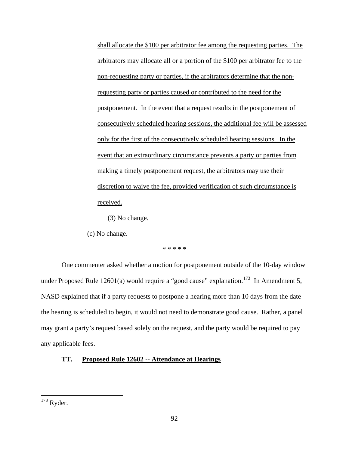shall allocate the \$100 per arbitrator fee among the requesting parties. The arbitrators may allocate all or a portion of the \$100 per arbitrator fee to the non-requesting party or parties, if the arbitrators determine that the nonrequesting party or parties caused or contributed to the need for the postponement. In the event that a request results in the postponement of consecutively scheduled hearing sessions, the additional fee will be assessed only for the first of the consecutively scheduled hearing sessions. In the event that an extraordinary circumstance prevents a party or parties from making a timely postponement request, the arbitrators may use their discretion to waive the fee, provided verification of such circumstance is received.

(3) No change.

(c) No change.

\* \* \* \* \*

One commenter asked whether a motion for postponement outside of the 10-day window under Proposed Rule 12601(a) would require a "good cause" explanation.<sup>[173](#page-91-0)</sup> In Amendment 5, NASD explained that if a party requests to postpone a hearing more than 10 days from the date the hearing is scheduled to begin, it would not need to demonstrate good cause. Rather, a panel may grant a party's request based solely on the request, and the party would be required to pay any applicable fees.

## **TT. Proposed Rule 12602 -- Attendance at Hearings**

<span id="page-91-0"></span> $\overline{a}$  $173$  Ryder.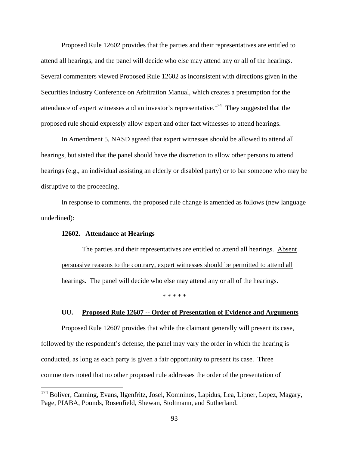Proposed Rule 12602 provides that the parties and their representatives are entitled to attend all hearings, and the panel will decide who else may attend any or all of the hearings. Several commenters viewed Proposed Rule 12602 as inconsistent with directions given in the Securities Industry Conference on Arbitration Manual, which creates a presumption for the attendance of expert witnesses and an investor's representative.<sup>[174](#page-92-0)</sup> They suggested that the proposed rule should expressly allow expert and other fact witnesses to attend hearings.

In Amendment 5, NASD agreed that expert witnesses should be allowed to attend all hearings, but stated that the panel should have the discretion to allow other persons to attend hearings (e.g., an individual assisting an elderly or disabled party) or to bar someone who may be disruptive to the proceeding.

In response to comments, the proposed rule change is amended as follows (new language underlined):

#### **12602. Attendance at Hearings**

 $\overline{a}$ 

The parties and their representatives are entitled to attend all hearings. Absent persuasive reasons to the contrary, expert witnesses should be permitted to attend all hearings. The panel will decide who else may attend any or all of the hearings.

\* \* \* \* \*

#### **UU. Proposed Rule 12607 -- Order of Presentation of Evidence and Arguments**

Proposed Rule 12607 provides that while the claimant generally will present its case, followed by the respondent's defense, the panel may vary the order in which the hearing is conducted, as long as each party is given a fair opportunity to present its case. Three commenters noted that no other proposed rule addresses the order of the presentation of

<span id="page-92-0"></span><sup>&</sup>lt;sup>174</sup> Boliver, Canning, Evans, Ilgenfritz, Josel, Komninos, Lapidus, Lea, Lipner, Lopez, Magary, Page, PIABA, Pounds, Rosenfield, Shewan, Stoltmann, and Sutherland.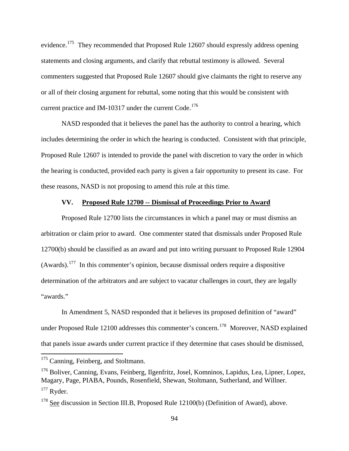evidence.<sup>[175](#page-93-0)</sup> They recommended that Proposed Rule 12607 should expressly address opening statements and closing arguments, and clarify that rebuttal testimony is allowed. Several commenters suggested that Proposed Rule 12607 should give claimants the right to reserve any or all of their closing argument for rebuttal, some noting that this would be consistent with current practice and IM-10317 under the current Code.<sup>[176](#page-93-1)</sup>

NASD responded that it believes the panel has the authority to control a hearing, which includes determining the order in which the hearing is conducted. Consistent with that principle, Proposed Rule 12607 is intended to provide the panel with discretion to vary the order in which the hearing is conducted, provided each party is given a fair opportunity to present its case. For these reasons, NASD is not proposing to amend this rule at this time.

## **VV. Proposed Rule 12700 -- Dismissal of Proceedings Prior to Award**

Proposed Rule 12700 lists the circumstances in which a panel may or must dismiss an arbitration or claim prior to award. One commenter stated that dismissals under Proposed Rule 12700(b) should be classified as an award and put into writing pursuant to Proposed Rule 12904  $(Awards)$ .<sup>[177](#page-93-2)</sup> In this commenter's opinion, because dismissal orders require a dispositive determination of the arbitrators and are subject to vacatur challenges in court, they are legally "awards."

In Amendment 5, NASD responded that it believes its proposed definition of "award" under Proposed Rule 12100 addresses this commenter's concern.<sup>[178](#page-93-3)</sup> Moreover, NASD explained that panels issue awards under current practice if they determine that cases should be dismissed,

<span id="page-93-0"></span><sup>&</sup>lt;sup>175</sup> Canning, Feinberg, and Stoltmann.

<span id="page-93-1"></span><sup>&</sup>lt;sup>176</sup> Boliver, Canning, Evans, Feinberg, Ilgenfritz, Josel, Komninos, Lapidus, Lea, Lipner, Lopez, Magary, Page, PIABA, Pounds, Rosenfield, Shewan, Stoltmann, Sutherland, and Willner.  $177$  Ryder.

<span id="page-93-3"></span><span id="page-93-2"></span> $178$  See discussion in Section III.B, Proposed Rule 12100(b) (Definition of Award), above.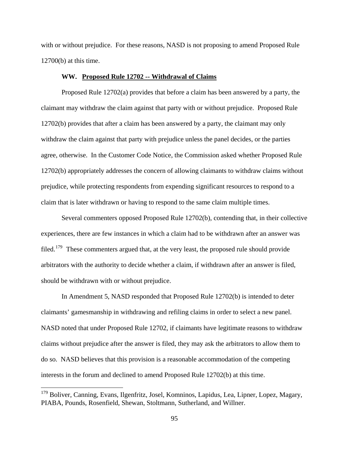with or without prejudice. For these reasons, NASD is not proposing to amend Proposed Rule 12700(b) at this time.

## **WW. Proposed Rule 12702 -- Withdrawal of Claims**

Proposed Rule 12702(a) provides that before a claim has been answered by a party, the claimant may withdraw the claim against that party with or without prejudice. Proposed Rule 12702(b) provides that after a claim has been answered by a party, the claimant may only withdraw the claim against that party with prejudice unless the panel decides, or the parties agree, otherwise. In the Customer Code Notice, the Commission asked whether Proposed Rule 12702(b) appropriately addresses the concern of allowing claimants to withdraw claims without prejudice, while protecting respondents from expending significant resources to respond to a claim that is later withdrawn or having to respond to the same claim multiple times.

Several commenters opposed Proposed Rule 12702(b), contending that, in their collective experiences, there are few instances in which a claim had to be withdrawn after an answer was filed.<sup>[179](#page-94-0)</sup> These commenters argued that, at the very least, the proposed rule should provide arbitrators with the authority to decide whether a claim, if withdrawn after an answer is filed, should be withdrawn with or without prejudice.

In Amendment 5, NASD responded that Proposed Rule 12702(b) is intended to deter claimants' gamesmanship in withdrawing and refiling claims in order to select a new panel. NASD noted that under Proposed Rule 12702, if claimants have legitimate reasons to withdraw claims without prejudice after the answer is filed, they may ask the arbitrators to allow them to do so. NASD believes that this provision is a reasonable accommodation of the competing interests in the forum and declined to amend Proposed Rule 12702(b) at this time.

<span id="page-94-0"></span><sup>&</sup>lt;sup>179</sup> Boliver, Canning, Evans, Ilgenfritz, Josel, Komninos, Lapidus, Lea, Lipner, Lopez, Magary, PIABA, Pounds, Rosenfield, Shewan, Stoltmann, Sutherland, and Willner.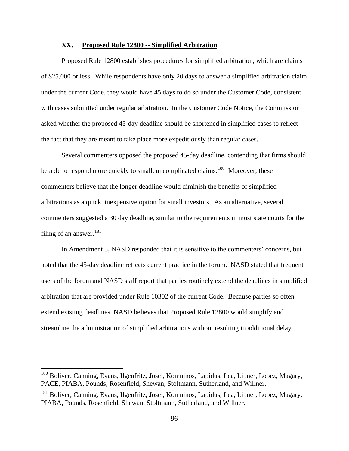#### **XX. Proposed Rule 12800 -- Simplified Arbitration**

Proposed Rule 12800 establishes procedures for simplified arbitration, which are claims of \$25,000 or less. While respondents have only 20 days to answer a simplified arbitration claim under the current Code, they would have 45 days to do so under the Customer Code, consistent with cases submitted under regular arbitration. In the Customer Code Notice, the Commission asked whether the proposed 45-day deadline should be shortened in simplified cases to reflect the fact that they are meant to take place more expeditiously than regular cases.

Several commenters opposed the proposed 45-day deadline, contending that firms should be able to respond more quickly to small, uncomplicated claims.<sup>[180](#page-95-0)</sup> Moreover, these commenters believe that the longer deadline would diminish the benefits of simplified arbitrations as a quick, inexpensive option for small investors. As an alternative, several commenters suggested a 30 day deadline, similar to the requirements in most state courts for the filing of an answer. $^{181}$  $^{181}$  $^{181}$ 

In Amendment 5, NASD responded that it is sensitive to the commenters' concerns, but noted that the 45-day deadline reflects current practice in the forum. NASD stated that frequent users of the forum and NASD staff report that parties routinely extend the deadlines in simplified arbitration that are provided under Rule 10302 of the current Code. Because parties so often extend existing deadlines, NASD believes that Proposed Rule 12800 would simplify and streamline the administration of simplified arbitrations without resulting in additional delay.

<span id="page-95-0"></span><sup>&</sup>lt;sup>180</sup> Boliver, Canning, Evans, Ilgenfritz, Josel, Komninos, Lapidus, Lea, Lipner, Lopez, Magary, PACE, PIABA, Pounds, Rosenfield, Shewan, Stoltmann, Sutherland, and Willner.

<span id="page-95-1"></span><sup>&</sup>lt;sup>181</sup> Boliver, Canning, Evans, Ilgenfritz, Josel, Komninos, Lapidus, Lea, Lipner, Lopez, Magary, PIABA, Pounds, Rosenfield, Shewan, Stoltmann, Sutherland, and Willner.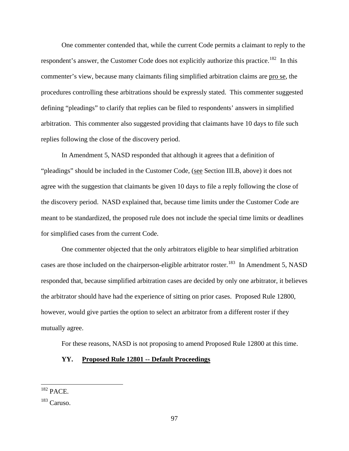One commenter contended that, while the current Code permits a claimant to reply to the respondent's answer, the Customer Code does not explicitly authorize this practice.<sup>[182](#page-96-0)</sup> In this commenter's view, because many claimants filing simplified arbitration claims are pro se, the procedures controlling these arbitrations should be expressly stated. This commenter suggested defining "pleadings" to clarify that replies can be filed to respondents' answers in simplified arbitration. This commenter also suggested providing that claimants have 10 days to file such replies following the close of the discovery period.

In Amendment 5, NASD responded that although it agrees that a definition of "pleadings" should be included in the Customer Code, (see Section [III.B,](#page-12-0) above) it does not agree with the suggestion that claimants be given 10 days to file a reply following the close of the discovery period. NASD explained that, because time limits under the Customer Code are meant to be standardized, the proposed rule does not include the special time limits or deadlines for simplified cases from the current Code.

One commenter objected that the only arbitrators eligible to hear simplified arbitration cases are those included on the chairperson-eligible arbitrator roster.<sup>[183](#page-96-1)</sup> In Amendment 5, NASD responded that, because simplified arbitration cases are decided by only one arbitrator, it believes the arbitrator should have had the experience of sitting on prior cases. Proposed Rule 12800, however, would give parties the option to select an arbitrator from a different roster if they mutually agree.

For these reasons, NASD is not proposing to amend Proposed Rule 12800 at this time.

### **YY. Proposed Rule 12801 -- Default Proceedings**

<span id="page-96-0"></span> $182$  PACE.

<span id="page-96-1"></span><sup>183</sup> Caruso.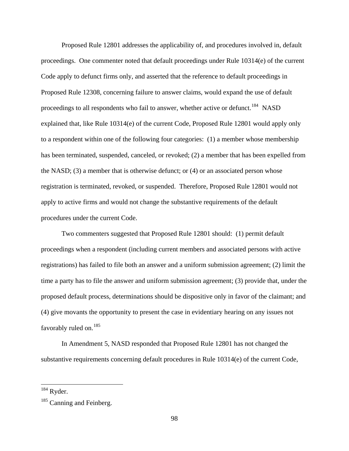Proposed Rule 12801 addresses the applicability of, and procedures involved in, default proceedings. One commenter noted that default proceedings under Rule 10314(e) of the current Code apply to defunct firms only, and asserted that the reference to default proceedings in Proposed Rule 12308, concerning failure to answer claims, would expand the use of default proceedings to all respondents who fail to answer, whether active or defunct.<sup>[184](#page-97-0)</sup> NASD explained that, like Rule 10314(e) of the current Code, Proposed Rule 12801 would apply only to a respondent within one of the following four categories: (1) a member whose membership has been terminated, suspended, canceled, or revoked; (2) a member that has been expelled from the NASD; (3) a member that is otherwise defunct; or (4) or an associated person whose registration is terminated, revoked, or suspended. Therefore, Proposed Rule 12801 would not apply to active firms and would not change the substantive requirements of the default procedures under the current Code.

Two commenters suggested that Proposed Rule 12801 should: (1) permit default proceedings when a respondent (including current members and associated persons with active registrations) has failed to file both an answer and a uniform submission agreement; (2) limit the time a party has to file the answer and uniform submission agreement; (3) provide that, under the proposed default process, determinations should be dispositive only in favor of the claimant; and (4) give movants the opportunity to present the case in evidentiary hearing on any issues not favorably ruled on.<sup>[185](#page-97-1)</sup>

In Amendment 5, NASD responded that Proposed Rule 12801 has not changed the substantive requirements concerning default procedures in Rule 10314(e) of the current Code,

<span id="page-97-0"></span> $184$  Ryder.

<span id="page-97-1"></span><sup>&</sup>lt;sup>185</sup> Canning and Feinberg.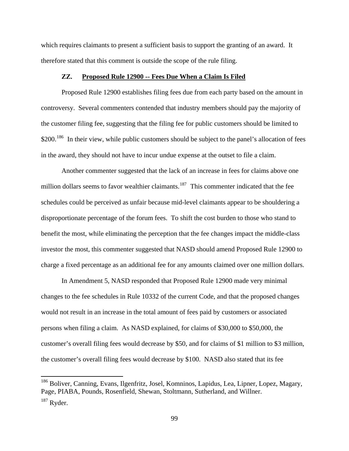which requires claimants to present a sufficient basis to support the granting of an award. It therefore stated that this comment is outside the scope of the rule filing.

## **ZZ. Proposed Rule 12900 -- Fees Due When a Claim Is Filed**

Proposed Rule 12900 establishes filing fees due from each party based on the amount in controversy. Several commenters contended that industry members should pay the majority of the customer filing fee, suggesting that the filing fee for public customers should be limited to \$200.<sup>[186](#page-98-0)</sup> In their view, while public customers should be subject to the panel's allocation of fees in the award, they should not have to incur undue expense at the outset to file a claim.

Another commenter suggested that the lack of an increase in fees for claims above one million dollars seems to favor wealthier claimants.<sup>[187](#page-98-1)</sup> This commenter indicated that the fee schedules could be perceived as unfair because mid-level claimants appear to be shouldering a disproportionate percentage of the forum fees. To shift the cost burden to those who stand to benefit the most, while eliminating the perception that the fee changes impact the middle-class investor the most, this commenter suggested that NASD should amend Proposed Rule 12900 to charge a fixed percentage as an additional fee for any amounts claimed over one million dollars.

In Amendment 5, NASD responded that Proposed Rule 12900 made very minimal changes to the fee schedules in Rule 10332 of the current Code, and that the proposed changes would not result in an increase in the total amount of fees paid by customers or associated persons when filing a claim. As NASD explained, for claims of \$30,000 to \$50,000, the customer's overall filing fees would decrease by \$50, and for claims of \$1 million to \$3 million, the customer's overall filing fees would decrease by \$100. NASD also stated that its fee

<span id="page-98-1"></span><span id="page-98-0"></span><sup>&</sup>lt;sup>186</sup> Boliver, Canning, Evans, Ilgenfritz, Josel, Komninos, Lapidus, Lea, Lipner, Lopez, Magary, Page, PIABA, Pounds, Rosenfield, Shewan, Stoltmann, Sutherland, and Willner.  $187$  Ryder.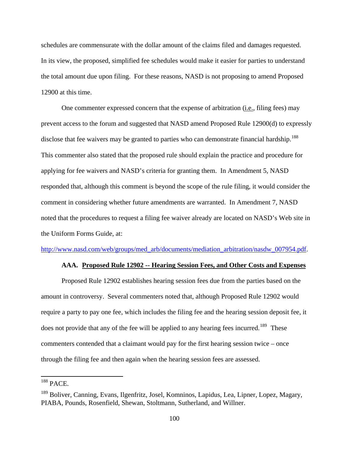schedules are commensurate with the dollar amount of the claims filed and damages requested. In its view, the proposed, simplified fee schedules would make it easier for parties to understand the total amount due upon filing. For these reasons, NASD is not proposing to amend Proposed 12900 at this time.

One commenter expressed concern that the expense of arbitration (i.e., filing fees) may prevent access to the forum and suggested that NASD amend Proposed Rule 12900(d) to expressly disclose that fee waivers may be granted to parties who can demonstrate financial hardship.<sup>[188](#page-99-0)</sup> This commenter also stated that the proposed rule should explain the practice and procedure for applying for fee waivers and NASD's criteria for granting them. In Amendment 5, NASD responded that, although this comment is beyond the scope of the rule filing, it would consider the comment in considering whether future amendments are warranted. In Amendment 7, NASD noted that the procedures to request a filing fee waiver already are located on NASD's Web site in the Uniform Forms Guide, at:

[http://www.nasd.com/web/groups/med\\_arb/documents/mediation\\_arbitration/nasdw\\_007954.pdf.](http://www.nasd.com/web/groups/med_arb/documents/mediation_arbitration/nasdw_007954.pdf)

### **AAA. Proposed Rule 12902 -- Hearing Session Fees, and Other Costs and Expenses**

Proposed Rule 12902 establishes hearing session fees due from the parties based on the amount in controversy. Several commenters noted that, although Proposed Rule 12902 would require a party to pay one fee, which includes the filing fee and the hearing session deposit fee, it does not provide that any of the fee will be applied to any hearing fees incurred.<sup>[189](#page-99-1)</sup> These commenters contended that a claimant would pay for the first hearing session twice – once through the filing fee and then again when the hearing session fees are assessed.

<span id="page-99-0"></span> $188$  PACE.

<span id="page-99-1"></span><sup>&</sup>lt;sup>189</sup> Boliver, Canning, Evans, Ilgenfritz, Josel, Komninos, Lapidus, Lea, Lipner, Lopez, Magary, PIABA, Pounds, Rosenfield, Shewan, Stoltmann, Sutherland, and Willner.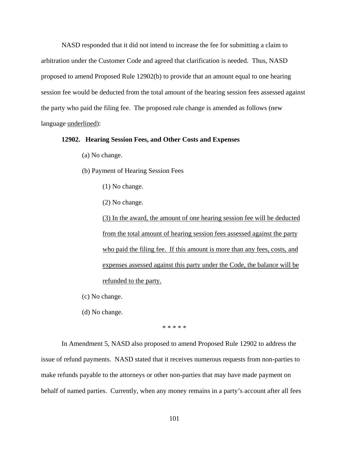NASD responded that it did not intend to increase the fee for submitting a claim to arbitration under the Customer Code and agreed that clarification is needed. Thus, NASD proposed to amend Proposed Rule 12902(b) to provide that an amount equal to one hearing session fee would be deducted from the total amount of the hearing session fees assessed against the party who paid the filing fee. The proposed rule change is amended as follows (new language underlined):

#### **12902. Hearing Session Fees, and Other Costs and Expenses**

(a) No change.

(b) Payment of Hearing Session Fees

(1) No change.

(2) No change.

(3) In the award, the amount of one hearing session fee will be deducted from the total amount of hearing session fees assessed against the party who paid the filing fee. If this amount is more than any fees, costs, and expenses assessed against this party under the Code, the balance will be refunded to the party.

(c) No change.

(d) No change.

\* \* \* \* \*

In Amendment 5, NASD also proposed to amend Proposed Rule 12902 to address the issue of refund payments. NASD stated that it receives numerous requests from non-parties to make refunds payable to the attorneys or other non-parties that may have made payment on behalf of named parties. Currently, when any money remains in a party's account after all fees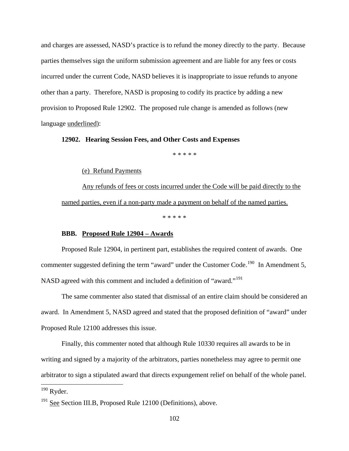and charges are assessed, NASD's practice is to refund the money directly to the party. Because parties themselves sign the uniform submission agreement and are liable for any fees or costs incurred under the current Code, NASD believes it is inappropriate to issue refunds to anyone other than a party. Therefore, NASD is proposing to codify its practice by adding a new provision to Proposed Rule 12902. The proposed rule change is amended as follows (new language underlined):

#### **12902. Hearing Session Fees, and Other Costs and Expenses**

\* \* \* \* \*

#### (e) Refund Payments

Any refunds of fees or costs incurred under the Code will be paid directly to the named parties, even if a non-party made a payment on behalf of the named parties.

\* \* \* \* \*

### **BBB. Proposed Rule 12904 – Awards**

Proposed Rule 12904, in pertinent part, establishes the required content of awards. One commenter suggested defining the term "award" under the Customer Code.<sup>[190](#page-101-0)</sup> In Amendment 5, NASD agreed with this comment and included a definition of "award."[191](#page-101-1)

 The same commenter also stated that dismissal of an entire claim should be considered an award. In Amendment 5, NASD agreed and stated that the proposed definition of "award" under Proposed Rule 12100 addresses this issue.

Finally, this commenter noted that although Rule 10330 requires all awards to be in writing and signed by a majority of the arbitrators, parties nonetheless may agree to permit one arbitrator to sign a stipulated award that directs expungement relief on behalf of the whole panel.

<span id="page-101-0"></span> $190$  Ryder.

<span id="page-101-1"></span> $191$  See Section III.B, Proposed Rule 12100 (Definitions), above.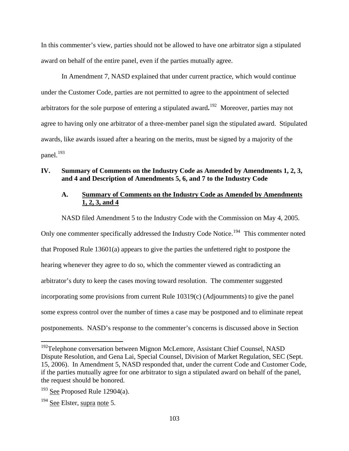In this commenter's view, parties should not be allowed to have one arbitrator sign a stipulated award on behalf of the entire panel, even if the parties mutually agree.

In Amendment 7, NASD explained that under current practice, which would continue under the Customer Code, parties are not permitted to agree to the appointment of selected arbitrators for the sole purpose of entering a stipulated award**.** [192](#page-102-0) Moreover, parties may not agree to having only one arbitrator of a three-member panel sign the stipulated award. Stipulated awards, like awards issued after a hearing on the merits, must be signed by a majority of the panel. $^{193}$  $^{193}$  $^{193}$ 

# **IV. Summary of Comments on the Industry Code as Amended by Amendments 1, 2, 3, and 4 and Description of Amendments 5, 6, and 7 to the Industry Code**

# **A. Summary of Comments on the Industry Code as Amended by Amendments 1, 2, 3, and 4**

NASD filed Amendment 5 to the Industry Code with the Commission on May 4, 2005. Only one commenter specifically addressed the Industry Code Notice.<sup>[194](#page-102-2)</sup> This commenter noted that Proposed Rule 13601(a) appears to give the parties the unfettered right to postpone the hearing whenever they agree to do so, which the commenter viewed as contradicting an arbitrator's duty to keep the cases moving toward resolution. The commenter suggested incorporating some provisions from current Rule 10319(c) (Adjournments) to give the panel some express control over the number of times a case may be postponed and to eliminate repeat postponements. NASD's response to the commenter's concerns is discussed above in Section

<span id="page-102-0"></span><sup>&</sup>lt;sup>192</sup>Telephone conversation between Mignon McLemore, Assistant Chief Counsel, NASD Dispute Resolution, and Gena Lai, Special Counsel, Division of Market Regulation, SEC (Sept. 15, 2006). In Amendment 5, NASD responded that, under the current Code and Customer Code, if the parties mutually agree for one arbitrator to sign a stipulated award on behalf of the panel, the request should be honored.

<span id="page-102-1"></span> $193$  See Proposed Rule 12904(a).

<span id="page-102-2"></span> $194$  See Elster, supra note 5.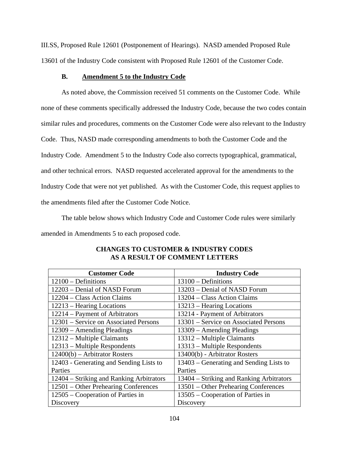[III.SS](#page-88-3), Proposed Rule 12601 (Postponement of Hearings). NASD amended Proposed Rule 13601 of the Industry Code consistent with Proposed Rule 12601 of the Customer Code.

### **B. Amendment 5 to the Industry Code**

As noted above, the Commission received 51 comments on the Customer Code. While none of these comments specifically addressed the Industry Code, because the two codes contain similar rules and procedures, comments on the Customer Code were also relevant to the Industry Code. Thus, NASD made corresponding amendments to both the Customer Code and the Industry Code. Amendment 5 to the Industry Code also corrects typographical, grammatical, and other technical errors. NASD requested accelerated approval for the amendments to the Industry Code that were not yet published. As with the Customer Code, this request applies to the amendments filed after the Customer Code Notice.

The table below shows which Industry Code and Customer Code rules were similarly amended in Amendments 5 to each proposed code.

| <b>Customer Code</b>                     | <b>Industry Code</b>                     |
|------------------------------------------|------------------------------------------|
| $12100 -$ Definitions                    | $13100 -$ Definitions                    |
| 12203 – Denial of NASD Forum             | 13203 - Denial of NASD Forum             |
| 12204 – Class Action Claims              | 13204 – Class Action Claims              |
| 12213 – Hearing Locations                | 13213 – Hearing Locations                |
| 12214 – Payment of Arbitrators           | 13214 - Payment of Arbitrators           |
| 12301 – Service on Associated Persons    | 13301 – Service on Associated Persons    |
| 12309 – Amending Pleadings               | 13309 – Amending Pleadings               |
| 12312 – Multiple Claimants               | 13312 – Multiple Claimants               |
| 12313 – Multiple Respondents             | 13313 – Multiple Respondents             |
| $12400(b)$ – Arbitrator Rosters          | 13400(b) - Arbitrator Rosters            |
| 12403 - Generating and Sending Lists to  | 13403 – Generating and Sending Lists to  |
| Parties                                  | Parties                                  |
| 12404 – Striking and Ranking Arbitrators | 13404 – Striking and Ranking Arbitrators |
| 12501 - Other Prehearing Conferences     | 13501 - Other Prehearing Conferences     |
| 12505 – Cooperation of Parties in        | 13505 – Cooperation of Parties in        |
| Discovery                                | Discovery                                |

# **CHANGES TO CUSTOMER & INDUSTRY CODES AS A RESULT OF COMMENT LETTERS**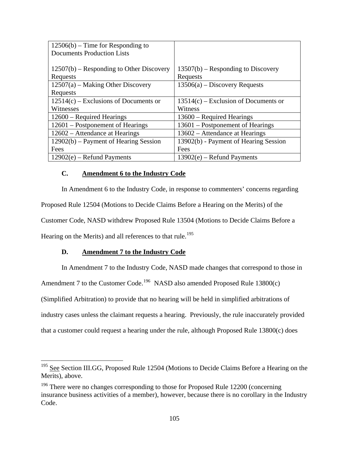| $12506(b)$ – Time for Responding to        |                                        |
|--------------------------------------------|----------------------------------------|
| <b>Documents Production Lists</b>          |                                        |
|                                            |                                        |
| $12507(b)$ – Responding to Other Discovery | $13507(b)$ – Responding to Discovery   |
| Requests                                   | Requests                               |
| $12507(a)$ – Making Other Discovery        | $13506(a)$ – Discovery Requests        |
| Requests                                   |                                        |
| $12514(c)$ – Exclusions of Documents or    | $13514(c)$ – Exclusion of Documents or |
| Witnesses                                  | Witness                                |
| 12600 – Required Hearings                  | 13600 – Required Hearings              |
| 12601 – Postponement of Hearings           | 13601 – Postponement of Hearings       |
| $12602$ – Attendance at Hearings           | 13602 – Attendance at Hearings         |
| $12902(b)$ – Payment of Hearing Session    | 13902(b) - Payment of Hearing Session  |
| Fees                                       | Fees                                   |
| $12902(e)$ – Refund Payments               | $13902(e)$ – Refund Payments           |

# **C. Amendment 6 to the Industry Code**

In Amendment 6 to the Industry Code, in response to commenters' concerns regarding Proposed Rule 12504 (Motions to Decide Claims Before a Hearing on the Merits) of the Customer Code, NASD withdrew Proposed Rule 13504 (Motions to Decide Claims Before a Hearing on the Merits) and all references to that rule.<sup>[195](#page-104-0)</sup>

### **D. Amendment 7 to the Industry Code**

 $\overline{a}$ 

In Amendment 7 to the Industry Code, NASD made changes that correspond to those in Amendment 7 to the Customer Code.<sup>[196](#page-104-1)</sup> NASD also amended Proposed Rule 13800(c) (Simplified Arbitration) to provide that no hearing will be held in simplified arbitrations of industry cases unless the claimant requests a hearing. Previously, the rule inaccurately provided that a customer could request a hearing under the rule, although Proposed Rule 13800(c) does

<span id="page-104-0"></span><sup>&</sup>lt;sup>195</sup> See Section III.GG, Proposed Rule 12504 (Motions to Decide Claims Before a Hearing on the Merits), above.

<span id="page-104-1"></span> $196$  There were no changes corresponding to those for Proposed Rule 12200 (concerning insurance business activities of a member), however, because there is no corollary in the Industry Code.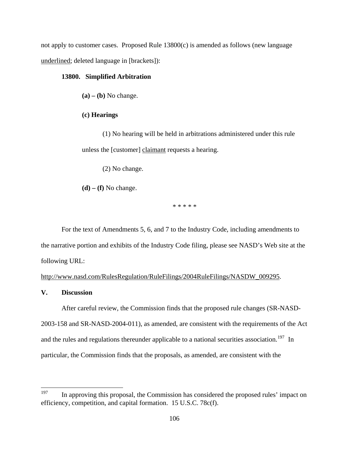not apply to customer cases. Proposed Rule 13800(c) is amended as follows (new language underlined; deleted language in [brackets]):

#### **13800. Simplified Arbitration**

 $(a) - (b)$  No change.

### **(c) Hearings**

(1) No hearing will be held in arbitrations administered under this rule unless the [customer] claimant requests a hearing.

(2) No change.

**(d) – (f)** No change.

\* \* \* \* \*

For the text of Amendments 5, 6, and 7 to the Industry Code, including amendments to the narrative portion and exhibits of the Industry Code filing, please see NASD's Web site at the following URL:

### http://www.nasd.com/RulesRegulation/RuleFilings/2004RuleFilings/NASDW\_009295.

# **V. Discussion**

After careful review, the Commission finds that the proposed rule changes (SR-NASD-

2003-158 and SR-NASD-2004-011), as amended, are consistent with the requirements of the Act and the rules and regulations thereunder applicable to a national securities association.<sup>[197](#page-105-0)</sup> In particular, the Commission finds that the proposals, as amended, are consistent with the

<span id="page-105-0"></span><sup>197</sup> In approving this proposal, the Commission has considered the proposed rules' impact on efficiency, competition, and capital formation. 15 U.S.C. 78c(f).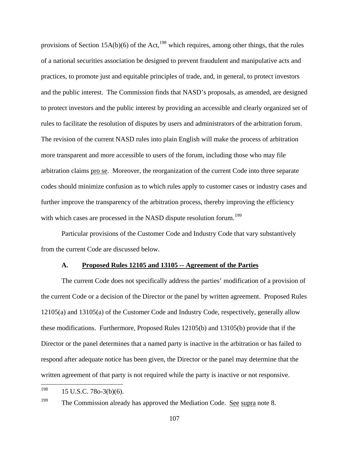provisions of Section 15A(b)(6) of the Act,<sup>[198](#page-106-0)</sup> which requires, among other things, that the rules of a national securities association be designed to prevent fraudulent and manipulative acts and practices, to promote just and equitable principles of trade, and, in general, to protect investors and the public interest. The Commission finds that NASD's proposals, as amended, are designed to protect investors and the public interest by providing an accessible and clearly organized set of rules to facilitate the resolution of disputes by users and administrators of the arbitration forum. The revision of the current NASD rules into plain English will make the process of arbitration more transparent and more accessible to users of the forum, including those who may file arbitration claims pro se. Moreover, the reorganization of the current Code into three separate codes should minimize confusion as to which rules apply to customer cases or industry cases and further improve the transparency of the arbitration process, thereby improving the efficiency with which cases are processed in the NASD dispute resolution forum.<sup>[199](#page-106-1)</sup>

Particular provisions of the Customer Code and Industry Code that vary substantively from the current Code are discussed below.

#### **A. Proposed Rules 12105 and 13105 -- Agreement of the Parties**

The current Code does not specifically address the parties' modification of a provision of the current Code or a decision of the Director or the panel by written agreement. Proposed Rules 12105(a) and 13105(a) of the Customer Code and Industry Code, respectively, generally allow these modifications. Furthermore, Proposed Rules 12105(b) and 13105(b) provide that if the Director or the panel determines that a named party is inactive in the arbitration or has failed to respond after adequate notice has been given, the Director or the panel may determine that the written agreement of that party is not required while the party is inactive or not responsive.

<span id="page-106-0"></span>198 15 U.S.C. 78o-3(b)(6).

<span id="page-106-1"></span><sup>199</sup> The Commission already has approved the Mediation Code. See supra note 8.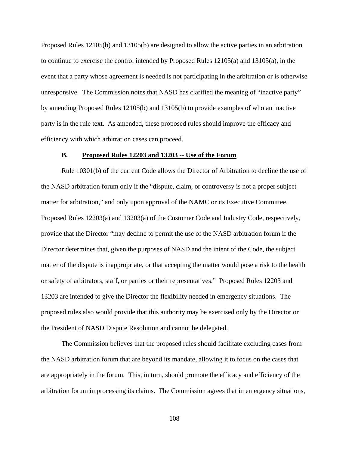Proposed Rules 12105(b) and 13105(b) are designed to allow the active parties in an arbitration to continue to exercise the control intended by Proposed Rules 12105(a) and 13105(a), in the event that a party whose agreement is needed is not participating in the arbitration or is otherwise unresponsive. The Commission notes that NASD has clarified the meaning of "inactive party" by amending Proposed Rules 12105(b) and 13105(b) to provide examples of who an inactive party is in the rule text. As amended, these proposed rules should improve the efficacy and efficiency with which arbitration cases can proceed.

#### **B. Proposed Rules 12203 and 13203 -- Use of the Forum**

Rule 10301(b) of the current Code allows the Director of Arbitration to decline the use of the NASD arbitration forum only if the "dispute, claim, or controversy is not a proper subject matter for arbitration," and only upon approval of the NAMC or its Executive Committee. Proposed Rules 12203(a) and 13203(a) of the Customer Code and Industry Code, respectively, provide that the Director "may decline to permit the use of the NASD arbitration forum if the Director determines that, given the purposes of NASD and the intent of the Code, the subject matter of the dispute is inappropriate, or that accepting the matter would pose a risk to the health or safety of arbitrators, staff, or parties or their representatives." Proposed Rules 12203 and 13203 are intended to give the Director the flexibility needed in emergency situations. The proposed rules also would provide that this authority may be exercised only by the Director or the President of NASD Dispute Resolution and cannot be delegated.

The Commission believes that the proposed rules should facilitate excluding cases from the NASD arbitration forum that are beyond its mandate, allowing it to focus on the cases that are appropriately in the forum. This, in turn, should promote the efficacy and efficiency of the arbitration forum in processing its claims. The Commission agrees that in emergency situations,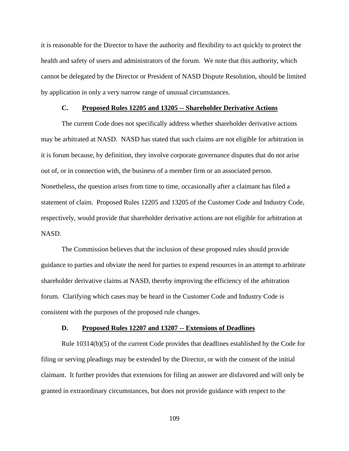it is reasonable for the Director to have the authority and flexibility to act quickly to protect the health and safety of users and administrators of the forum. We note that this authority, which cannot be delegated by the Director or President of NASD Dispute Resolution, should be limited by application in only a very narrow range of unusual circumstances.

# **C. Proposed Rules 12205 and 13205 -- Shareholder Derivative Actions**

 The current Code does not specifically address whether shareholder derivative actions may be arbitrated at NASD. NASD has stated that such claims are not eligible for arbitration in it is forum because, by definition, they involve corporate governance disputes that do not arise out of, or in connection with, the business of a member firm or an associated person. Nonetheless, the question arises from time to time, occasionally after a claimant has filed a statement of claim. Proposed Rules 12205 and 13205 of the Customer Code and Industry Code, respectively, would provide that shareholder derivative actions are not eligible for arbitration at NASD.

 The Commission believes that the inclusion of these proposed rules should provide guidance to parties and obviate the need for parties to expend resources in an attempt to arbitrate shareholder derivative claims at NASD, thereby improving the efficiency of the arbitration forum. Clarifying which cases may be heard in the Customer Code and Industry Code is consistent with the purposes of the proposed rule changes.

## **D. Proposed Rules 12207 and 13207 -- Extensions of Deadlines**

Rule 10314(b)(5) of the current Code provides that deadlines established by the Code for filing or serving pleadings may be extended by the Director, or with the consent of the initial claimant. It further provides that extensions for filing an answer are disfavored and will only be granted in extraordinary circumstances, but does not provide guidance with respect to the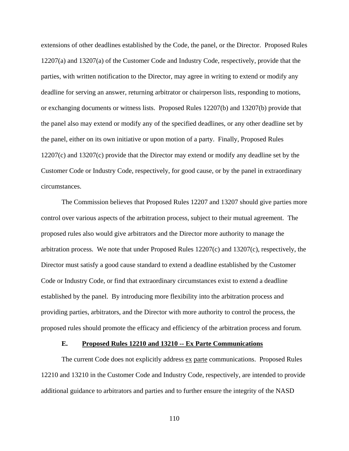extensions of other deadlines established by the Code, the panel, or the Director. Proposed Rules 12207(a) and 13207(a) of the Customer Code and Industry Code, respectively, provide that the parties, with written notification to the Director, may agree in writing to extend or modify any deadline for serving an answer, returning arbitrator or chairperson lists, responding to motions, or exchanging documents or witness lists. Proposed Rules 12207(b) and 13207(b) provide that the panel also may extend or modify any of the specified deadlines, or any other deadline set by the panel, either on its own initiative or upon motion of a party. Finally, Proposed Rules 12207(c) and 13207(c) provide that the Director may extend or modify any deadline set by the Customer Code or Industry Code, respectively, for good cause, or by the panel in extraordinary circumstances.

The Commission believes that Proposed Rules 12207 and 13207 should give parties more control over various aspects of the arbitration process, subject to their mutual agreement. The proposed rules also would give arbitrators and the Director more authority to manage the arbitration process. We note that under Proposed Rules 12207(c) and 13207(c), respectively, the Director must satisfy a good cause standard to extend a deadline established by the Customer Code or Industry Code, or find that extraordinary circumstances exist to extend a deadline established by the panel. By introducing more flexibility into the arbitration process and providing parties, arbitrators, and the Director with more authority to control the process, the proposed rules should promote the efficacy and efficiency of the arbitration process and forum.

#### **E. Proposed Rules 12210 and 13210 -- Ex Parte Communications**

The current Code does not explicitly address ex parte communications. Proposed Rules 12210 and 13210 in the Customer Code and Industry Code, respectively, are intended to provide additional guidance to arbitrators and parties and to further ensure the integrity of the NASD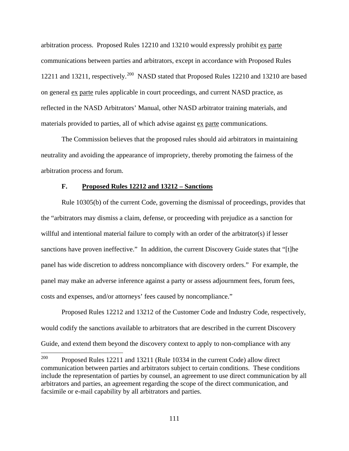arbitration process. Proposed Rules 12210 and 13210 would expressly prohibit ex parte communications between parties and arbitrators, except in accordance with Proposed Rules 12211 and 13211, respectively.<sup>[200](#page-110-0)</sup> NASD stated that Proposed Rules 12210 and 13210 are based on general ex parte rules applicable in court proceedings, and current NASD practice, as reflected in the NASD Arbitrators' Manual, other NASD arbitrator training materials, and materials provided to parties, all of which advise against ex parte communications.

The Commission believes that the proposed rules should aid arbitrators in maintaining neutrality and avoiding the appearance of impropriety, thereby promoting the fairness of the arbitration process and forum.

### **F. Proposed Rules 12212 and 13212 – Sanctions**

Rule 10305(b) of the current Code, governing the dismissal of proceedings, provides that the "arbitrators may dismiss a claim, defense, or proceeding with prejudice as a sanction for willful and intentional material failure to comply with an order of the arbitrator(s) if lesser sanctions have proven ineffective." In addition, the current Discovery Guide states that "[t]he panel has wide discretion to address noncompliance with discovery orders." For example, the panel may make an adverse inference against a party or assess adjournment fees, forum fees, costs and expenses, and/or attorneys' fees caused by noncompliance."

Proposed Rules 12212 and 13212 of the Customer Code and Industry Code, respectively, would codify the sanctions available to arbitrators that are described in the current Discovery Guide, and extend them beyond the discovery context to apply to non-compliance with any

<span id="page-110-0"></span><sup>200</sup> Proposed Rules 12211 and 13211 (Rule 10334 in the current Code) allow direct communication between parties and arbitrators subject to certain conditions. These conditions include the representation of parties by counsel, an agreement to use direct communication by all arbitrators and parties, an agreement regarding the scope of the direct communication, and facsimile or e-mail capability by all arbitrators and parties.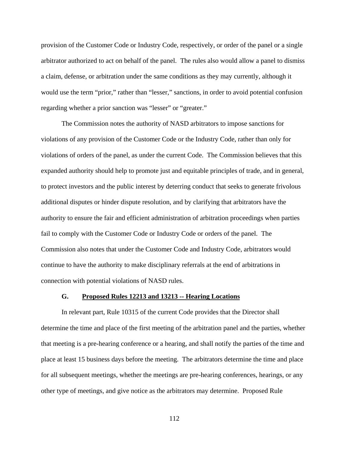provision of the Customer Code or Industry Code, respectively, or order of the panel or a single arbitrator authorized to act on behalf of the panel. The rules also would allow a panel to dismiss a claim, defense, or arbitration under the same conditions as they may currently, although it would use the term "prior," rather than "lesser," sanctions, in order to avoid potential confusion regarding whether a prior sanction was "lesser" or "greater."

The Commission notes the authority of NASD arbitrators to impose sanctions for violations of any provision of the Customer Code or the Industry Code, rather than only for violations of orders of the panel, as under the current Code. The Commission believes that this expanded authority should help to promote just and equitable principles of trade, and in general, to protect investors and the public interest by deterring conduct that seeks to generate frivolous additional disputes or hinder dispute resolution, and by clarifying that arbitrators have the authority to ensure the fair and efficient administration of arbitration proceedings when parties fail to comply with the Customer Code or Industry Code or orders of the panel. The Commission also notes that under the Customer Code and Industry Code, arbitrators would continue to have the authority to make disciplinary referrals at the end of arbitrations in connection with potential violations of NASD rules.

#### **G. Proposed Rules 12213 and 13213 -- Hearing Locations**

In relevant part, Rule 10315 of the current Code provides that the Director shall determine the time and place of the first meeting of the arbitration panel and the parties, whether that meeting is a pre-hearing conference or a hearing, and shall notify the parties of the time and place at least 15 business days before the meeting. The arbitrators determine the time and place for all subsequent meetings, whether the meetings are pre-hearing conferences, hearings, or any other type of meetings, and give notice as the arbitrators may determine. Proposed Rule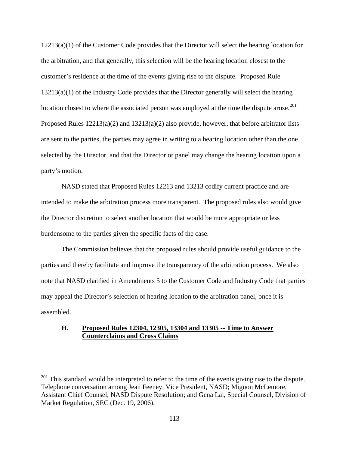12213(a)(1) of the Customer Code provides that the Director will select the hearing location for the arbitration, and that generally, this selection will be the hearing location closest to the customer's residence at the time of the events giving rise to the dispute. Proposed Rule 13213(a)(1) of the Industry Code provides that the Director generally will select the hearing location closest to where the associated person was employed at the time the dispute arose.<sup>[201](#page-112-0)</sup> Proposed Rules 12213(a)(2) and 13213(a)(2) also provide, however, that before arbitrator lists are sent to the parties, the parties may agree in writing to a hearing location other than the one selected by the Director, and that the Director or panel may change the hearing location upon a party's motion.

NASD stated that Proposed Rules 12213 and 13213 codify current practice and are intended to make the arbitration process more transparent. The proposed rules also would give the Director discretion to select another location that would be more appropriate or less burdensome to the parties given the specific facts of the case.

The Commission believes that the proposed rules should provide useful guidance to the parties and thereby facilitate and improve the transparency of the arbitration process. We also note that NASD clarified in Amendments 5 to the Customer Code and Industry Code that parties may appeal the Director's selection of hearing location to the arbitration panel, once it is assembled.

# **H. Proposed Rules 12304, 12305, 13304 and 13305 -- Time to Answer Counterclaims and Cross Claims**

<span id="page-112-0"></span> $201$  This standard would be interpreted to refer to the time of the events giving rise to the dispute. Telephone conversation among Jean Feeney, Vice President, NASD; Mignon McLemore, Assistant Chief Counsel, NASD Dispute Resolution; and Gena Lai, Special Counsel, Division of Market Regulation, SEC (Dec. 19, 2006).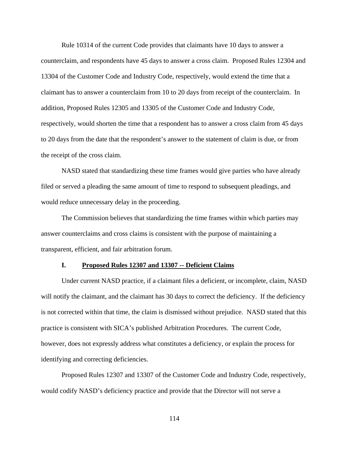Rule 10314 of the current Code provides that claimants have 10 days to answer a counterclaim, and respondents have 45 days to answer a cross claim. Proposed Rules 12304 and 13304 of the Customer Code and Industry Code, respectively, would extend the time that a claimant has to answer a counterclaim from 10 to 20 days from receipt of the counterclaim. In addition, Proposed Rules 12305 and 13305 of the Customer Code and Industry Code, respectively, would shorten the time that a respondent has to answer a cross claim from 45 days to 20 days from the date that the respondent's answer to the statement of claim is due, or from the receipt of the cross claim.

NASD stated that standardizing these time frames would give parties who have already filed or served a pleading the same amount of time to respond to subsequent pleadings, and would reduce unnecessary delay in the proceeding.

The Commission believes that standardizing the time frames within which parties may answer counterclaims and cross claims is consistent with the purpose of maintaining a transparent, efficient, and fair arbitration forum.

# **I. Proposed Rules 12307 and 13307 -- Deficient Claims**

Under current NASD practice, if a claimant files a deficient, or incomplete, claim, NASD will notify the claimant, and the claimant has 30 days to correct the deficiency. If the deficiency is not corrected within that time, the claim is dismissed without prejudice. NASD stated that this practice is consistent with SICA's published Arbitration Procedures. The current Code, however, does not expressly address what constitutes a deficiency, or explain the process for identifying and correcting deficiencies.

Proposed Rules 12307 and 13307 of the Customer Code and Industry Code, respectively, would codify NASD's deficiency practice and provide that the Director will not serve a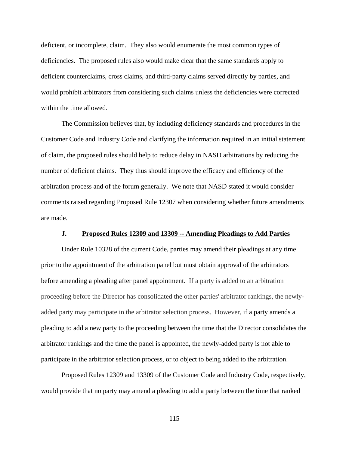deficient, or incomplete, claim. They also would enumerate the most common types of deficiencies. The proposed rules also would make clear that the same standards apply to deficient counterclaims, cross claims, and third-party claims served directly by parties, and would prohibit arbitrators from considering such claims unless the deficiencies were corrected within the time allowed.

The Commission believes that, by including deficiency standards and procedures in the Customer Code and Industry Code and clarifying the information required in an initial statement of claim, the proposed rules should help to reduce delay in NASD arbitrations by reducing the number of deficient claims. They thus should improve the efficacy and efficiency of the arbitration process and of the forum generally. We note that NASD stated it would consider comments raised regarding Proposed Rule 12307 when considering whether future amendments are made.

### **J. Proposed Rules 12309 and 13309 -- Amending Pleadings to Add Parties**

Under Rule 10328 of the current Code, parties may amend their pleadings at any time prior to the appointment of the arbitration panel but must obtain approval of the arbitrators before amending a pleading after panel appointment. If a party is added to an arbitration proceeding before the Director has consolidated the other parties' arbitrator rankings, the newlyadded party may participate in the arbitrator selection process. However, if a party amends a pleading to add a new party to the proceeding between the time that the Director consolidates the arbitrator rankings and the time the panel is appointed, the newly-added party is not able to participate in the arbitrator selection process, or to object to being added to the arbitration.

Proposed Rules 12309 and 13309 of the Customer Code and Industry Code, respectively, would provide that no party may amend a pleading to add a party between the time that ranked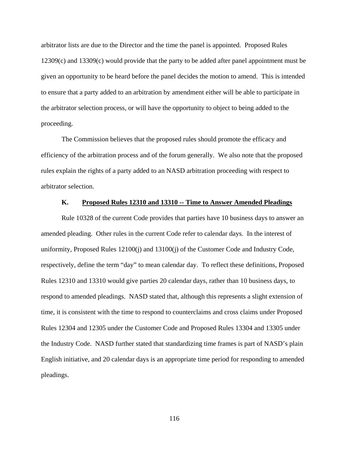arbitrator lists are due to the Director and the time the panel is appointed. Proposed Rules 12309(c) and 13309(c) would provide that the party to be added after panel appointment must be given an opportunity to be heard before the panel decides the motion to amend. This is intended to ensure that a party added to an arbitration by amendment either will be able to participate in the arbitrator selection process, or will have the opportunity to object to being added to the proceeding.

The Commission believes that the proposed rules should promote the efficacy and efficiency of the arbitration process and of the forum generally. We also note that the proposed rules explain the rights of a party added to an NASD arbitration proceeding with respect to arbitrator selection.

#### **K. Proposed Rules 12310 and 13310 -- Time to Answer Amended Pleadings**

 Rule 10328 of the current Code provides that parties have 10 business days to answer an amended pleading. Other rules in the current Code refer to calendar days. In the interest of uniformity, Proposed Rules 12100(j) and 13100(j) of the Customer Code and Industry Code, respectively, define the term "day" to mean calendar day. To reflect these definitions, Proposed Rules 12310 and 13310 would give parties 20 calendar days, rather than 10 business days, to respond to amended pleadings. NASD stated that, although this represents a slight extension of time, it is consistent with the time to respond to counterclaims and cross claims under Proposed Rules 12304 and 12305 under the Customer Code and Proposed Rules 13304 and 13305 under the Industry Code. NASD further stated that standardizing time frames is part of NASD's plain English initiative, and 20 calendar days is an appropriate time period for responding to amended pleadings.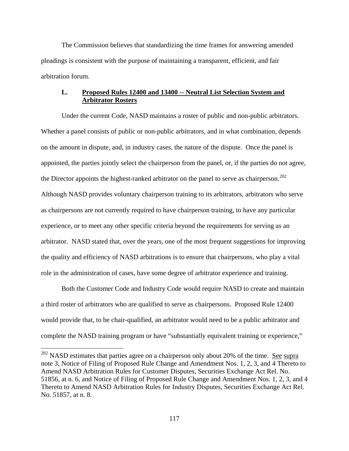The Commission believes that standardizing the time frames for answering amended pleadings is consistent with the purpose of maintaining a transparent, efficient, and fair arbitration forum.

# **L. Proposed Rules 12400 and 13400 -- Neutral List Selection System and Arbitrator Rosters**

 Under the current Code, NASD maintains a roster of public and non-public arbitrators. Whether a panel consists of public or non-public arbitrators, and in what combination, depends on the amount in dispute, and, in industry cases, the nature of the dispute. Once the panel is appointed, the parties jointly select the chairperson from the panel, or, if the parties do not agree, the Director appoints the highest-ranked arbitrator on the panel to serve as chairperson.<sup>[202](#page-116-0)</sup> Although NASD provides voluntary chairperson training to its arbitrators, arbitrators who serve as chairpersons are not currently required to have chairperson training, to have any particular experience, or to meet any other specific criteria beyond the requirements for serving as an arbitrator. NASD stated that, over the years, one of the most frequent suggestions for improving the quality and efficiency of NASD arbitrations is to ensure that chairpersons, who play a vital role in the administration of cases, have some degree of arbitrator experience and training.

Both the Customer Code and Industry Code would require NASD to create and maintain a third roster of arbitrators who are qualified to serve as chairpersons. Proposed Rule 12400 would provide that, to be chair-qualified, an arbitrator would need to be a public arbitrator and complete the NASD training program or have "substantially equivalent training or experience,"

<span id="page-116-0"></span><sup>&</sup>lt;sup>202</sup> NASD estimates that parties agree on a chairperson only about 20% of the time. <u>See supra</u> note 3, Notice of Filing of Proposed Rule Change and Amendment Nos. 1, 2, 3, and 4 Thereto to Amend NASD Arbitration Rules for Customer Disputes, Securities Exchange Act Rel. No. 51856, at n. 6, and Notice of Filing of Proposed Rule Change and Amendment Nos. 1, 2, 3, and 4 Thereto to Amend NASD Arbitration Rules for Industry Disputes, Securities Exchange Act Rel. No. 51857, at n. 8.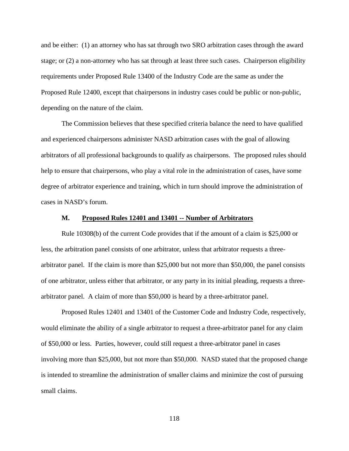and be either: (1) an attorney who has sat through two SRO arbitration cases through the award stage; or (2) a non-attorney who has sat through at least three such cases. Chairperson eligibility requirements under Proposed Rule 13400 of the Industry Code are the same as under the Proposed Rule 12400, except that chairpersons in industry cases could be public or non-public, depending on the nature of the claim.

The Commission believes that these specified criteria balance the need to have qualified and experienced chairpersons administer NASD arbitration cases with the goal of allowing arbitrators of all professional backgrounds to qualify as chairpersons. The proposed rules should help to ensure that chairpersons, who play a vital role in the administration of cases, have some degree of arbitrator experience and training, which in turn should improve the administration of cases in NASD's forum.

#### **M. Proposed Rules 12401 and 13401 -- Number of Arbitrators**

Rule 10308(b) of the current Code provides that if the amount of a claim is \$25,000 or less, the arbitration panel consists of one arbitrator, unless that arbitrator requests a threearbitrator panel. If the claim is more than \$25,000 but not more than \$50,000, the panel consists of one arbitrator, unless either that arbitrator, or any party in its initial pleading, requests a threearbitrator panel. A claim of more than \$50,000 is heard by a three-arbitrator panel.

Proposed Rules 12401 and 13401 of the Customer Code and Industry Code, respectively, would eliminate the ability of a single arbitrator to request a three-arbitrator panel for any claim of \$50,000 or less. Parties, however, could still request a three-arbitrator panel in cases involving more than \$25,000, but not more than \$50,000. NASD stated that the proposed change is intended to streamline the administration of smaller claims and minimize the cost of pursuing small claims.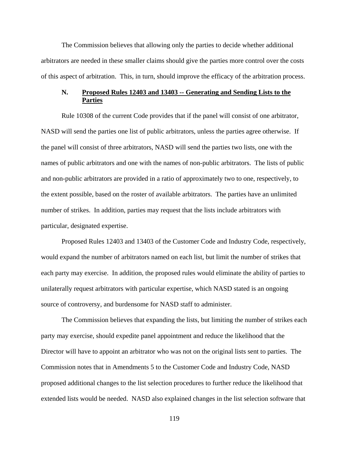The Commission believes that allowing only the parties to decide whether additional arbitrators are needed in these smaller claims should give the parties more control over the costs of this aspect of arbitration. This, in turn, should improve the efficacy of the arbitration process.

# **N. Proposed Rules 12403 and 13403 -- Generating and Sending Lists to the Parties**

 Rule 10308 of the current Code provides that if the panel will consist of one arbitrator, NASD will send the parties one list of public arbitrators, unless the parties agree otherwise. If the panel will consist of three arbitrators, NASD will send the parties two lists, one with the names of public arbitrators and one with the names of non-public arbitrators. The lists of public and non-public arbitrators are provided in a ratio of approximately two to one, respectively, to the extent possible, based on the roster of available arbitrators. The parties have an unlimited number of strikes. In addition, parties may request that the lists include arbitrators with particular, designated expertise.

 Proposed Rules 12403 and 13403 of the Customer Code and Industry Code, respectively, would expand the number of arbitrators named on each list, but limit the number of strikes that each party may exercise. In addition, the proposed rules would eliminate the ability of parties to unilaterally request arbitrators with particular expertise, which NASD stated is an ongoing source of controversy, and burdensome for NASD staff to administer.

 The Commission believes that expanding the lists, but limiting the number of strikes each party may exercise, should expedite panel appointment and reduce the likelihood that the Director will have to appoint an arbitrator who was not on the original lists sent to parties. The Commission notes that in Amendments 5 to the Customer Code and Industry Code, NASD proposed additional changes to the list selection procedures to further reduce the likelihood that extended lists would be needed. NASD also explained changes in the list selection software that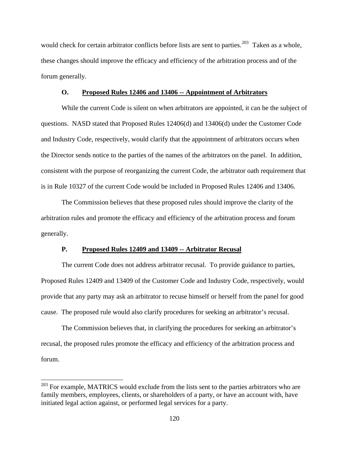would check for certain arbitrator conflicts before lists are sent to parties.<sup>[203](#page-119-0)</sup> Taken as a whole, these changes should improve the efficacy and efficiency of the arbitration process and of the forum generally.

#### **O. Proposed Rules 12406 and 13406 -- Appointment of Arbitrators**

While the current Code is silent on when arbitrators are appointed, it can be the subject of questions. NASD stated that Proposed Rules 12406(d) and 13406(d) under the Customer Code and Industry Code, respectively, would clarify that the appointment of arbitrators occurs when the Director sends notice to the parties of the names of the arbitrators on the panel. In addition, consistent with the purpose of reorganizing the current Code, the arbitrator oath requirement that is in Rule 10327 of the current Code would be included in Proposed Rules 12406 and 13406.

The Commission believes that these proposed rules should improve the clarity of the arbitration rules and promote the efficacy and efficiency of the arbitration process and forum generally.

## **P. Proposed Rules 12409 and 13409 -- Arbitrator Recusal**

The current Code does not address arbitrator recusal. To provide guidance to parties, Proposed Rules 12409 and 13409 of the Customer Code and Industry Code, respectively, would provide that any party may ask an arbitrator to recuse himself or herself from the panel for good cause. The proposed rule would also clarify procedures for seeking an arbitrator's recusal.

The Commission believes that, in clarifying the procedures for seeking an arbitrator's recusal, the proposed rules promote the efficacy and efficiency of the arbitration process and forum.

<span id="page-119-0"></span> $203$  For example, MATRICS would exclude from the lists sent to the parties arbitrators who are family members, employees, clients, or shareholders of a party, or have an account with, have initiated legal action against, or performed legal services for a party.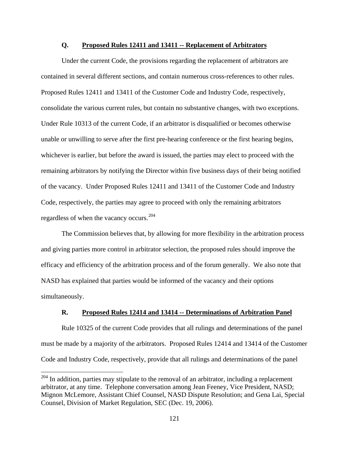#### **Q. Proposed Rules 12411 and 13411 -- Replacement of Arbitrators**

Under the current Code, the provisions regarding the replacement of arbitrators are contained in several different sections, and contain numerous cross-references to other rules. Proposed Rules 12411 and 13411 of the Customer Code and Industry Code, respectively, consolidate the various current rules, but contain no substantive changes, with two exceptions. Under Rule 10313 of the current Code, if an arbitrator is disqualified or becomes otherwise unable or unwilling to serve after the first pre-hearing conference or the first hearing begins, whichever is earlier, but before the award is issued, the parties may elect to proceed with the remaining arbitrators by notifying the Director within five business days of their being notified of the vacancy. Under Proposed Rules 12411 and 13411 of the Customer Code and Industry Code, respectively, the parties may agree to proceed with only the remaining arbitrators regardless of when the vacancy occurs.[204](#page-120-0)

The Commission believes that, by allowing for more flexibility in the arbitration process and giving parties more control in arbitrator selection, the proposed rules should improve the efficacy and efficiency of the arbitration process and of the forum generally. We also note that NASD has explained that parties would be informed of the vacancy and their options simultaneously.

### **R. Proposed Rules 12414 and 13414 -- Determinations of Arbitration Panel**

Rule 10325 of the current Code provides that all rulings and determinations of the panel must be made by a majority of the arbitrators. Proposed Rules 12414 and 13414 of the Customer Code and Industry Code, respectively, provide that all rulings and determinations of the panel

<span id="page-120-0"></span> $204$  In addition, parties may stipulate to the removal of an arbitrator, including a replacement arbitrator, at any time. Telephone conversation among Jean Feeney, Vice President, NASD; Mignon McLemore, Assistant Chief Counsel, NASD Dispute Resolution; and Gena Lai, Special Counsel, Division of Market Regulation, SEC (Dec. 19, 2006).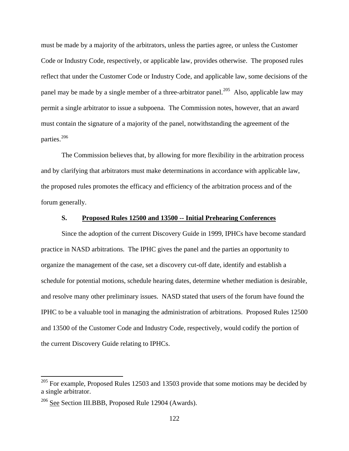must be made by a majority of the arbitrators, unless the parties agree, or unless the Customer Code or Industry Code, respectively, or applicable law, provides otherwise. The proposed rules reflect that under the Customer Code or Industry Code, and applicable law, some decisions of the panel may be made by a single member of a three-arbitrator panel.<sup>[205](#page-121-0)</sup> Also, applicable law may permit a single arbitrator to issue a subpoena. The Commission notes, however, that an award must contain the signature of a majority of the panel, notwithstanding the agreement of the parties.<sup>[206](#page-121-1)</sup>

The Commission believes that, by allowing for more flexibility in the arbitration process and by clarifying that arbitrators must make determinations in accordance with applicable law, the proposed rules promotes the efficacy and efficiency of the arbitration process and of the forum generally.

#### **S. Proposed Rules 12500 and 13500 -- Initial Prehearing Conferences**

Since the adoption of the current Discovery Guide in 1999, IPHCs have become standard practice in NASD arbitrations. The IPHC gives the panel and the parties an opportunity to organize the management of the case, set a discovery cut-off date, identify and establish a schedule for potential motions, schedule hearing dates, determine whether mediation is desirable, and resolve many other preliminary issues. NASD stated that users of the forum have found the IPHC to be a valuable tool in managing the administration of arbitrations. Proposed Rules 12500 and 13500 of the Customer Code and Industry Code, respectively, would codify the portion of the current Discovery Guide relating to IPHCs.

<span id="page-121-0"></span> $205$  For example, Proposed Rules 12503 and 13503 provide that some motions may be decided by a single arbitrator.

<span id="page-121-1"></span> $206$  See Section III.BBB, Proposed Rule 12904 (Awards).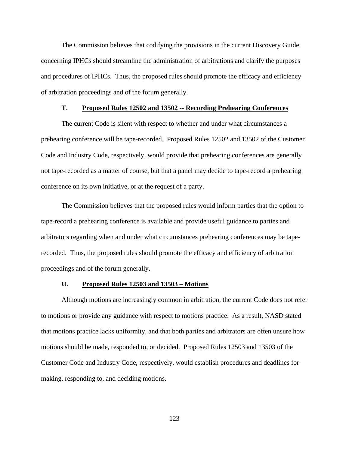The Commission believes that codifying the provisions in the current Discovery Guide concerning IPHCs should streamline the administration of arbitrations and clarify the purposes and procedures of IPHCs. Thus, the proposed rules should promote the efficacy and efficiency of arbitration proceedings and of the forum generally.

#### **T. Proposed Rules 12502 and 13502 -- Recording Prehearing Conferences**

The current Code is silent with respect to whether and under what circumstances a prehearing conference will be tape-recorded. Proposed Rules 12502 and 13502 of the Customer Code and Industry Code, respectively, would provide that prehearing conferences are generally not tape-recorded as a matter of course, but that a panel may decide to tape-record a prehearing conference on its own initiative, or at the request of a party.

The Commission believes that the proposed rules would inform parties that the option to tape-record a prehearing conference is available and provide useful guidance to parties and arbitrators regarding when and under what circumstances prehearing conferences may be taperecorded. Thus, the proposed rules should promote the efficacy and efficiency of arbitration proceedings and of the forum generally.

#### **U. Proposed Rules 12503 and 13503 – Motions**

Although motions are increasingly common in arbitration, the current Code does not refer to motions or provide any guidance with respect to motions practice. As a result, NASD stated that motions practice lacks uniformity, and that both parties and arbitrators are often unsure how motions should be made, responded to, or decided. Proposed Rules 12503 and 13503 of the Customer Code and Industry Code, respectively, would establish procedures and deadlines for making, responding to, and deciding motions.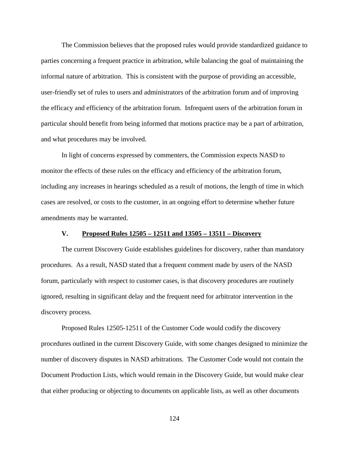The Commission believes that the proposed rules would provide standardized guidance to parties concerning a frequent practice in arbitration, while balancing the goal of maintaining the informal nature of arbitration. This is consistent with the purpose of providing an accessible, user-friendly set of rules to users and administrators of the arbitration forum and of improving the efficacy and efficiency of the arbitration forum. Infrequent users of the arbitration forum in particular should benefit from being informed that motions practice may be a part of arbitration, and what procedures may be involved.

 In light of concerns expressed by commenters, the Commission expects NASD to monitor the effects of these rules on the efficacy and efficiency of the arbitration forum, including any increases in hearings scheduled as a result of motions, the length of time in which cases are resolved, or costs to the customer, in an ongoing effort to determine whether future amendments may be warranted.

## **V. Proposed Rules 12505 – 12511 and 13505 – 13511 – Discovery**

 The current Discovery Guide establishes guidelines for discovery, rather than mandatory procedures. As a result, NASD stated that a frequent comment made by users of the NASD forum, particularly with respect to customer cases, is that discovery procedures are routinely ignored, resulting in significant delay and the frequent need for arbitrator intervention in the discovery process.

 Proposed Rules 12505-12511 of the Customer Code would codify the discovery procedures outlined in the current Discovery Guide, with some changes designed to minimize the number of discovery disputes in NASD arbitrations. The Customer Code would not contain the Document Production Lists, which would remain in the Discovery Guide, but would make clear that either producing or objecting to documents on applicable lists, as well as other documents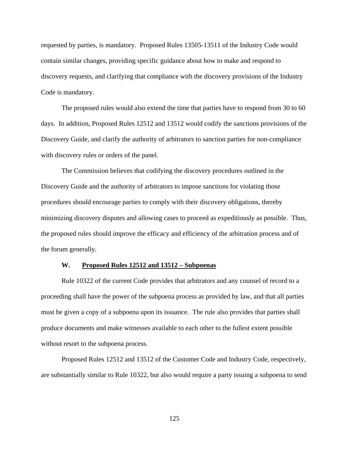requested by parties, is mandatory. Proposed Rules 13505-13511 of the Industry Code would contain similar changes, providing specific guidance about how to make and respond to discovery requests, and clarifying that compliance with the discovery provisions of the Industry Code is mandatory.

 The proposed rules would also extend the time that parties have to respond from 30 to 60 days. In addition, Proposed Rules 12512 and 13512 would codify the sanctions provisions of the Discovery Guide, and clarify the authority of arbitrators to sanction parties for non-compliance with discovery rules or orders of the panel.

 The Commission believes that codifying the discovery procedures outlined in the Discovery Guide and the authority of arbitrators to impose sanctions for violating those procedures should encourage parties to comply with their discovery obligations, thereby minimizing discovery disputes and allowing cases to proceed as expeditiously as possible. Thus, the proposed rules should improve the efficacy and efficiency of the arbitration process and of the forum generally.

#### **W. Proposed Rules 12512 and 13512 – Subpoenas**

Rule 10322 of the current Code provides that arbitrators and any counsel of record to a proceeding shall have the power of the subpoena process as provided by law, and that all parties must be given a copy of a subpoena upon its issuance. The rule also provides that parties shall produce documents and make witnesses available to each other to the fullest extent possible without resort to the subpoena process.

Proposed Rules 12512 and 13512 of the Customer Code and Industry Code, respectively, are substantially similar to Rule 10322, but also would require a party issuing a subpoena to send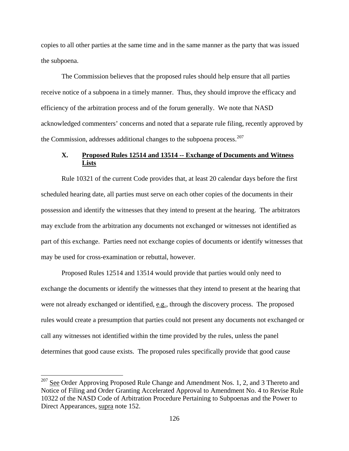copies to all other parties at the same time and in the same manner as the party that was issued the subpoena.

The Commission believes that the proposed rules should help ensure that all parties receive notice of a subpoena in a timely manner. Thus, they should improve the efficacy and efficiency of the arbitration process and of the forum generally. We note that NASD acknowledged commenters' concerns and noted that a separate rule filing, recently approved by the Commission, addresses additional changes to the subpoena process.<sup>[207](#page-125-0)</sup>

# **X. Proposed Rules 12514 and 13514 -- Exchange of Documents and Witness Lists**

Rule 10321 of the current Code provides that, at least 20 calendar days before the first scheduled hearing date, all parties must serve on each other copies of the documents in their possession and identify the witnesses that they intend to present at the hearing. The arbitrators may exclude from the arbitration any documents not exchanged or witnesses not identified as part of this exchange. Parties need not exchange copies of documents or identify witnesses that may be used for cross-examination or rebuttal, however.

Proposed Rules 12514 and 13514 would provide that parties would only need to exchange the documents or identify the witnesses that they intend to present at the hearing that were not already exchanged or identified, e.g., through the discovery process. The proposed rules would create a presumption that parties could not present any documents not exchanged or call any witnesses not identified within the time provided by the rules, unless the panel determines that good cause exists. The proposed rules specifically provide that good cause

<span id="page-125-0"></span> $207$  See Order Approving Proposed Rule Change and Amendment Nos. 1, 2, and 3 Thereto and Notice of Filing and Order Granting Accelerated Approval to Amendment No. 4 to Revise Rule 10322 of the NASD Code of Arbitration Procedure Pertaining to Subpoenas and the Power to Direct Appearances, supra note 152.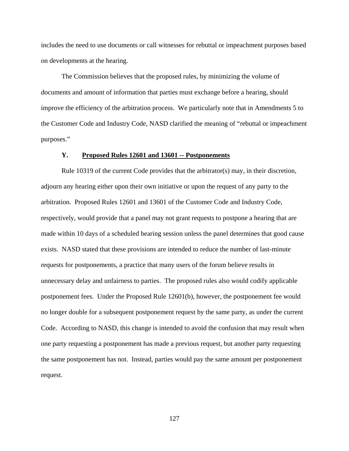includes the need to use documents or call witnesses for rebuttal or impeachment purposes based on developments at the hearing.

The Commission believes that the proposed rules, by minimizing the volume of documents and amount of information that parties must exchange before a hearing, should improve the efficiency of the arbitration process. We particularly note that in Amendments 5 to the Customer Code and Industry Code, NASD clarified the meaning of "rebuttal or impeachment purposes."

### **Y. Proposed Rules 12601 and 13601 -- Postponements**

Rule 10319 of the current Code provides that the arbitrator(s) may, in their discretion, adjourn any hearing either upon their own initiative or upon the request of any party to the arbitration. Proposed Rules 12601 and 13601 of the Customer Code and Industry Code, respectively, would provide that a panel may not grant requests to postpone a hearing that are made within 10 days of a scheduled hearing session unless the panel determines that good cause exists. NASD stated that these provisions are intended to reduce the number of last-minute requests for postponements, a practice that many users of the forum believe results in unnecessary delay and unfairness to parties. The proposed rules also would codify applicable postponement fees. Under the Proposed Rule 12601(b), however, the postponement fee would no longer double for a subsequent postponement request by the same party, as under the current Code. According to NASD, this change is intended to avoid the confusion that may result when one party requesting a postponement has made a previous request, but another party requesting the same postponement has not. Instead, parties would pay the same amount per postponement request.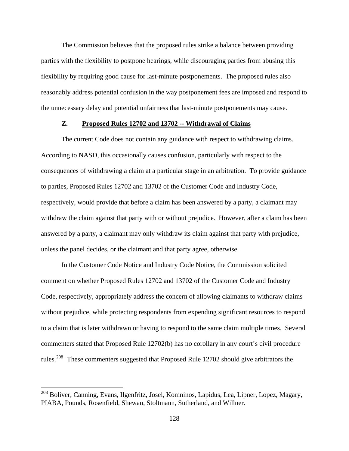The Commission believes that the proposed rules strike a balance between providing parties with the flexibility to postpone hearings, while discouraging parties from abusing this flexibility by requiring good cause for last-minute postponements. The proposed rules also reasonably address potential confusion in the way postponement fees are imposed and respond to the unnecessary delay and potential unfairness that last-minute postponements may cause.

# **Z. Proposed Rules 12702 and 13702 -- Withdrawal of Claims**

 The current Code does not contain any guidance with respect to withdrawing claims. According to NASD, this occasionally causes confusion, particularly with respect to the consequences of withdrawing a claim at a particular stage in an arbitration. To provide guidance to parties, Proposed Rules 12702 and 13702 of the Customer Code and Industry Code, respectively, would provide that before a claim has been answered by a party, a claimant may withdraw the claim against that party with or without prejudice. However, after a claim has been answered by a party, a claimant may only withdraw its claim against that party with prejudice, unless the panel decides, or the claimant and that party agree, otherwise.

In the Customer Code Notice and Industry Code Notice, the Commission solicited comment on whether Proposed Rules 12702 and 13702 of the Customer Code and Industry Code, respectively, appropriately address the concern of allowing claimants to withdraw claims without prejudice, while protecting respondents from expending significant resources to respond to a claim that is later withdrawn or having to respond to the same claim multiple times. Several commenters stated that Proposed Rule 12702(b) has no corollary in any court's civil procedure rules.[208](#page-127-0) These commenters suggested that Proposed Rule 12702 should give arbitrators the

<span id="page-127-0"></span><sup>&</sup>lt;sup>208</sup> Boliver, Canning, Evans, Ilgenfritz, Josel, Komninos, Lapidus, Lea, Lipner, Lopez, Magary, PIABA, Pounds, Rosenfield, Shewan, Stoltmann, Sutherland, and Willner.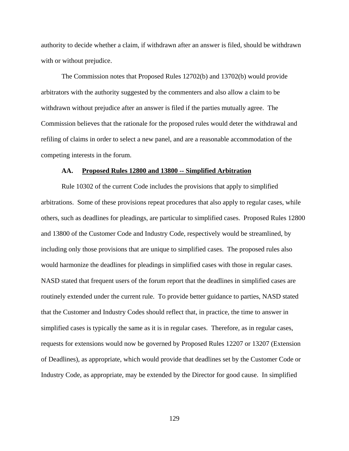authority to decide whether a claim, if withdrawn after an answer is filed, should be withdrawn with or without prejudice.

The Commission notes that Proposed Rules 12702(b) and 13702(b) would provide arbitrators with the authority suggested by the commenters and also allow a claim to be withdrawn without prejudice after an answer is filed if the parties mutually agree. The Commission believes that the rationale for the proposed rules would deter the withdrawal and refiling of claims in order to select a new panel, and are a reasonable accommodation of the competing interests in the forum.

#### **AA. Proposed Rules 12800 and 13800 -- Simplified Arbitration**

Rule 10302 of the current Code includes the provisions that apply to simplified arbitrations. Some of these provisions repeat procedures that also apply to regular cases, while others, such as deadlines for pleadings, are particular to simplified cases. Proposed Rules 12800 and 13800 of the Customer Code and Industry Code, respectively would be streamlined, by including only those provisions that are unique to simplified cases. The proposed rules also would harmonize the deadlines for pleadings in simplified cases with those in regular cases. NASD stated that frequent users of the forum report that the deadlines in simplified cases are routinely extended under the current rule. To provide better guidance to parties, NASD stated that the Customer and Industry Codes should reflect that, in practice, the time to answer in simplified cases is typically the same as it is in regular cases. Therefore, as in regular cases, requests for extensions would now be governed by Proposed Rules 12207 or 13207 (Extension of Deadlines), as appropriate, which would provide that deadlines set by the Customer Code or Industry Code, as appropriate, may be extended by the Director for good cause. In simplified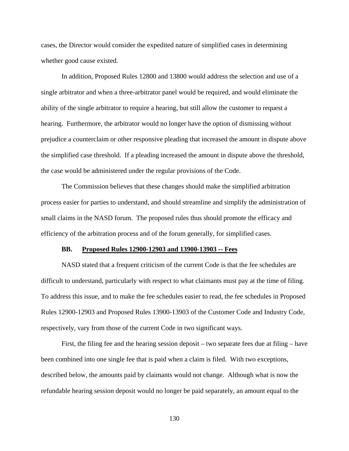cases, the Director would consider the expedited nature of simplified cases in determining whether good cause existed.

In addition, Proposed Rules 12800 and 13800 would address the selection and use of a single arbitrator and when a three-arbitrator panel would be required, and would eliminate the ability of the single arbitrator to require a hearing, but still allow the customer to request a hearing. Furthermore, the arbitrator would no longer have the option of dismissing without prejudice a counterclaim or other responsive pleading that increased the amount in dispute above the simplified case threshold. If a pleading increased the amount in dispute above the threshold, the case would be administered under the regular provisions of the Code.

The Commission believes that these changes should make the simplified arbitration process easier for parties to understand, and should streamline and simplify the administration of small claims in the NASD forum. The proposed rules thus should promote the efficacy and efficiency of the arbitration process and of the forum generally, for simplified cases.

#### **BB. Proposed Rules 12900-12903 and 13900-13903 -- Fees**

NASD stated that a frequent criticism of the current Code is that the fee schedules are difficult to understand, particularly with respect to what claimants must pay at the time of filing. To address this issue, and to make the fee schedules easier to read, the fee schedules in Proposed Rules 12900-12903 and Proposed Rules 13900-13903 of the Customer Code and Industry Code, respectively, vary from those of the current Code in two significant ways.

First, the filing fee and the hearing session deposit – two separate fees due at filing – have been combined into one single fee that is paid when a claim is filed. With two exceptions, described below, the amounts paid by claimants would not change. Although what is now the refundable hearing session deposit would no longer be paid separately, an amount equal to the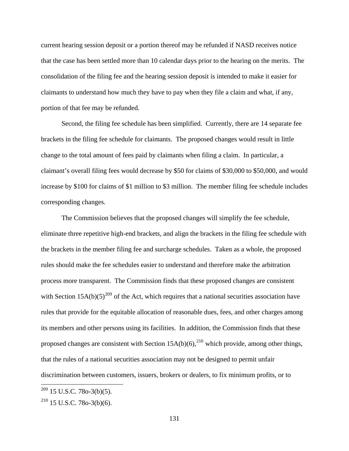current hearing session deposit or a portion thereof may be refunded if NASD receives notice that the case has been settled more than 10 calendar days prior to the hearing on the merits. The consolidation of the filing fee and the hearing session deposit is intended to make it easier for claimants to understand how much they have to pay when they file a claim and what, if any, portion of that fee may be refunded.

Second, the filing fee schedule has been simplified. Currently, there are 14 separate fee brackets in the filing fee schedule for claimants. The proposed changes would result in little change to the total amount of fees paid by claimants when filing a claim. In particular, a claimant's overall filing fees would decrease by \$50 for claims of \$30,000 to \$50,000, and would increase by \$100 for claims of \$1 million to \$3 million. The member filing fee schedule includes corresponding changes.

The Commission believes that the proposed changes will simplify the fee schedule, eliminate three repetitive high-end brackets, and align the brackets in the filing fee schedule with the brackets in the member filing fee and surcharge schedules. Taken as a whole, the proposed rules should make the fee schedules easier to understand and therefore make the arbitration process more transparent. The Commission finds that these proposed changes are consistent with Section  $15A(b)(5)^{209}$  $15A(b)(5)^{209}$  $15A(b)(5)^{209}$  of the Act, which requires that a national securities association have rules that provide for the equitable allocation of reasonable dues, fees, and other charges among its members and other persons using its facilities. In addition, the Commission finds that these proposed changes are consistent with Section  $15A(b)(6)$ ,<sup>[210](#page-130-1)</sup> which provide, among other things, that the rules of a national securities association may not be designed to permit unfair discrimination between customers, issuers, brokers or dealers, to fix minimum profits, or to

<span id="page-130-0"></span> $209$  15 U.S.C. 78o-3(b)(5).

<span id="page-130-1"></span> $^{210}$  15 U.S.C. 78o-3(b)(6).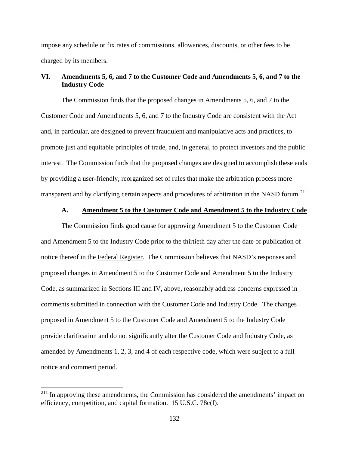impose any schedule or fix rates of commissions, allowances, discounts, or other fees to be charged by its members.

# **VI. Amendments 5, 6, and 7 to the Customer Code and Amendments 5, 6, and 7 to the Industry Code**

The Commission finds that the proposed changes in Amendments 5, 6, and 7 to the Customer Code and Amendments 5, 6, and 7 to the Industry Code are consistent with the Act and, in particular, are designed to prevent fraudulent and manipulative acts and practices, to promote just and equitable principles of trade, and, in general, to protect investors and the public interest. The Commission finds that the proposed changes are designed to accomplish these ends by providing a user-friendly, reorganized set of rules that make the arbitration process more transparent and by clarifying certain aspects and procedures of arbitration in the NASD forum.<sup>[211](#page-131-0)</sup>

# **A. Amendment 5 to the Customer Code and Amendment 5 to the Industry Code**

The Commission finds good cause for approving Amendment 5 to the Customer Code and Amendment 5 to the Industry Code prior to the thirtieth day after the date of publication of notice thereof in the Federal Register. The Commission believes that NASD's responses and proposed changes in Amendment 5 to the Customer Code and Amendment 5 to the Industry Code, as summarized in Sections [III](#page-10-0) and [IV](#page-102-0), above, reasonably address concerns expressed in comments submitted in connection with the Customer Code and Industry Code. The changes proposed in Amendment 5 to the Customer Code and Amendment 5 to the Industry Code provide clarification and do not significantly alter the Customer Code and Industry Code, as amended by Amendments 1, 2, 3, and 4 of each respective code, which were subject to a full notice and comment period.

<span id="page-131-0"></span> $2^{11}$  In approving these amendments, the Commission has considered the amendments' impact on efficiency, competition, and capital formation. 15 U.S.C. 78c(f).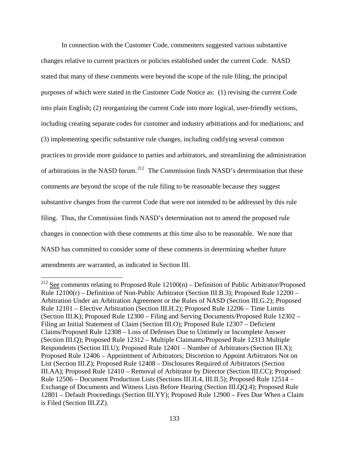In connection with the Customer Code, commenters suggested various substantive changes relative to current practices or policies established under the current Code. NASD stated that many of these comments were beyond the scope of the rule filing, the principal purposes of which were stated in the Customer Code Notice as: (1) revising the current Code into plain English; (2) reorganizing the current Code into more logical, user-friendly sections, including creating separate codes for customer and industry arbitrations and for mediations; and (3) implementing specific substantive rule changes, including codifying several common practices to provide more guidance to parties and arbitrators, and streamlining the administration of arbitrations in the NASD forum.<sup>[212](#page-132-0)</sup> The Commission finds NASD's determination that these comments are beyond the scope of the rule filing to be reasonable because they suggest substantive changes from the current Code that were not intended to be addressed by this rule filing. Thus, the Commission finds NASD's determination not to amend the proposed rule changes in connection with these comments at this time also to be reasonable. We note that NASD has committed to consider some of these comments in determining whether future amendments are warranted, as indicated in Section [III.](#page-10-0)

<span id="page-132-0"></span><sup>&</sup>lt;sup>212</sup> See comments relating to Proposed Rule  $12100(n)$  – Definition of Public Arbitrator/Proposed Rule 12100(r) – Definition of Non-Public Arbitrator (Section III.B.3); Proposed Rule 12200 – Arbitration Under an Arbitration Agreement or the Rules of NASD (Section III.G.2); Proposed Rule 12101 – Elective Arbitration (Section III.H.2); Proposed Rule 12206 – Time Limits (Section III.K); Proposed Rule 12300 – Filing and Serving Documents/Proposed Rule 12302 – Filing an Initial Statement of Claim (Section III.O); Proposed Rule 12307 – Deficient Claims/Proposed Rule 12308 – Loss of Defenses Due to Untimely or Incomplete Answer (Section III.Q); Proposed Rule 12312 – Multiple Claimants/Proposed Rule 12313 Multiple Respondents (Section III.U); Proposed Rule 12401 – Number of Arbitrators (Section III.X); Proposed Rule 12406 – Appointment of Arbitrators; Discretion to Appoint Arbitrators Not on List (Section III.Z); Proposed Rule 12408 – Disclosures Required of Arbitrators (Section III.AA); Proposed Rule 12410 – Removal of Arbitrator by Director (Section III.CC); Proposed Rule 12506 – Document Production Lists (Sections III.II.4, III.II.5); Proposed Rule 12514 – Exchange of Documents and Witness Lists Before Hearing (Section III.QQ.4); Proposed Rule 12801 – Default Proceedings (Section III.YY); Proposed Rule 12900 – Fees Due When a Claim is Filed (Section III.ZZ).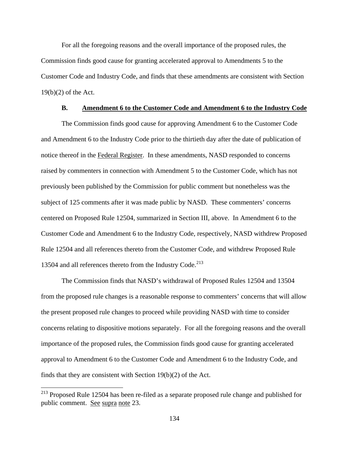For all the foregoing reasons and the overall importance of the proposed rules, the Commission finds good cause for granting accelerated approval to Amendments 5 to the Customer Code and Industry Code, and finds that these amendments are consistent with Section 19(b)(2) of the Act.

## **B. Amendment 6 to the Customer Code and Amendment 6 to the Industry Code**

The Commission finds good cause for approving Amendment 6 to the Customer Code and Amendment 6 to the Industry Code prior to the thirtieth day after the date of publication of notice thereof in the Federal Register. In these amendments, NASD responded to concerns raised by commenters in connection with Amendment 5 to the Customer Code, which has not previously been published by the Commission for public comment but nonetheless was the subject of 125 comments after it was made public by NASD. These commenters' concerns centered on Proposed Rule 12504, summarized in Section [III,](#page-10-0) above. In Amendment 6 to the Customer Code and Amendment 6 to the Industry Code, respectively, NASD withdrew Proposed Rule 12504 and all references thereto from the Customer Code, and withdrew Proposed Rule 13504 and all references thereto from the Industry Code.<sup>[213](#page-133-0)</sup>

The Commission finds that NASD's withdrawal of Proposed Rules 12504 and 13504 from the proposed rule changes is a reasonable response to commenters' concerns that will allow the present proposed rule changes to proceed while providing NASD with time to consider concerns relating to dispositive motions separately. For all the foregoing reasons and the overall importance of the proposed rules, the Commission finds good cause for granting accelerated approval to Amendment 6 to the Customer Code and Amendment 6 to the Industry Code, and finds that they are consistent with Section 19(b)(2) of the Act.

<span id="page-133-0"></span> $2^{13}$  Proposed Rule 12504 has been re-filed as a separate proposed rule change and published for public comment. See supra note 23.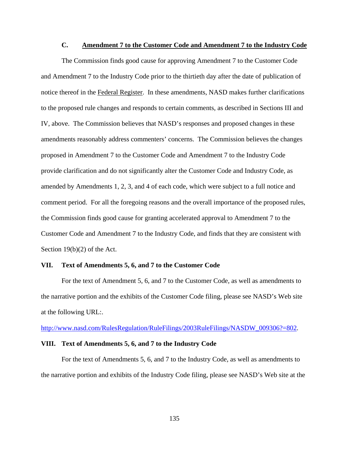## **C. Amendment 7 to the Customer Code and Amendment 7 to the Industry Code**

The Commission finds good cause for approving Amendment 7 to the Customer Code and Amendment 7 to the Industry Code prior to the thirtieth day after the date of publication of notice thereof in the Federal Register. In these amendments, NASD makes further clarifications to the proposed rule changes and responds to certain comments, as described in Sections [III](#page-10-0) and [IV,](#page-102-0) above. The Commission believes that NASD's responses and proposed changes in these amendments reasonably address commenters' concerns. The Commission believes the changes proposed in Amendment 7 to the Customer Code and Amendment 7 to the Industry Code provide clarification and do not significantly alter the Customer Code and Industry Code, as amended by Amendments 1, 2, 3, and 4 of each code, which were subject to a full notice and comment period. For all the foregoing reasons and the overall importance of the proposed rules, the Commission finds good cause for granting accelerated approval to Amendment 7 to the Customer Code and Amendment 7 to the Industry Code, and finds that they are consistent with Section 19(b)(2) of the Act.

## **VII. Text of Amendments 5, 6, and 7 to the Customer Code**

For the text of Amendment 5, 6, and 7 to the Customer Code, as well as amendments to the narrative portion and the exhibits of the Customer Code filing, please see NASD's Web site at the following URL:.

[http://www.nasd.com/RulesRegulation/RuleFilings/2003RuleFilings/NASDW\\_009306?=802.](http://www.nasd.com/RulesRegulation/RuleFilings/2003RuleFilings/NASDW_009306?=802)

## **VIII. Text of Amendments 5, 6, and 7 to the Industry Code**

For the text of Amendments 5, 6, and 7 to the Industry Code, as well as amendments to the narrative portion and exhibits of the Industry Code filing, please see NASD's Web site at the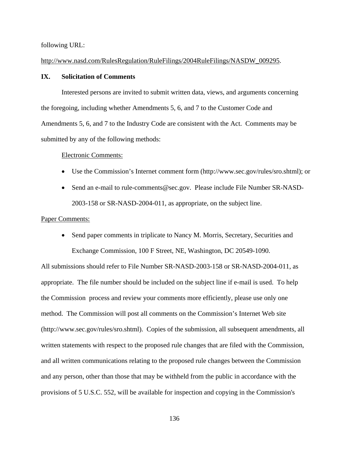following URL:

## http://www.nasd.com/RulesRegulation/RuleFilings/2004RuleFilings/NASDW\_009295.

## **IX. Solicitation of Comments**

Interested persons are invited to submit written data, views, and arguments concerning the foregoing, including whether Amendments 5, 6, and 7 to the Customer Code and Amendments 5, 6, and 7 to the Industry Code are consistent with the Act. Comments may be submitted by any of the following methods:

#### Electronic Comments:

- Use the Commission's Internet comment form (http://www.sec.gov/rules/sro.shtml); or
- Send an e-mail to rule-comments@sec.gov. Please include File Number SR-NASD-2003-158 or SR-NASD-2004-011, as appropriate, on the subject line.

## Paper Comments:

• Send paper comments in triplicate to Nancy M. Morris, Secretary, Securities and Exchange Commission, 100 F Street, NE, Washington, DC 20549-1090.

All submissions should refer to File Number SR-NASD-2003-158 or SR-NASD-2004-011, as appropriate. The file number should be included on the subject line if e-mail is used. To help the Commission process and review your comments more efficiently, please use only one method. The Commission will post all comments on the Commission's Internet Web site (http://www.sec.gov/rules/sro.shtml). Copies of the submission, all subsequent amendments, all written statements with respect to the proposed rule changes that are filed with the Commission, and all written communications relating to the proposed rule changes between the Commission and any person, other than those that may be withheld from the public in accordance with the provisions of 5 U.S.C. 552, will be available for inspection and copying in the Commission's